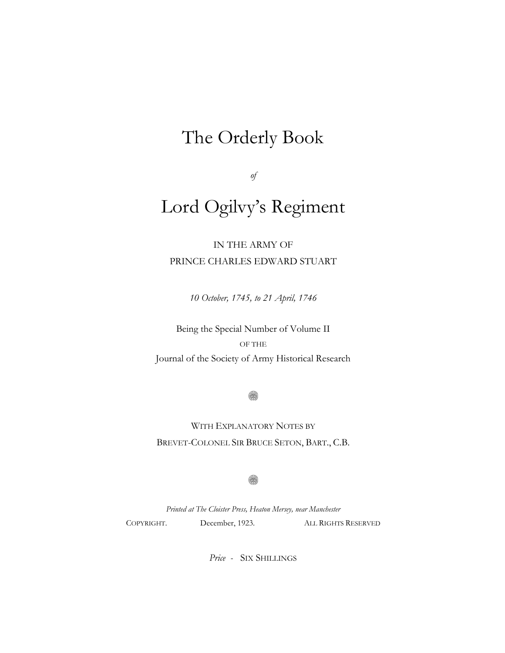## The Orderly Book

*of*

# Lord Ogilvy's Regiment

IN THE ARMY OF PRINCE CHARLES EDWARD STUART

*10 October, 1745, to 21 April, 1746*

Being the Special Number of Volume II OF THE Journal of the Society of Army Historical Research

ß.

WITH EXPLANATORY NOTES BY BREVET-COLONEL SIR BRUCE SETON, BART., C.B.

0

*Printed at The Cloister Press, Heaton Mersey, near Manchester* COPYRIGHT. December, 1923. ALL RIGHTS RESERVED

*Price -* SIX SHILLINGS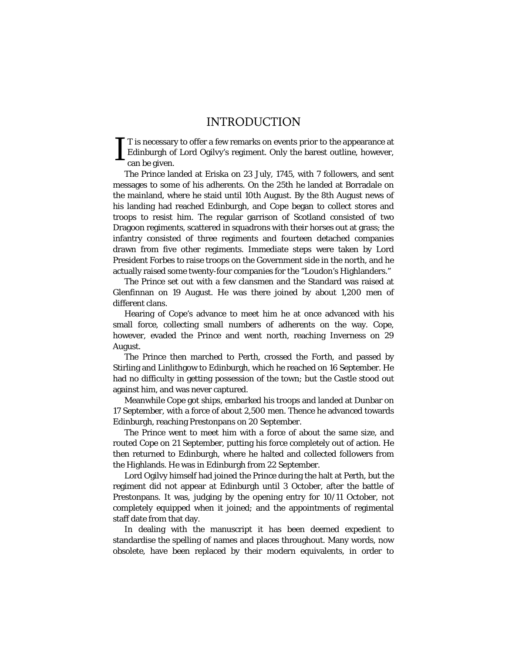### INTRODUCTION

T is necessary to offer a few remarks on events prior to the appearance at Edinburgh of Lord Ogilvy's regiment. Only the barest outline, however, can be given. I

The Prince landed at Eriska on 23 July, 1745, with 7 followers, and sent messages to some of his adherents. On the 25th he landed at Borradale on the mainland, where he staid until 10th August. By the 8th August news of his landing had reached Edinburgh, and Cope began to collect stores and troops to resist him. The regular garrison of Scotland consisted of two Dragoon regiments, scattered in squadrons with their horses out at grass; the infantry consisted of three regiments and fourteen detached companies drawn from five other regiments. Immediate steps were taken by Lord President Forbes to raise troops on the Government side in the north, and he actually raised some twenty-four companies for the "Loudon's Highlanders."

The Prince set out with a few clansmen and the Standard was raised at Glenfinnan on 19 August. He was there joined by about 1,200 men of different clans.

Hearing of Cope's advance to meet him he at once advanced with his small force, collecting small numbers of adherents on the way. Cope, however, evaded the Prince and went north, reaching Inverness on 29 August.

The Prince then marched to Perth, crossed the Forth, and passed by Stirling and Linlithgow to Edinburgh, which he reached on 16 September. He had no difficulty in getting possession of the town; but the Castle stood out against him, and was never captured.

Meanwhile Cope got ships, embarked his troops and landed at Dunbar on 17 September, with a force of about 2,500 men. Thence he advanced towards Edinburgh, reaching Prestonpans on 20 September.

The Prince went to meet him with a force of about the same size, and routed Cope on 21 September, putting his force completely out of action. He then returned to Edinburgh, where he halted and collected followers from the Highlands. He was in Edinburgh from 22 September.

Lord Ogilvy himself had joined the Prince during the halt at Perth, but the regiment did not appear at Edinburgh until 3 October, after the battle of Prestonpans. It was, judging by the opening entry for 10/11 October, not completely equipped when it joined; and the appointments of regimental staff date from that day.

In dealing with the manuscript it has been deemed expedient to standardise the spelling of names and places throughout. Many words, now obsolete, have been replaced by their modern equivalents, in order to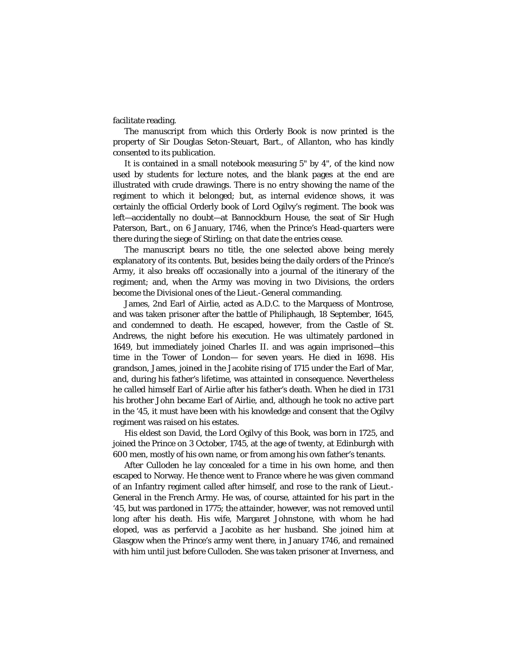facilitate reading.

The manuscript from which this Orderly Book is now printed is the property of Sir Douglas Seton-Steuart, Bart., of Allanton, who has kindly consented to its publication.

It is contained in a small notebook measuring 5" by 4", of the kind now used by students for lecture notes, and the blank pages at the end are illustrated with crude drawings. There is no entry showing the name of the regiment to which it belonged; but, as internal evidence shows, it was certainly the official Orderly book of Lord Ogilvy's regiment. The book was left—accidentally no doubt—at Bannockburn House, the seat of Sir Hugh Paterson, Bart., on 6 January, 1746, when the Prince's Head-quarters were there during the siege of Stirling; on that date the entries cease.

The manuscript bears no title, the one selected above being merely explanatory of its contents. But, besides being the daily orders of the Prince's Army, it also breaks off occasionally into a journal of the itinerary of the regiment; and, when the Army was moving in *two* Divisions, the orders become the Divisional ones of the Lieut.-General commanding.

James, 2nd Earl of Airlie, acted as A.D.C. to the Marquess of Montrose, and was taken prisoner after the battle of Philiphaugh, 18 September, 1645, and condemned to death. He escaped, however, from the Castle of St. Andrews, the night before his execution. He was ultimately pardoned in 1649, but immediately joined Charles II. and was again imprisoned—this time in the Tower of London— for seven years. He died in 1698. His grandson, James, joined in the Jacobite rising of 1715 under the Earl of Mar, and, during his father's lifetime, was attainted in consequence. Nevertheless he called himself Earl of Airlie after his father's death. When he died in 1731 his brother John became Earl of Airlie, and, although he took no active part in the '45, it must have been with his knowledge and consent that the Ogilvy regiment was raised on his estates.

His eldest son David, the Lord Ogilvy of this Book, was born in 1725, and joined the Prince on 3 October, 1745, at the age of twenty, at Edinburgh with 600 men, mostly of his own name, or from among his own father's tenants.

After Culloden he lay concealed for a time in his own home, and then escaped to Norway. He thence went to France where he was given command of an Infantry regiment called after himself, and rose to the rank of Lieut.- General in the French Army. He was, of course, attainted for his part in the '45, but was pardoned in 1775; the attainder, however, was not removed until long after his death. His wife, Margaret Johnstone, with whom he had eloped, was as perfervid a Jacobite as her husband. She joined him at Glasgow when the Prince's army went there, in January 1746, and remained with him until just before Culloden. She was taken prisoner at Inverness, and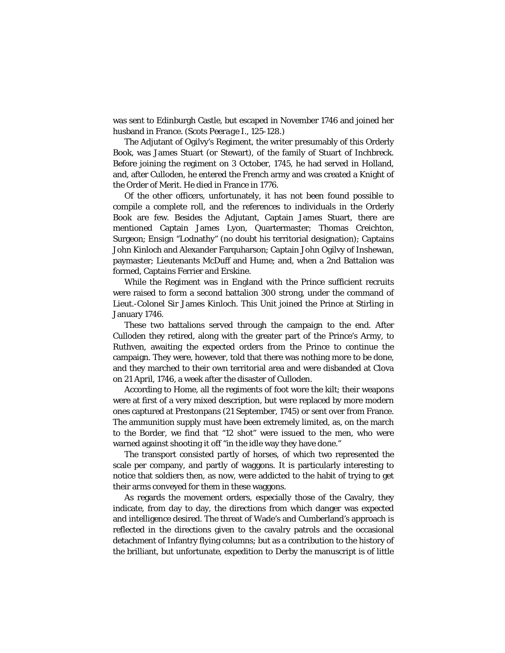was sent to Edinburgh Castle, but escaped in November 1746 and joined her husband in France. (*Scots Peerage* I., 125-128.)

The Adjutant of Ogilvy's Regiment, the writer presumably of this Orderly Book, was James Stuart (or Stewart), of the family of Stuart of Inchbreck. Before joining the regiment on 3 October, 1745, he had served in Holland, and, after Culloden, he entered the French army and was created a Knight of the Order of Merit. He died in France in 1776.

Of the other officers, unfortunately, it has not been found possible to compile a complete roll, and the references to individuals in the Orderly Book are few. Besides the Adjutant, Captain James Stuart, there are mentioned Captain James Lyon, Quartermaster; Thomas Creichton, Surgeon; Ensign "Lodnathy" (no doubt his territorial designation); Captains John Kinloch and Alexander Farquharson; Captain John Ogilvy of Inshewan, paymaster; Lieutenants McDuff and Hume; and, when a 2nd Battalion was formed, Captains Ferrier and Erskine.

While the Regiment was in England with the Prince sufficient recruits were raised to form a second battalion 300 strong, under the command of Lieut.-Colonel Sir James Kinloch. This Unit joined the Prince at Stirling in January 1746.

These two battalions served through the campaign to the end. After Culloden they retired, along with the greater part of the Prince's Army, to Ruthven, awaiting the expected orders from the Prince to continue the campaign. They were, however, told that there was nothing more to be done, and they marched to their own territorial area and were disbanded at Clova on 21 April, 1746, a week after the disaster of Culloden.

According to Home, all the regiments of foot wore the kilt; their weapons were at first of a very mixed description, but were replaced by more modern ones captured at Prestonpans (21 September, 1745) or sent over from France. The ammunition supply must have been extremely limited, as, on the march to the Border, we find that "12 shot" were issued to the men, who were warned against shooting it off "in the idle way they have done."

The transport consisted partly of horses, of which two represented the scale per company, and partly of waggons. It is particularly interesting to notice that soldiers then, as now, were addicted to the habit of trying to get their arms conveyed for them in these waggons.

As regards the movement orders, especially those of the Cavalry, they indicate, from day to day, the directions from which danger was expected and intelligence desired. The threat of Wade's and Cumberland's approach is reflected in the directions given to the cavalry patrols and the occasional detachment of Infantry flying columns; but as a contribution to the history of the brilliant, but unfortunate, expedition to Derby the manuscript is of little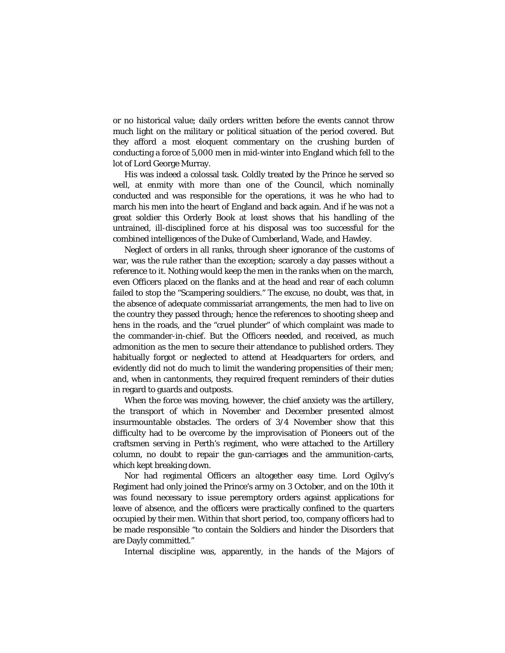or no historical value; daily orders written before the events cannot throw much light on the military or political situation of the period covered. But they afford a most eloquent commentary on the crushing burden of conducting a force of 5,000 men in mid-winter into England which fell to the lot of Lord George Murray.

His was indeed a colossal task. Coldly treated by the Prince he served so well, at enmity with more than one of the Council, which nominally conducted and was responsible for the operations, it was he who had to march his men into the heart of England and back again. And if he was not a great soldier this Orderly Book at least shows that his handling of the untrained, ill-disciplined force at his disposal was too successful for the combined intelligences of the Duke of Cumberland, Wade, and Hawley.

Neglect of orders in all ranks, through sheer ignorance of the customs of war, was the rule rather than the exception; scarcely a day passes without a reference to it. Nothing would keep the men in the ranks when on the march, even Officers placed on the flanks and at the head and rear of each column failed to stop the "Scampering souldiers." The excuse, no doubt, was that, in the absence of adequate commissariat arrangements, the men had to live on the country they passed through; hence the references to shooting sheep and hens in the roads, and the "cruel plunder" of which complaint was made to the commander-in-chief. But the Officers needed, and received, as much admonition as the men to secure their attendance to published orders. They habitually forgot or neglected to attend at Headquarters for orders, and evidently did not do much to limit the wandering propensities of their men; and, when in cantonments, they required frequent reminders of their duties in regard to guards and outposts.

When the force was moving, however, the chief anxiety was the artillery, the transport of which in November and December presented almost insurmountable obstacles. The orders of 3/4 November show that this difficulty had to be overcome by the improvisation of Pioneers out of the craftsmen serving in Perth's regiment, who were attached to the Artillery column, no doubt to repair the gun-carriages and the ammunition-carts, which kept breaking down.

Nor had regimental Officers an altogether easy time. Lord Ogilvy's Regiment had only joined the Prince's army on 3 October, and on the 10th it was found necessary to issue peremptory orders against applications for leave of absence, and the officers were practically confined to the quarters occupied by their men. Within that short period, too, company officers had to be made responsible "to contain the Soldiers and hinder the Disorders that are Dayly committed."

Internal discipline was, apparently, in the hands of the Majors of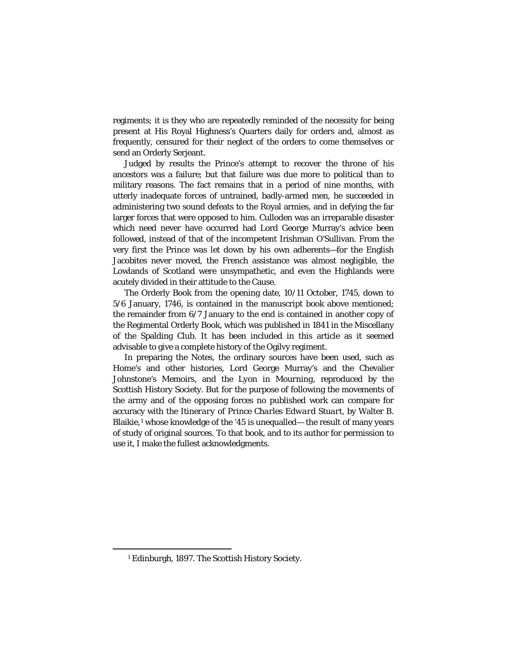regiments; it is they who are repeatedly reminded of the necessity for being present at His Royal Highness's Quarters daily for orders and, almost as frequently, censured for their neglect of the orders to come themselves or send an Orderly Serjeant.

Judged by results the Prince's attempt to recover the throne of his ancestors was a failure; but that failure was due more to political than to military reasons. The fact remains that in a period of nine months, with utterly inadequate forces of untrained, badly-armed men, he succeeded in administering two sound defeats to the Royal armies, and in defying the far larger forces that were opposed to him. Culloden was an irreparable disaster which need never have occurred had Lord George Murray's advice been followed, instead of that of the incompetent Irishman O'Sullivan. From the very first the Prince was let down by his own adherents—for the English Jacobites never moved, the French assistance was almost negligible, the Lowlands of Scotland were unsympathetic, and even the Highlands were acutely divided in their attitude to the Cause.

The Orderly Book from the opening date, 10/11 October, 1745, down to 5/6 January, 1746, is contained in the manuscript book above mentioned; the remainder from 6/7 January to the end is contained in another copy of the Regimental Orderly Book, which was published in 1841 in the Miscellany of the Spalding Club. It has been included in this article as it seemed advisable to give a complete history of the Ogilvy regiment.

In preparing the Notes, the ordinary sources have been used, such as Home's and other histories, Lord George Murray's and the Chevalier Johnstone's Memoirs, and the *Lyon in Mourning*, reproduced by the Scottish History Society. But for the purpose of following the movements of the army and of the opposing forces no published work can compare for accuracy with the *Itinerary of Prince Charles Edward Stuart*, by Walter B. Blaikie,<sup>[1](#page-5-0)</sup> whose knowledge of the '45 is unequalled— the result of many years of study of original sources. To that book, and to its author for permission to use it, I make the fullest acknowledgments.

<span id="page-5-0"></span>—<br>—

<sup>1</sup> Edinburgh, 1897. The Scottish History Society.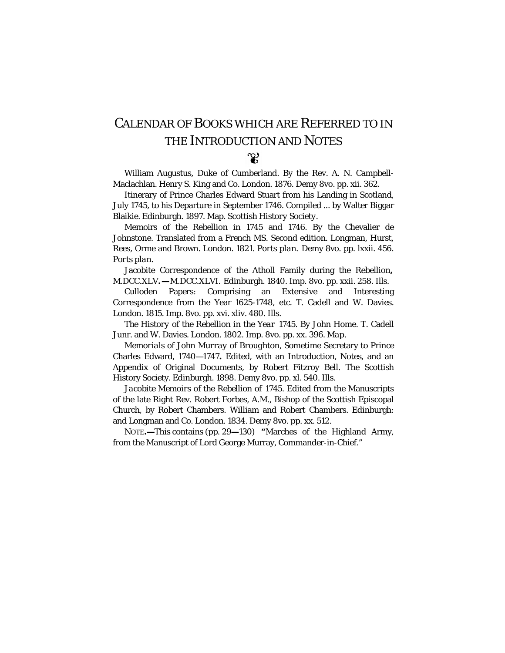## CALENDAR OF BOOKS WHICH ARE REFERRED TO IN THE INTRODUCTION AND NOTES တ္ဆ

William Augustus, Duke of Cumberland. By the Rev. A. N. Campbell-Maclachlan. Henry S. King and Co. London. 1876. Demy 8vo. pp. xii. 362.

Itinerary of Prince Charles Edward Stuart from his Landing in Scotland, July 1745, to his Departure in September 1746. Compiled ... by Walter Biggar Blaikie. Edinburgh. 1897. Map. *Scottish History Society.*

Memoirs of the Rebellion in 1745 and 1746. By the Chevalier de Johnstone. Translated from a French MS. Second edition. Longman, Hurst, Rees, Orme and Brown. London. 1821. *Ports plan.* Demy 8vo. pp. lxxii. 456. *Ports plan.*

Jacobite Correspondence of the Atholl Family during the Rebellion**,** M.DCC.XLV*.—M.DCC.XLVI.* Edinburgh. 1840. Imp. 8vo. pp. xxii. 258. *Ills.*

Culloden Papers: Comprising an Extensive and Interesting Correspondence from the Year 1625-1748, etc. T. Cadell and W. Davies. London. 1815. Imp. 8vo. pp. xvi. xliv. 480. *Ills.*

*The History of the Rebellion in the Year* 1745. By John Home. T. Cadell Junr. and W. Davies. London. 1802. Imp. 8vo. pp. xx. 396. *Map.*

*Memorials of John Murray of Broughton*, Sometime Secretary to Prince Charles Edward, 1740—1747**.** Edited, with an Introduction, Notes, and an Appendix of Original Documents, by Robert Fitzroy Bell. The Scottish History Society. Edinburgh. 1898. Demy 8vo. pp. xl. 540. *Ills.*

*Jacobite Memoirs of the Rebellion of* 1745. Edited from the Manuscripts of the late Right Rev. Robert Forbes, A.M., Bishop of the Scottish Episcopal Church, by Robert Chambers. William and Robert Chambers. Edinburgh: and Longman and Co. London. 1834. Demy 8vo. pp. xx. 512.

NOTE**.—**This contains (pp. 29**—**130) **"**Marches of the Highland Army, from the Manuscript of Lord George Murray, Commander-in-Chief."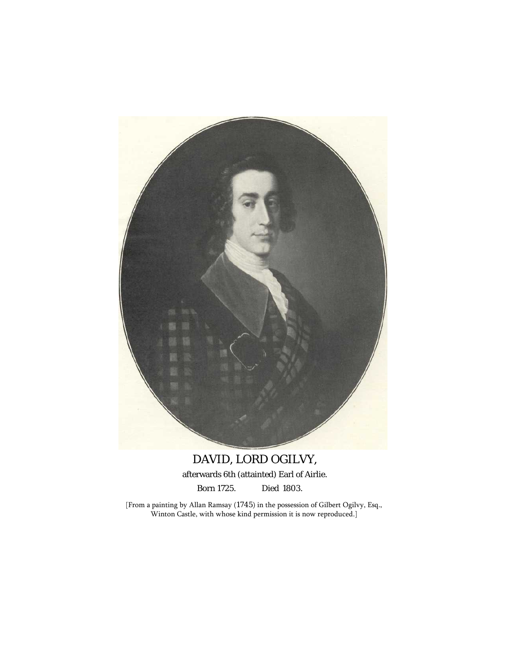

## DAVID, LORD OGILVY,

afterwards 6th (attainted) Earl of Airlie.

Born 1725. Died 1803.

[From a painting by Allan Ramsay (1745) in the possession of Gilbert Ogilvy, Esq., Winton Castle, with whose kind permission it is now reproduced.]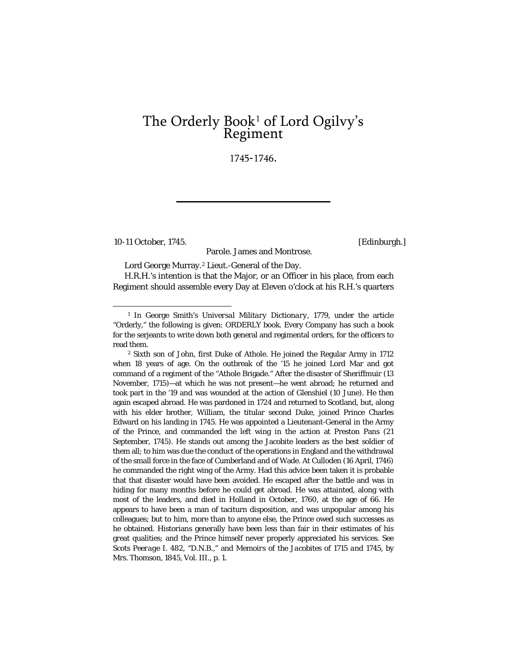# The Orderly Book<sup>1</sup> of Lord Ogilvy's<br>Regiment

1745-1746.

10-11 October, 1745. [Edinburgh.]

Parole. James and Montrose.

Lord George Murray.[2](#page-8-1) Lieut.-General of the Day.

H.R.H.'s intention is that the Major, or an Officer in his place, from each Regiment should assemble every Day at Eleven o'clock at his R.H.'s quarters

<span id="page-8-0"></span><sup>1</sup> In George Smith's *Universal Military Dictionary*, 1779, under the article "Orderly," the following is given: ORDERLY *book.* Every Company has such a book for the serjeants to write down both general and regimental orders, for the officers to read them.

<span id="page-8-1"></span><sup>2</sup> Sixth son of John, first Duke of Athole. He joined the Regular Army in 1712 when 18 years of age. On the outbreak of the '15 he joined Lord Mar and got command of a regiment of the "Athole Brigade." After the disaster of Sheriffmuir (13 November, 1715)—at which he was not present—he went abroad; he returned and took part in the '19 and was wounded at the action of Glenshiel (10 June). He then again escaped abroad. He was pardoned in 1724 and returned to Scotland, but, along with his elder brother, William, the titular second Duke, joined Prince Charles Edward on his landing in 1745. He was appointed a Lieutenant-General in the Army of the Prince, and commanded the left wing in the action at Preston Pans (21 September, 1745). He stands out among the Jacobite leaders as the best soldier of them all; to him was due the conduct of the operations in England and the withdrawal of the small force in the face of Cumberland and of Wade. At Culloden (16 April, 1746) he commanded the right wing of the Army. Had this advice been taken it is probable that that disaster would have been avoided. He escaped after the battle and was in hiding for many months before he could get abroad. He was attainted, along with most of the leaders, and died in Holland in October, 1760, at the age of 66. He appears to have been a man of taciturn disposition, and was unpopular among his colleagues; but to him, more than to anyone else, the Prince owed such successes as he obtained. Historians generally have been less than fair in their estimates of his great qualities; and the Prince himself never properly appreciated his services. See *Scots Peerage* I. 482, "D.N.B.," and *Memoirs of the Jacobites of* 1715 *and* 1745, by Mrs. Thomson, 1845, Vol. III., p. 1.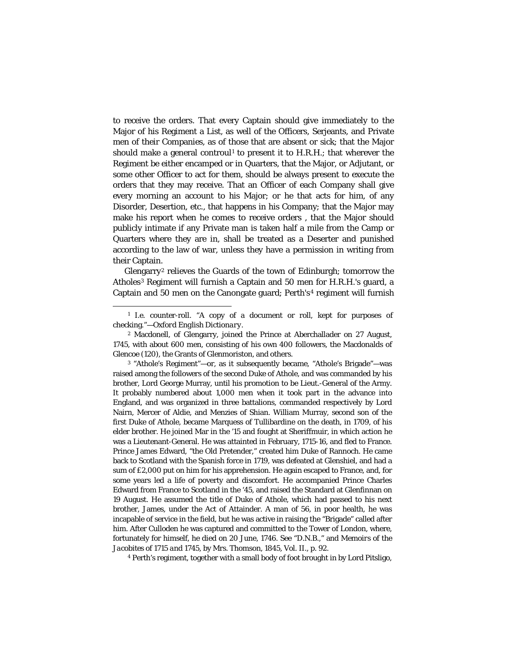to receive the orders. That every Captain should give immediately to the Major of his Regiment a List, as well of the Officers, Serjeants, and Private men of their Companies, as of those that are absent or sick; that the Major should make a general controul<sup>[1](#page-9-0)</sup> to present it to H.R.H.; that wherever the Regiment be either encamped or in Quarters, that the Major, or Adjutant, or some other Officer to act for them, should be always present to execute the orders that they may receive. That an Officer of each Company shall give every morning an account to his Major; or he that acts for him, of any Disorder, Desertion, etc., that happens in his Company; that the Major may make his report when he comes to receive orders , that the Major should publicly intimate if any Private man is taken half a mile from the Camp or Quarters where they are in, shall be treated as a Deserter and punished according to the law of war, unless they have a permission in writing from their Captain.

Glengarry[2](#page-9-1) relieves the Guards of the town of Edinburgh; tomorrow the Atholes[3](#page-9-2) Regiment will furnish a Captain and 50 men for H.R.H.'s guard, a Captain and 50 men on the Canongate guard; Perth's<sup>[4](#page-9-3)</sup> regiment will furnish

<span id="page-9-3"></span><sup>4</sup> Perth's regiment, together with a small body of foot brought in by Lord Pitsligo,

<span id="page-9-0"></span><sup>1</sup> *I.e.* counter-roll. "A copy of a document or roll, kept for purposes of checking."—*Oxford English Dictionary.*

<span id="page-9-1"></span><sup>2</sup> Macdonell, of Glengarry, joined the Prince at Aberchallader on 27 August, 1745, with about 600 men, consisting of his own 400 followers, the Macdonalds of Glencoe (120), the Grants of Glenmoriston, and others.

<span id="page-9-2"></span><sup>3</sup> "Athole's Regiment"—or, as it subsequently became, "Athole's Brigade"—was raised among the followers of the second Duke of Athole, and was commanded by his brother, Lord George Murray, until his promotion to be Lieut.-General of the Army. It probably numbered about 1,000 men when it took part in the advance into England, and was organized in three battalions, commanded respectively by Lord Nairn, Mercer of Aldie, and Menzies of Shian. William Murray, second son of the first Duke of Athole, became Marquess of Tullibardine on the death, in 1709, of his elder brother. He joined Mar in the '15 and fought at Sheriffmuir, in which action he was a Lieutenant-General. He was attainted in February, 1715-16, and fled to France. Prince James Edward, "the Old Pretender," created him Duke of Rannoch. He came back to Scotland with the Spanish force in 1719, was defeated at Glenshiel, and had a sum of £2,000 put on him for his apprehension. He again escaped to France, and, for some years led a life of poverty and discomfort. He accompanied Prince Charles Edward from France to Scotland in the '45, and raised the Standard at Glenfinnan on 19 August. He assumed the title of Duke of Athole, which had passed to his next brother, James, under the Act of Attainder. A man of 56, in poor health, he was incapable of service in the field, but he was active in raising the "Brigade" called after him. After Culloden he was captured and committed to the Tower of London, where, fortunately for himself, he died on 20 June, 1746. See "D.N.B.," and *Memoirs of the Jacobites of* 1715 *and* 1745, by Mrs. Thomson, 1845, Vol. II., p. 92.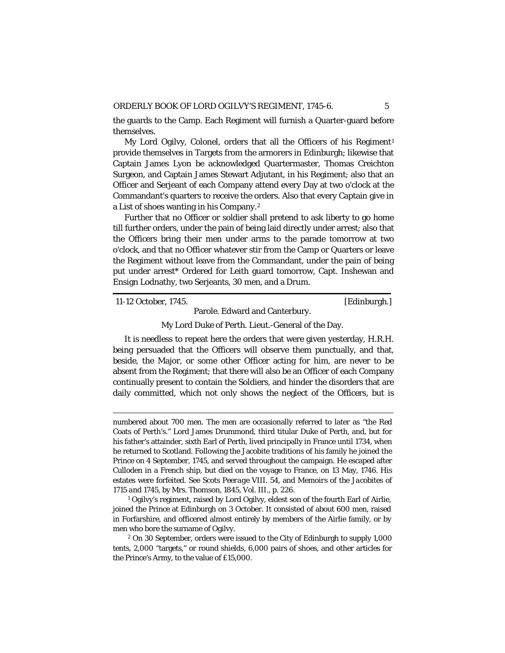the guards to the Camp. Each Regiment will furnish a Quarter-guard before themselves.

My Lord Ogilvy, Colonel, orders that all the Officers of his Regiment<sup>[1](#page-10-0)</sup> provide themselves in Targets from the armorers in Edinburgh; likewise that Captain James Lyon be acknowledged Quartermaster, Thomas Creichton Surgeon, and Captain James Stewart Adjutant, in his Regiment; also that an Officer and Serjeant of each Company attend every Day at two o'clock at the Commandant's quarters to receive the orders. Also that every Captain give in a List of shoes wanting in his Company.[2](#page-10-1)

Further that no Officer or soldier shall pretend to ask liberty to go home till further orders, under the pain of being laid directly under arrest; also that the Officers bring their men under arms to the parade tomorrow at two o'clock, and that no Officer whatever stir from the Camp or Quarters or leave the Regiment without leave from the Commandant, under the pain of being put under arrest\* Ordered for Leith guard tomorrow, Capt. Inshewan and Ensign Lodnathy, two Serjeants, 30 men, and a Drum.

11-12 October, 1745. [Edinburgh.]

## Parole. Edward and Canterbury. My Lord Duke of Perth. Lieut.-General of the Day.

It is needless to repeat here the orders that were given yesterday, H.R.H. being persuaded that the Officers will observe them punctually, and that, beside, the Major, or some other Officer acting for him, are never to be absent from the Regiment; that there will also be an Officer of each Company continually present to contain the Soldiers, and hinder the disorders that are daily committed, which not only shows the neglect of the Officers, but is

numbered about 700 men. The men are occasionally referred to later as "the Red Coats of Perth's." Lord James Drummond, third titular Duke of Perth, and, but for his father's attainder, sixth Earl of Perth, lived principally in France until 1734, when he returned to Scotland. Following the Jacobite traditions of his family he joined the Prince on 4 September, 1745, and served throughout the campaign. He escaped after Culloden in a French ship, but died on the voyage to France, on 13 May, 1746. His estates were forfeited. See *Scots Peerage* VIII. 54, and *Memoirs of the Jacobites of* 1715 *and* 1745, by Mrs. Thomson, 1845, Vol. III., p. 226.

<span id="page-10-0"></span><sup>&</sup>lt;sup>1</sup> Ogilvy's regiment, raised by Lord Ogilvy, eldest son of the fourth Earl of Airlie, joined the Prince at Edinburgh on 3 October. It consisted of about 600 men, raised in Forfarshire, and officered almost entirely by members of the Airlie family, or by men who bore the surname of Ogilvy.

<span id="page-10-1"></span><sup>2</sup> On 30 September, orders were issued to the City of Edinburgh to supply 1,000 tents, 2,000 "targets," or round shields, 6,000 pairs of shoes, and other articles for the Prince's Army, to the value of £15,000.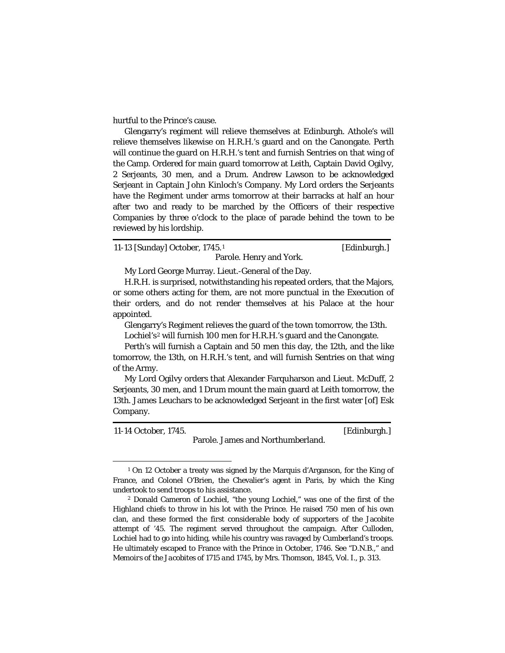hurtful to the Prince's cause.

Glengarry's regiment will relieve themselves at Edinburgh. Athole's will relieve themselves likewise on H.R.H.'s guard and on the Canongate. Perth will continue the guard on H.R.H.'s tent and furnish Sentries on that wing of the Camp. Ordered for main guard tomorrow at Leith, Captain David Ogilvy, 2 Serjeants, 30 men, and a Drum. Andrew Lawson to be acknowledged Serjeant in Captain John Kinloch's Company. My Lord orders the Serjeants have the Regiment under arms tomorrow at their barracks at half an hour after two and ready to be marched by the Officers of their respective Companies by three o'clock to the place of parade behind the town to be reviewed by his lordship.

[1](#page-11-0)1-13 [Sunday] October, 1745.<sup>1</sup> [Edinburgh.]

My Lord George Murray. Lieut.-General of the Day.

H.R.H. is surprised, notwithstanding his repeated orders, that the Majors, or some others acting for them, are not more punctual in the Execution of their orders, and do not render themselves at his Palace at the hour appointed.

Parole. Henry and York.

Glengarry's Regiment relieves the guard of the town tomorrow, the 13th.

Lochiel's<sup>[2](#page-11-1)</sup> will furnish 100 men for H.R.H.'s guard and the Canongate.

Perth's will furnish a Captain and 50 men this day, the 12th, and the like tomorrow, the 13th, on H.R.H.'s tent, and will furnish Sentries on that wing of the Army.

My Lord Ogilvy orders that Alexander Farquharson and Lieut. McDuff, 2 Serjeants, 30 men, and 1 Drum mount the main guard at Leith tomorrow, the 13th. James Leuchars to be acknowledged Serjeant in the first water [of] Esk Company.

11-14 October, 1745. [Edinburgh.] Parole. James and Northumberland.

<span id="page-11-0"></span><sup>&</sup>lt;sup>1</sup> On 12 October a treaty was signed by the Marquis d'Arganson, for the King of France, and Colonel O'Brien, the Chevalier's agent in Paris, by which the King undertook to send troops to his assistance.

<span id="page-11-1"></span><sup>2</sup> Donald Cameron of Lochiel, "the young Lochiel," was one of the first of the Highland chiefs to throw in his lot with the Prince. He raised 750 men of his own clan, and these formed the first considerable body of supporters of the Jacobite attempt of '45. The regiment served throughout the campaign. After Culloden, Lochiel had to go into hiding, while his country was ravaged by Cumberland's troops. He ultimately escaped to France with the Prince in October, 1746. See "D.N.B.," and *Memoirs of the Jacobites of* 1715 *and* 1745, by Mrs. Thomson, 1845, Vol. I., p. 313.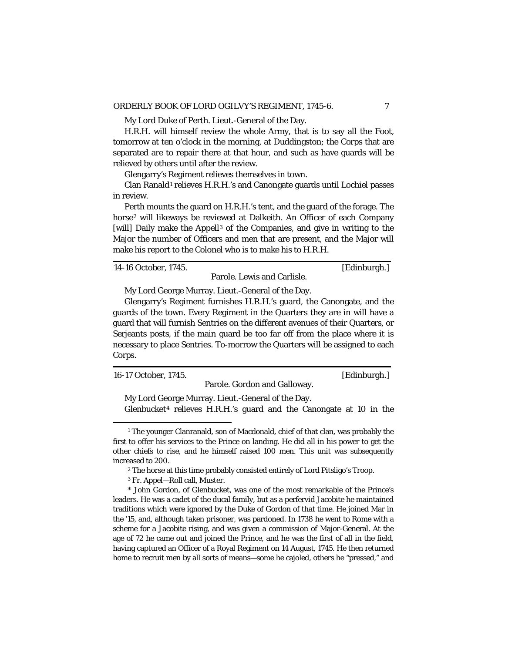My Lord Duke of Perth. Lieut.-General of the Day.

H.R.H. will himself review the whole Army, that is to say all the Foot, tomorrow at ten o'clock in the morning, at Duddingston; the Corps that are separated are to repair there at that hour, and such as have guards will be relieved by others until after the review.

Glengarry's Regiment relieves themselves in town.

Clan Ranald<sup>[1](#page-12-0)</sup> relieves H.R.H.'s and Canongate guards until Lochiel passes in review.

Perth mounts the guard on H.R.H.'s tent, and the guard of the forage. The horse[2](#page-12-1) will likeways be reviewed at Dalkeith. An Officer of each Company [will] Daily make the Appell<sup>[3](#page-12-2)</sup> of the Companies, and give in writing to the Major the number of Officers and men that are present, and the Major will make his report to the Colonel who is to make his to H.R.H.

14-16 October, 1745. [Edinburgh.]

Parole. Lewis and Carlisle.

My Lord George Murray. Lieut.-General of the Day.

Glengarry's Regiment furnishes H.R.H.'s guard, the Canongate, and the guards of the town. Every Regiment in the Quarters they are in will have a guard that will furnish Sentries on the different avenues of their Quarters, or Serjeants posts, if the main guard be too far off from the place where it is necessary to place Sentries. To-morrow the Quarters will be assigned to each Corps.

16-17 October, 1745. [Edinburgh.]

Parole. Gordon and Galloway.

My Lord George Murray. Lieut.-General of the Day. Glenbucket<sup>[4](#page-12-3)</sup> relieves H.R.H.'s guard and the Canongate at 10 in the

<span id="page-12-0"></span><sup>&</sup>lt;sup>1</sup> The younger Clanranald, son of Macdonald, chief of that clan, was probably the first to offer his services to the Prince on landing. He did all in his power to get the other chiefs to rise, and he himself raised 100 men. This unit was subsequently increased to 200.

<sup>2</sup> The horse at this time probably consisted entirely of Lord Pitsligo's Troop.

<sup>3</sup> Fr. *Appel*—Roll call, Muster.

<span id="page-12-3"></span><span id="page-12-2"></span><span id="page-12-1"></span><sup>\*</sup> John Gordon, of Glenbucket, was one of the most remarkable of the Prince's leaders. He was a cadet of the ducal family, but as a perfervid Jacobite he maintained traditions which were ignored by the Duke of Gordon of that time. He joined Mar in the '15, and, although taken prisoner, was pardoned. In 1738 he went to Rome with a scheme for a Jacobite rising, and was given a commission of Major-General. At the age of 72 he came out and joined the Prince, and he was the first of all in the field, having captured an Officer of a Royal Regiment on 14 August, 1745. He then returned home to recruit men by all sorts of means—some he cajoled, others he "pressed," and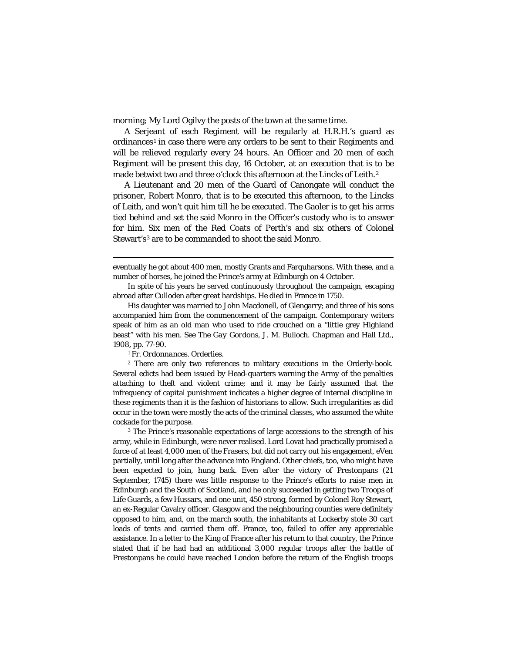morning; My Lord Ogilvy the posts of the town at the same time.

A Serjeant of each Regiment will be regularly at H.R.H.'s guard as ordinances<sup>[1](#page-13-0)</sup> in case there were any orders to be sent to their Regiments and will be relieved regularly every 24 hours. An Officer and 20 men of each Regiment will be present this day, 16 October, at an execution that is to be made betwixt two and three o'clock this afternoon at the Lincks of Leith.<sup>[2](#page-13-1)</sup>

A Lieutenant and 20 men of the Guard of Canongate will conduct the prisoner, Robert Monro, that is to be executed this afternoon, to the Lincks of Leith, and won't quit him till he be executed. The Gaoler is to get his arms tied behind and set the said Monro in the Officer's custody who is to answer for him. Six men of the Red Coats of Perth's and six others of Colonel Stewart's<sup>[3](#page-13-2)</sup> are to be commanded to shoot the said Monro.

 eventually he got about 400 men, mostly Grants and Farquharsons. With these, and a number of horses, he joined the Prince's army at Edinburgh on 4 October.

In spite of his years he served continuously throughout the campaign, escaping abroad after Culloden after great hardships. He died in France in 1750.

His daughter was married to John Macdonell, of Glengarry; and three of his sons accompanied him from the commencement of the campaign. Contemporary writers speak of him as an old man who used to ride crouched on a "little grey Highland beast" with his men. See *The Gay Gordons,* J. M. Bulloch. Chapman and Hall Ltd., 1908, pp. 77-90.

<sup>1</sup> Fr. *Ordonnances.* Orderlies.

<span id="page-13-1"></span><span id="page-13-0"></span><sup>2</sup> There are only two references to military executions in the Orderly-book. Several edicts had been issued by Head-quarters warning the Army of the penalties attaching to theft and violent crime; and it may be fairly assumed that the infrequency of capital punishment indicates a higher degree of internal discipline in these regiments than it is the fashion of historians to allow. Such irregularities as did occur in the town were mostly the acts of the criminal classes, who assumed the white cockade for the purpose.

<span id="page-13-2"></span><sup>3</sup> The Prince's reasonable expectations of large accessions to the strength of his army, while in Edinburgh, were never realised. Lord Lovat had practically promised a force of at least 4,000 men of the Frasers, but did not carry out his engagement, eVen partially, until long after the advance into England. Other chiefs, too, who might have been expected to join, hung back. Even after the victory of Prestonpans (21 September, 1745) there was little response to the Prince's efforts to raise men in Edinburgh and the South of Scotland, and he only succeeded in getting two Troops of Life Guards, a few Hussars, and one unit, 450 strong, formed by Colonel Roy Stewart, an ex-Regular Cavalry officer. Glasgow and the neighbouring counties were definitely opposed to him, and, on the march south, the inhabitants at Lockerby stole 30 cart loads of tents and carried them off. France, too, failed to offer any appreciable assistance. In a letter to the King of France after his return to that country, the Prince stated that if he had had an additional 3,000 regular troops after the battle of Prestonpans he could have reached London before the return of the English troops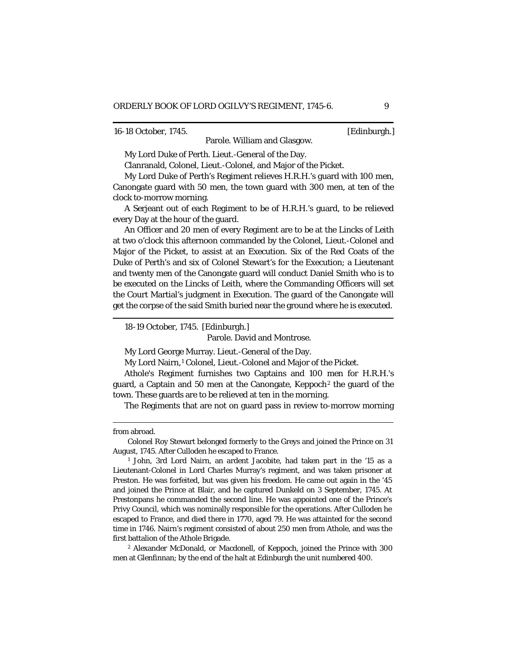16-18 October, 1745. [Edinburgh.]

Parole. William and Glasgow.

My Lord Duke of Perth. Lieut.-General of the Day.

Clanranald, Colonel, Lieut.-Colonel, and Major of the Picket.

My Lord Duke of Perth's Regiment relieves H.R.H.'s guard with 100 men, Canongate guard with 50 men, the town guard with 300 men, at ten of the clock to-morrow morning.

A Serjeant out of each Regiment to be of H.R.H.'s guard, to be relieved every Day at the hour of the guard.

An Officer and 20 men of every Regiment are to be at the Lincks of Leith at two o'clock this afternoon commanded by the Colonel, Lieut.-Colonel and Major of the Picket, to assist at an Execution. Six of the Red Coats of the Duke of Perth's and six of Colonel Stewart's for the Execution; a Lieutenant and twenty men of the Canongate guard will conduct Daniel Smith who is to be executed on the Lincks of Leith, where the Commanding Officers will set the Court Martial's judgment in Execution. The guard of the Canongate will get the corpse of the said Smith buried near the ground where he is executed.

18-19 October, 1745. [Edinburgh.]

Parole. David and Montrose.

My Lord George Murray. Lieut.-General of the Day.

My Lord Nairn,<sup>[1](#page-14-0)</sup> Colonel, Lieut.-Colonel and Major of the Picket.

Athole's Regiment furnishes two Captains and 100 men for H.R.H.'s guard, a Captain and 50 men at the Canongate, Keppoch<sup>[2](#page-14-1)</sup> the guard of the town. These guards are to be relieved at ten in the morning.

The Regiments that are not on guard pass in review to-morrow morning

from abroad.

Colonel Roy Stewart belonged formerly to the Greys and joined the Prince on 31 August, 1745. After Culloden he escaped to France.

<span id="page-14-0"></span><sup>1</sup> John, 3rd Lord Nairn, an ardent Jacobite, had taken part in the '15 as a Lieutenant-Colonel in Lord Charles Murray's regiment, and was taken prisoner at Preston. He was forfeited, but was given his freedom. He came out again in the '45 and joined the Prince at Blair, and he captured Dunkeld on 3 September, 1745. At Prestonpans he commanded the second line. He was appointed one of the Prince's Privy Council, which was nominally responsible for the operations. After Culloden he escaped to France, and died there in 1770, aged 79. He was attainted for the second time in 1746. Nairn's regiment consisted of about 250 men from Athole, and was the first battalion of the Athole Brigade.

<span id="page-14-1"></span><sup>2</sup> Alexander McDonald, or Macdonell, of Keppoch, joined the Prince with 300 men at Glenfinnan; by the end of the halt at Edinburgh the unit numbered 400.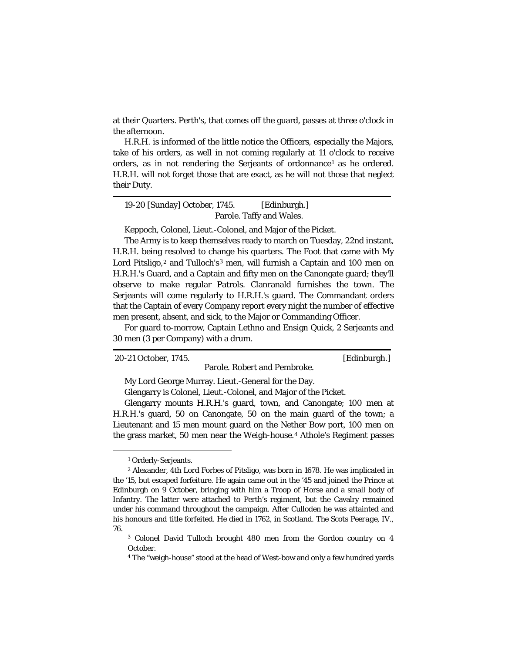at their Quarters. Perth's, that comes off the guard, passes at three o'clock in the afternoon.

H.R.H. is informed of the little notice the Officers, especially the Majors, take of his orders, as well in not coming regularly at 11 o'clock to receive orders, as in not rendering the Serjeants of ordonnance<sup>[1](#page-15-0)</sup> as he ordered. H.R.H. will not forget those that are exact, as he will not those that neglect their Duty.

19-20 [Sunday] October, 1745. [Edinburgh.] Parole. Taffy and Wales.

Keppoch, Colonel, Lieut.-Colonel, and Major of the Picket.

The Army is to keep themselves ready to march on Tuesday, 22nd instant, H.R.H. being resolved to change his quarters. The Foot that came with My Lord Pitsligo,<sup>[2](#page-15-1)</sup> and Tulloch's<sup>[3](#page-15-2)</sup> men, will furnish a Captain and 100 men on H.R.H.'s Guard, and a Captain and fifty men on the Canongate guard; they'll observe to make regular Patrols. Clanranald furnishes the town. The Serjeants will come regularly to H.R.H.'s guard. The Commandant orders that the Captain of every Company report every night the number of effective men present, absent, and sick, to the Major or Commanding Officer.

For guard to-morrow, Captain Lethno and Ensign Quick, 2 Serjeants and 30 men (3 per Company) with a drum.

20-21 October, 1745. [Edinburgh.]

Parole. Robert and Pembroke.

My Lord George Murray. Lieut.-General for the Day.

Glengarry is Colonel, Lieut.-Colonel, and Major of the Picket.

Glengarry mounts H.R.H.'s guard, town, and Canongate; 100 men at H.R.H.'s guard, 50 on Canongate, 50 on the main guard of the town; a Lieutenant and 15 men mount guard on the Nether Bow port, 100 men on the grass market, 50 men near the Weigh-house.[4](#page-15-3) Athole's Regiment passes

—

<sup>1</sup> Orderly-Serjeants.

<span id="page-15-1"></span><span id="page-15-0"></span><sup>2</sup> Alexander, 4th Lord Forbes of Pitsligo, was born in 1678. He was implicated in the '15, but escaped forfeiture. He again came out in the '45 and joined the Prince at Edinburgh on 9 October, bringing with him a Troop of Horse and a small body of Infantry. The latter were attached to Perth's regiment, but the Cavalry remained under his command throughout the campaign. After Culloden he was attainted and his honours and title forfeited. He died in 1762, in Scotland. *The Scots Peerage*, IV., 76.

<span id="page-15-3"></span><span id="page-15-2"></span><sup>3</sup> Colonel David Tulloch brought 480 men from the Gordon country on 4 October.

<sup>4</sup> The "weigh-house" stood at the head of West-bow and only a few hundred yards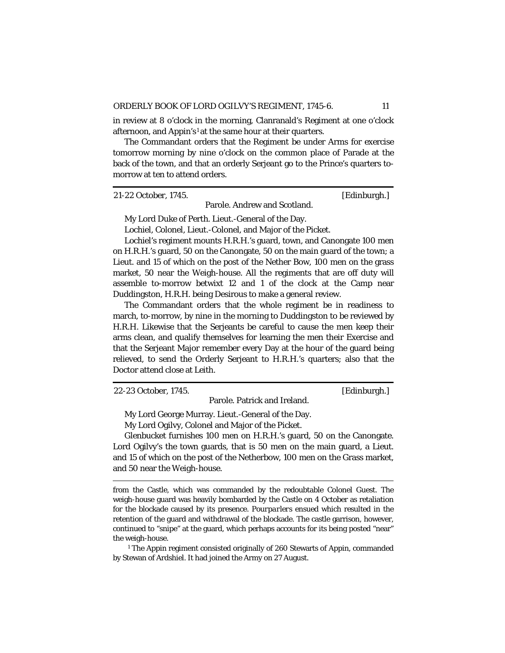in review at 8 o'clock in the morning, Clanranald's Regiment at one o'clock afternoon, and Appin's<sup>[1](#page-16-0)</sup> at the same hour at their quarters.

The Commandant orders that the Regiment be under Arms for exercise tomorrow morning by nine o'clock on the common place of Parade at the back of the town, and that an orderly Serjeant go to the Prince's quarters tomorrow at ten to attend orders.

21-22 October, 1745. [Edinburgh.]

Parole. Andrew and Scotland.

My Lord Duke of Perth. Lieut.-General of the Day.

Lochiel, Colonel, Lieut.-Colonel, and Major of the Picket.

Lochiel's regiment mounts H.R.H.'s guard, town, and Canongate 100 men on H.R.H.'s guard, 50 on the Canongate, 50 on the main guard of the town; a Lieut. and 15 of which on the post of the Nether Bow, 100 men on the grass market, 50 near the Weigh-house. All the regiments that are off duty will assemble to-morrow betwixt 12 and 1 of the clock at the Camp near Duddingston, H.R.H. being Desirous to make a general review.

The Commandant orders that the whole regiment be in readiness to march, to-morrow, by nine in the morning to Duddingston to be reviewed by H.R.H. Likewise that the Serjeants be careful to cause the men keep their arms clean, and qualify themselves for learning the men their Exercise and that the Serjeant Major remember every Day at the hour of the guard being relieved, to send the Orderly Serjeant to H.R.H.'s quarters; also that the Doctor attend close at Leith.

22-23 October, 1745. [Edinburgh.]

Parole. Patrick and Ireland.

My Lord George Murray. Lieut.-General of the Day.

My Lord Ogilvy, Colonel and Major of the Picket.

Glenbucket furnishes 100 men on H.R.H.'s guard, 50 on the Canongate. Lord Ogilvy's the town guards, that is 50 men on the main guard, a Lieut. and 15 of which on the post of the Netherbow, 100 men on the Grass market, and 50 near the Weigh-house.

 from the Castle, which was commanded by the redoubtable Colonel Guest. The weigh-house guard was heavily bombarded by the Castle on 4 October as retaliation for the blockade caused by its presence. *Pourparlers* ensued which resulted in the retention of the guard and withdrawal of the blockade. The castle garrison, however, continued to "snipe" at the guard, which perhaps accounts for its being posted "near" the weigh-house.

<span id="page-16-0"></span><sup>1</sup> The Appin regiment consisted originally of 260 Stewarts of Appin, commanded by Stewan of Ardshiel. It had joined the Army on 27 August.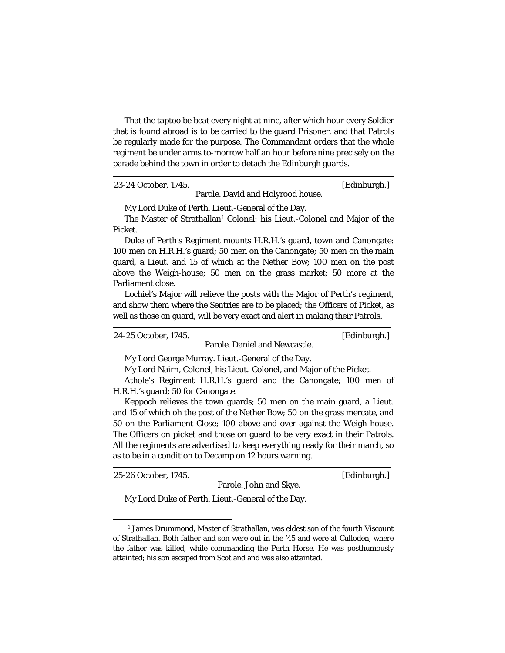That the taptoo be beat every night at nine, after which hour every Soldier that is found abroad is to be carried to the guard Prisoner, and that Patrols be regularly made for the purpose. The Commandant orders that the whole regiment be under arms to-morrow half an hour before nine precisely on the parade behind the town in order to detach the Edinburgh guards.

#### 23-24 October, 1745. [Edinburgh.]

Parole. David and Holyrood house.

My Lord Duke of Perth. Lieut.-General of the Day.

The Master of Strathallan<sup>[1](#page-17-0)</sup> Colonel: his Lieut.-Colonel and Major of the Picket.

Duke of Perth's Regiment mounts H.R.H.'s guard, town and Canongate: 100 men on H.R.H.'s guard; 50 men on the Canongate; 50 men on the main guard, a Lieut. and 15 of which at the Nether Bow; 100 men on the post above the Weigh-house; 50 men on the grass market; 50 more at the Parliament close.

Lochiel's Major will relieve the posts with the Major of Perth's regiment, and show them where the Sentries are to be placed; the Officers of Picket, as well as those on guard, will be very exact and alert in making their Patrols.

24-25 October, 1745. [Edinburgh.]

Parole. Daniel and Newcastle.

My Lord George Murray. Lieut.-General of the Day.

My Lord Nairn, Colonel, his Lieut.-Colonel, and Major of the Picket.

Athole's Regiment H.R.H.'s guard and the Canongate; 100 men of H.R.H.'s guard; 50 for Canongate.

Keppoch relieves the town guards; 50 men on the main guard, a Lieut. and 15 of which oh the post of the Nether Bow; 50 on the grass mercate, and 50 on the Parliament Close; 100 above and over against the Weigh-house. The Officers on picket and those on guard to be very exact in their Patrols. All the regiments are advertised to keep everything ready for their march, so as to be in a condition to Decamp on 12 hours warning.

25-26 October, 1745. [Edinburgh.]

Parole. John and Skye.

My Lord Duke of Perth. Lieut.-General of the Day.

<span id="page-17-0"></span><sup>1</sup> James Drummond, Master of Strathallan, was eldest son of the fourth Viscount of Strathallan. Both father and son were out in the '45 and were at Culloden, where the father was killed, while commanding the Perth Horse. He was posthumously attainted; his son escaped from Scotland and was also attainted.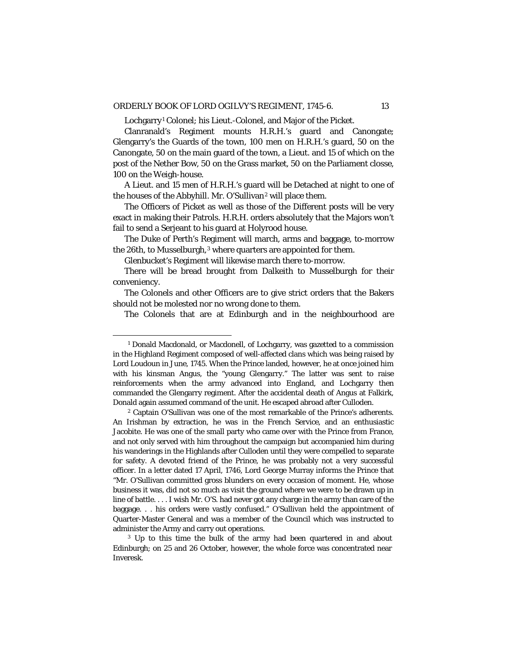Lochgarry<sup>[1](#page-18-0)</sup> Colonel; his Lieut.-Colonel, and Major of the Picket.

Clanranald's Regiment mounts H.R.H.'s guard and Canongate; Glengarry's the Guards of the town, 100 men on H.R.H.'s guard, 50 on the Canongate, 50 on the main guard of the town, a Lieut. and 15 of which on the post of the Nether Bow, 50 on the Grass market, 50 on the Parliament closse, 100 on the Weigh-house.

A Lieut. and 15 men of H.R.H.'s guard will be Detached at night to one of the houses of the Abbyhill. Mr. O'Sullivan<sup>[2](#page-18-1)</sup> will place them.

The Officers of Picket as well as those of the Different posts will be very exact in making their Patrols. H.R.H. orders absolutely that the Majors won't fail to send a Serjeant to his guard at Holyrood house.

The Duke of Perth's Regiment will march, arms and baggage, to-morrow the 26th, to Musselburgh,<sup>[3](#page-18-2)</sup> where quarters are appointed for them.

Glenbucket's Regiment will likewise march there to-morrow.

There will be bread brought from Dalkeith to Musselburgh for their conveniency.

The Colonels and other Officers are to give strict orders that the Bakers should not be molested nor no wrong done to them.

The Colonels that are at Edinburgh and in the neighbourhood are

<span id="page-18-0"></span><sup>&</sup>lt;sup>1</sup> Donald Macdonald, or Macdonell, of Lochgarry, was gazetted to a commission in the Highland Regiment composed of well-affected clans which was being raised by Lord Loudoun in June, 1745. When the Prince landed, however, he at once joined him with his kinsman Angus, the "young Glengarry." The latter was sent to raise reinforcements when the army advanced into England, and Lochgarry then commanded the Glengarry regiment. After the accidental death of Angus at Falkirk, Donald again assumed command of the unit. He escaped abroad after Culloden.

<span id="page-18-1"></span><sup>2</sup> Captain O'Sullivan was one of the most remarkable of the Prince's adherents. An Irishman by extraction, he was in the French Service, and an enthusiastic Jacobite. He was one of the small party who came over with the Prince from France, and not only served with him throughout the campaign but accompanied him during his wanderings in the Highlands after Culloden until they were compelled to separate for safety. A devoted friend of the Prince, he was probably not a very successful officer. In a letter dated 17 April, 1746, Lord George Murray informs the Prince that "Mr. O'Sullivan committed gross blunders on every occasion of moment. He, whose business it was, did not so much as visit the ground where we were to be drawn up in line of battle. . . . I wish Mr. O'S. had never got any charge in the army than care of the baggage. . . his orders were vastly confused." O'Sullivan held the appointment of Quarter-Master General and was a member of the Council which was instructed to administer the Army and carry out operations.

<span id="page-18-2"></span><sup>&</sup>lt;sup>3</sup> Up to this time the bulk of the army had been quartered in and about Edinburgh; on 25 and 26 October, however, the whole force was concentrated near Inveresk.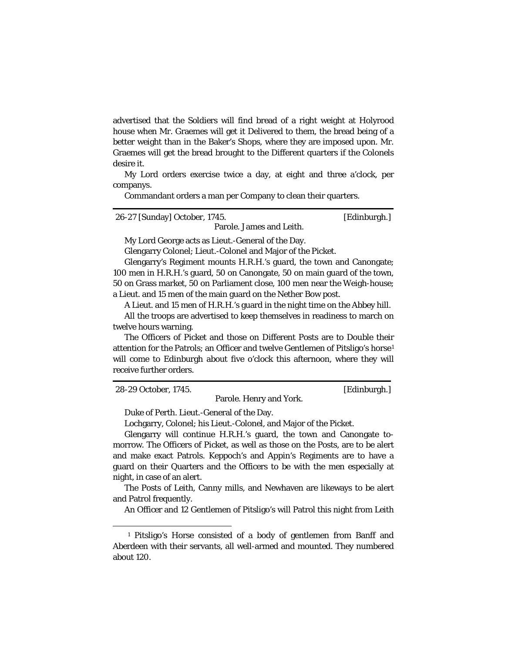advertised that the Soldiers will find bread of a right weight at Holyrood house when Mr. Graemes will get it Delivered to them, the bread being of a better weight than in the Baker's Shops, where they are imposed upon. Mr. Graemes will get the bread brought to the Different quarters if the Colonels desire it.

My Lord orders exercise twice a day, at eight and three a'clock, per companys.

Commandant orders a man per Company to clean their quarters.

26-27 [Sunday] October, 1745. [Edinburgh.] Parole. James and Leith.

My Lord George acts as Lieut.-General of the Day.

Glengarry Colonel; Lieut.-Colonel and Major of the Picket.

Glengarry's Regiment mounts H.R.H.'s guard, the town and Canongate; 100 men in H.R.H.'s guard, 50 on Canongate, 50 on main guard of the town, 50 on Grass market, 50 on Parliament close, 100 men near the Weigh-house; a Lieut. and 15 men of the main guard on the Nether Bow post.

A Lieut. and 15 men of H.R.H.'s guard in the night time on the Abbey hill.

All the troops are advertised to keep themselves in readiness to march on twelve hours warning.

The Officers of Picket and those on Different Posts are to Double their attention for the Patrols; an Officer and twelve Gentlemen of Pitsligo's horse[1](#page-19-0) will come to Edinburgh about five o'clock this afternoon, where they will receive further orders.

Parole. Henry and York.

28-29 October, 1745. [Edinburgh.]

Duke of Perth. Lieut.-General of the Day.

Lochgarry, Colonel; his Lieut.-Colonel, and Major of the Picket.

Glengarry will continue H.R.H.'s guard, the town and Canongate tomorrow. The Officers of Picket, as well as those on the Posts, are to be alert and make exact Patrols. Keppoch's and Appin's Regiments are to have a guard on their Quarters and the Officers to be with the men especially at night, in case of an alert.

The Posts of Leith, Canny mills, and Newhaven are likeways to be alert and Patrol frequently.

An Officer and 12 Gentlemen of Pitsligo's will Patrol this night from Leith

<span id="page-19-0"></span><sup>—</sup> <sup>1</sup> Pitsligo's Horse consisted of a body of gentlemen from Banff and Aberdeen with their servants, all well-armed and mounted. They numbered about 120.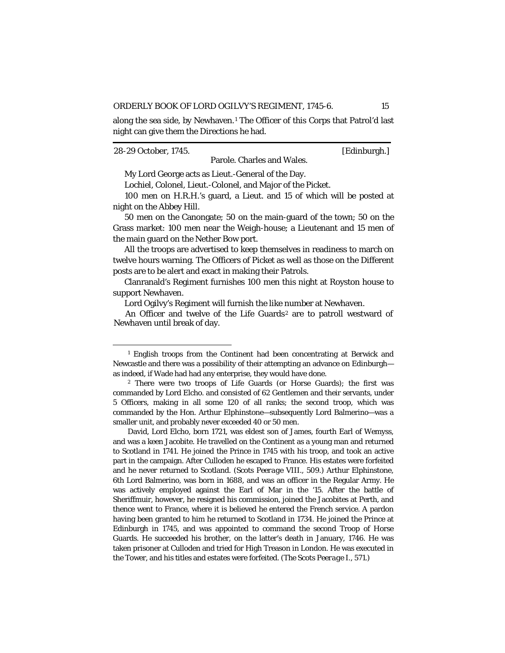along the sea side, by Newhaven.<sup>[1](#page-20-0)</sup> The Officer of this Corps that Patrol'd last night can give them the Directions he had.

28-29 October, 1745. [Edinburgh.] Parole. Charles and Wales.

My Lord George acts as Lieut.-General of the Day.

Lochiel, Colonel, Lieut.-Colonel, and Major of the Picket.

100 men on H.R.H.'s guard, a Lieut. and 15 of which will be posted at night on the Abbey Hill.

50 men on the Canongate; 50 on the main-guard of the town; 50 on the Grass market: 100 men near the Weigh-house; a Lieutenant and 15 men of the main guard on the Nether Bow port.

All the troops are advertised to keep themselves in readiness to march on twelve hours warning. The Officers of Picket as well as those on the Different posts are to be alert and exact in making their Patrols.

Clanranald's Regiment furnishes 100 men this night at Royston house to support Newhaven.

Lord Ogilvy's Regiment will furnish the like number at Newhaven.

An Officer and twelve of the Life Guards<sup>[2](#page-20-1)</sup> are to patroll westward of Newhaven until break of day.

David, Lord Elcho, born 1721, was eldest son of James, fourth Earl of Wemyss, and was a keen Jacobite. He travelled on the Continent as a young man and returned to Scotland in 1741. He joined the Prince in 1745 with his troop, and took an active part in the campaign. After Culloden he escaped to France. His estates were forfeited and he never returned to Scotland. *(Scots Peerage* VIII., 509.) Arthur Elphinstone, 6th Lord Balmerino, was born in 1688, and was an officer in the Regular Army. He was actively employed against the Earl of Mar in the '15. After the battle of Sheriffmuir, however, he resigned his commission, joined the Jacobites at Perth, and thence went to France, where it is believed he entered the French service. A pardon having been granted to him he returned to Scotland in 1734. He joined the Prince at Edinburgh in 1745, and was appointed to command the second Troop of Horse Guards. He succeeded his brother, on the latter's death in January, 1746. He was taken prisoner at Culloden and tried for High Treason in London. He was executed in the Tower, and his titles and estates were forfeited. *(The Scots Peerage* I., 571.)

<span id="page-20-0"></span><sup>&</sup>lt;sup>1</sup> English troops from the Continent had been concentrating at Berwick and Newcastle and there was a possibility of their attempting an advance on Edinburgh as indeed, if Wade had had any enterprise, they would have done.

<span id="page-20-1"></span><sup>2</sup> There were two troops of Life Guards (or Horse Guards); the first was commanded by Lord Elcho. and consisted of 62 Gentlemen and their servants, under 5 Officers, making in all some 120 of all ranks; the second troop, which was commanded by the Hon. Arthur Elphinstone—subsequently Lord Balmerino—was a smaller unit, and probably never exceeded 40 or 50 men.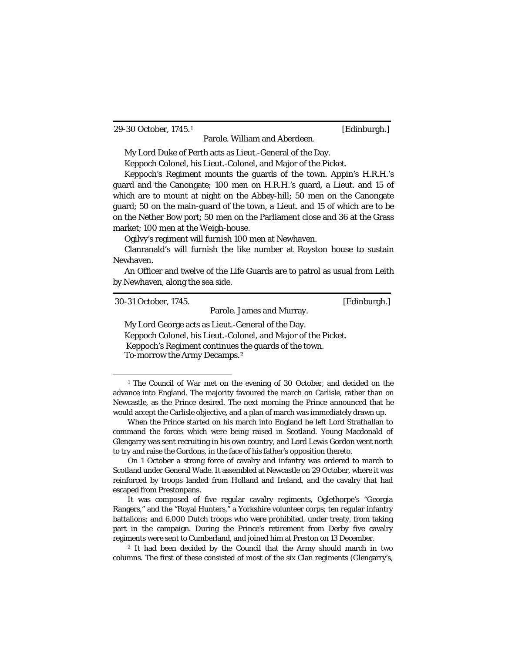29-30 October, 1745.[1](#page-21-0) [Edinburgh.]

My Lord Duke of Perth acts as Lieut.-General of the Day.

Keppoch Colonel, his Lieut.-Colonel, and Major of the Picket.

Keppoch's Regiment mounts the guards of the town. Appin's H.R.H.'s guard and the Canongate; 100 men on H.R.H.'s guard, a Lieut. and 15 of which are to mount at night on the Abbey-hill; 50 men on the Canongate guard; 50 on the main-guard of the town, a Lieut. and 15 of which are to be on the Nether Bow port; 50 men on the Parliament close and 36 at the Grass market; 100 men at the Weigh-house.

Parole. William and Aberdeen.

Ogilvy's regiment will furnish 100 men at Newhaven.

Clanranald's will furnish the like number at Royston house to sustain Newhaven.

An Officer and twelve of the Life Guards are to patrol as usual from Leith by Newhaven, along the sea side.

| 30-31 October, 1745.                                          | [Edinburgh.] |
|---------------------------------------------------------------|--------------|
| Parole. James and Murray.                                     |              |
| My Lord George acts as Lieut.-General of the Day.             |              |
| Keppoch Colonel, his Lieut.-Colonel, and Major of the Picket. |              |
| Keppoch's Regiment continues the guards of the town.          |              |

To-morrow the Army Decamps.[2](#page-21-1)

<span id="page-21-0"></span><sup>1</sup> The Council of War met on the evening of 30 October, and decided on the advance into England. The majority favoured the march on Carlisle, rather than on Newcastle, as the Prince desired. The next morning the Prince announced that he would accept the Carlisle objective, and a plan of march was immediately drawn up.

When the Prince started on his march into England he left Lord Strathallan to command the forces which were being raised in Scotland. Young Macdonald of Glengarry was sent recruiting in his own country, and Lord Lewis Gordon went north to try and raise the Gordons, in the face of his father's opposition thereto.

On 1 October a strong force of cavalry and infantry was ordered to march to Scotland under General Wade. It assembled at Newcastle on 29 October, where it was reinforced by troops landed from Holland and Ireland, and the cavalry that had escaped from Prestonpans.

It was composed of five regular cavalry regiments, Oglethorpe's "Georgia Rangers," and the "Royal Hunters," a Yorkshire volunteer corps; ten regular infantry battalions; and 6,000 Dutch troops who were prohibited, under treaty, from taking part in the campaign. During the Prince's retirement from Derby five cavalry regiments were sent to Cumberland, and joined him at Preston on 13 December.

<span id="page-21-1"></span><sup>&</sup>lt;sup>2</sup> It had been decided by the Council that the Army should march in two columns. The first of these consisted of most of the six Clan regiments (Glengarry's,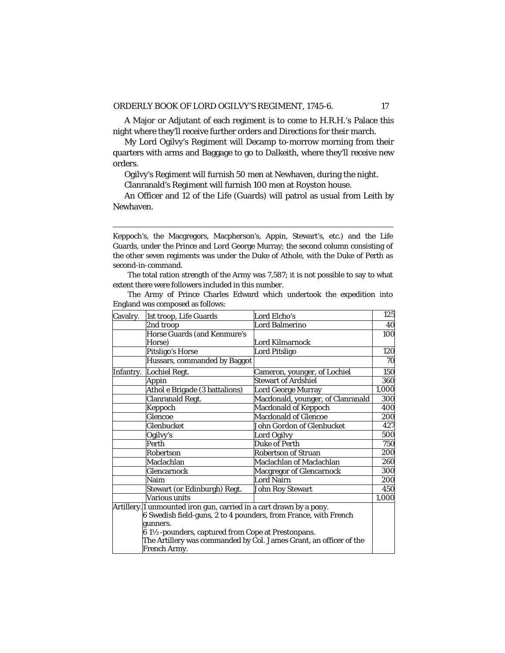A Major or Adjutant of each regiment is to come to H.R.H.'s Palace this night where they'll receive further orders and Directions for their march.

My Lord Ogilvy's Regiment will Decamp to-morrow morning from their quarters with arms and Baggage to go to Dalkeith, where they'll receive new orders.

Ogilvy's Regiment will furnish 50 men at Newhaven, during the night.

Clanranald's Regiment will furnish 100 men at Royston house.

An Officer and 12 of the Life (Guards) will patrol as usual from Leith by Newhaven.

 Keppoch's, the Macgregors, Macpherson's, Appin, Stewart's, etc.) and the Life Guards, under the Prince and Lord George Murray; the second column consisting of the other seven regiments was under the Duke of Athole, with the Duke of Perth as second-in-command.

The total ration strength of the Army was 7,587; it is not possible to say to what extent there were followers included in this number.

| The Army of Prince Charles Edward which undertook the expedition into |  |  |  |  |
|-----------------------------------------------------------------------|--|--|--|--|
| England was composed as follows:                                      |  |  |  |  |

| Cavalry. | 1st troop, Life Guards                                              | Lord Elcho's                                                       | $\overline{125}$ |
|----------|---------------------------------------------------------------------|--------------------------------------------------------------------|------------------|
|          | 2nd troop                                                           | Lord Balmerino                                                     | 40               |
|          | Horse Guards (and Kenmure's                                         |                                                                    | 100              |
|          | Horse)                                                              | Lord Kilmarnock                                                    |                  |
|          | Pitsligo's Horse                                                    | Lord Pitsligo                                                      | 120              |
|          | Hussars, commanded by Baggot                                        |                                                                    | 70               |
|          | Infantry. Lochiel Regt.                                             | Cameron, younger, of Lochiel                                       | 150              |
|          | Appin                                                               | <b>Stewart of Ardshiel</b>                                         | 360              |
|          | Athol e Brigade (3 battalions)                                      | Lord George Murray                                                 | 1,000            |
|          | Clanranald Regt.                                                    | Macdonald, younger, of Clanranald                                  | 300              |
|          | Keppoch                                                             | Macdonald of Keppoch                                               | 400              |
|          | Glencoe                                                             | <b>Macdonald of Glencoe</b>                                        | 200              |
|          | Glenbucket                                                          | John Gordon of Glenbucket                                          | 427              |
|          | Ogilvy's                                                            | <b>Lord Ogilvy</b>                                                 | 500              |
|          | Perth                                                               | <b>Duke of Perth</b>                                               | 750              |
|          | Robertson                                                           | <b>Robertson of Struan</b>                                         | 200              |
|          | Maclachlan                                                          | Maclachlan of Maclachlan                                           | 260              |
|          | Glencarnock                                                         | Macgregor of Glencarnock                                           | 300              |
|          | Naim                                                                | Lord Nairn                                                         | 200              |
|          | Stewart (or Edinburgh) Regt.                                        | <b>John Roy Stewart</b>                                            | 450              |
|          | Various units                                                       |                                                                    | 1,000            |
|          | Artillery. I unmounted iron gun, carried in a cart drawn by a pony. |                                                                    |                  |
|          | 6 Swedish field-guns, 2 to 4 pounders, from France, with French     |                                                                    |                  |
|          | gunners.                                                            |                                                                    |                  |
|          | $61\frac{1}{2}$ -pounders, captured from Cope at Prestonpans.       |                                                                    |                  |
|          |                                                                     | The Artillery was commanded by Col. James Grant, an officer of the |                  |
|          | French Army.                                                        |                                                                    |                  |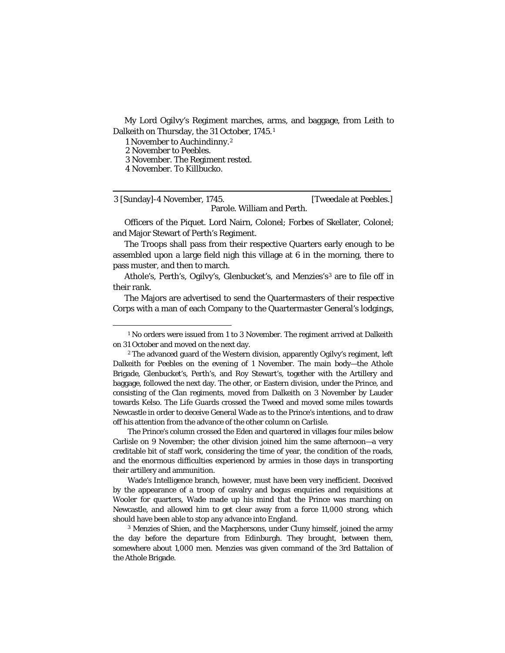My Lord Ogilvy's Regiment marches, arms, and baggage, from Leith to Dalkeith on Thursday, the 31 October, 1745.[1](#page-23-0)

1 November to Auchindinny.[2](#page-23-1)

2 November to Peebles.

3 November. The Regiment rested.

4 November. To Killbucko.

3 [Sunday]-4 November, 1745. [Tweedale at Peebles.] Parole. William and Perth.

Officers of the Piquet. Lord Nairn, Colonel; Forbes of Skellater, Colonel; and Major Stewart of Perth's Regiment.

The Troops shall pass from their respective Quarters early enough to be assembled upon a large field nigh this village at 6 in the morning, there to pass muster, and then to march.

Athole's, Perth's, Ogilvy's, Glenbucket's, and Menzies's<sup>[3](#page-23-2)</sup> are to file off in their rank.

The Majors are advertised to send the Quartermasters of their respective Corps with a man of each Company to the Quartermaster General's lodgings,

The Prince's column crossed the Eden and quartered in villages four miles below Carlisle on 9 November; the other division joined him the same afternoon—a very creditable bit of staff work, considering the time of year, the condition of the roads, and the enormous difficulties experienced by armies in those days in transporting their artillery and ammunition.

Wade's Intelligence branch, however, must have been very inefficient. Deceived by the appearance of a troop of cavalry and bogus enquiries and requisitions at Wooler for quarters, Wade made up his mind that the Prince was marching on Newcastle, and allowed him to get clear away from a force 11,000 strong, which should have been able to stop any advance into England.

<span id="page-23-2"></span><sup>3</sup> Menzies of Shien, and the Macphersons, under Cluny himself, joined the army the day before the departure from Edinburgh. They brought, between them, somewhere about 1,000 men. Menzies was given command of the 3rd Battalion of the Athole Brigade.

<span id="page-23-0"></span><sup>&</sup>lt;sup>1</sup> No orders were issued from 1 to 3 November. The regiment arrived at Dalkeith on 31 October and moved on the next day.

<span id="page-23-1"></span><sup>&</sup>lt;sup>2</sup> The advanced guard of the Western division, apparently Ogilvy's regiment, left Dalkeith for Peebles on the evening of 1 November. The main body—the Athole Brigade, Glenbucket's, Perth's, and Roy Stewart's, together with the Artillery and baggage, followed the next day. The other, or Eastern division, under the Prince, and consisting of the Clan regiments, moved from Dalkeith on 3 November by Lauder towards Kelso. The Life Guards crossed the Tweed and moved some miles towards Newcastle in order to deceive General Wade as to the Prince's intentions, and to draw off his attention from the advance of the other column on Carlisle.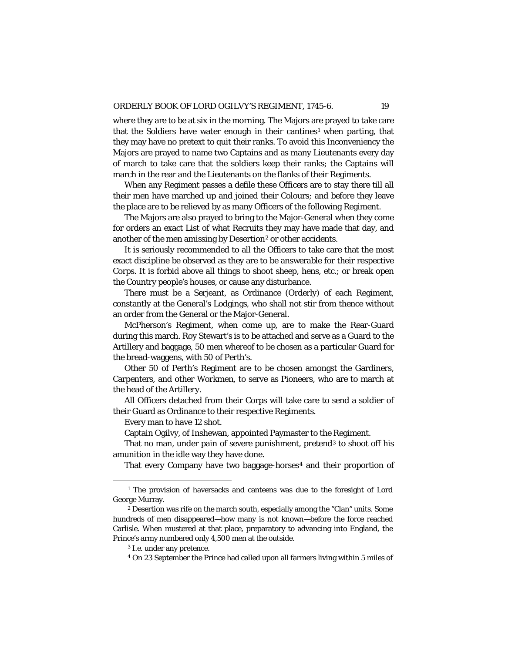where they are to be at six in the morning. The Majors are prayed to take care that the Soldiers have water enough in their cantines<sup>[1](#page-24-0)</sup> when parting, that they may have no pretext to quit their ranks. To avoid this Inconveniency the Majors are prayed to name two Captains and as many Lieutenants every day of march to take care that the soldiers keep their ranks; the Captains will march in the rear and the Lieutenants on the flanks of their Regiments.

When any Regiment passes a defile these Officers are to stay there till all their men have marched up and joined their Colours; and before they leave the place are to be relieved by as many Officers of the following Regiment.

The Majors are also prayed to bring to the Major-General when they come for orders an exact List of what Recruits they may have made that day, and another of the men amissing by Desertion<sup>[2](#page-24-1)</sup> or other accidents.

It is seriously recommended to all the Officers to take care that the most exact discipline be observed as they are to be answerable for their respective Corps. It is forbid above all things to shoot sheep, hens, etc.; or break open the Country people's houses, or cause any disturbance.

There must be a Serjeant, as Ordinance (Orderly) of each Regiment, constantly at the General's Lodgings, who shall not stir from thence without an order from the General or the Major-General.

McPherson's Regiment, when come up, are to make the Rear-Guard during this march. Roy Stewart's is to be attached and serve as a Guard to the Artillery and baggage, 50 men whereof to be chosen as a particular Guard for the bread-waggens, with 50 of Perth's.

Other 50 of Perth's Regiment are to be chosen amongst the Gardiners, Carpenters, and other Workmen, to serve as Pioneers, who are to march at the head of the Artillery.

All Officers detached from their Corps will take care to send a soldier of their Guard as Ordinance to their respective Regiments.

Every man to have 12 shot.

Captain Ogilvy, of Inshewan, appointed Paymaster to the Regiment.

That no man, under pain of severe punishment, pretend<sup>[3](#page-24-2)</sup> to shoot off his amunition in the idle way they have done.

That every Company have two baggage-horses<sup>[4](#page-24-3)</sup> and their proportion of

<span id="page-24-0"></span><sup>&</sup>lt;sup>1</sup> The provision of haversacks and canteens was due to the foresight of Lord George Murray.

<span id="page-24-3"></span><span id="page-24-2"></span><span id="page-24-1"></span><sup>2</sup> Desertion was rife on the march south, especially among the "Clan" units. Some hundreds of men disappeared—how many is not known—before the force reached Carlisle. When mustered at that place, preparatory to advancing into England, the Prince's army numbered only 4,500 men at the outside.

<sup>3</sup> *I.e.* under any pretence.

<sup>4</sup> On 23 September the Prince had called upon all farmers living within 5 miles of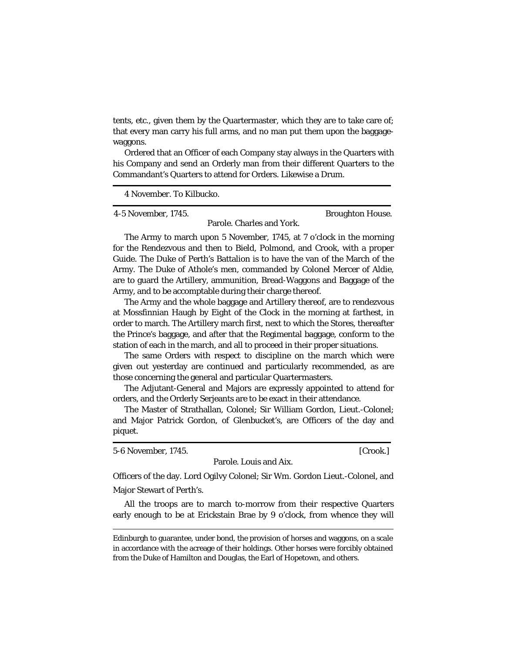tents, etc., given them by the Quartermaster, which they are to take care of; that every man carry his full arms, and no man put them upon the baggagewaggons.

Ordered that an Officer of each Company stay always in the Quarters with his Company and send an Orderly man from their different Quarters to the Commandant's Quarters to attend for Orders. Likewise a Drum.

4 November. To Kilbucko.

4-5 November, 1745. Broughton House.

Parole. Charles and York.

The Army to march upon 5 November, 1745, at 7 o'clock in the morning for the Rendezvous and then to Bield, Polmond, and Crook, with a proper Guide. The Duke of Perth's Battalion is to have the van of the March of the Army. The Duke of Athole's men, commanded by Colonel Mercer of Aldie, are to guard the Artillery, ammunition, Bread-Waggons and Baggage of the Army, and to be accomptable during their charge thereof.

The Army and the whole baggage and Artillery thereof, are to rendezvous at Mossfinnian Haugh by Eight of the Clock in the morning at farthest, in order to march. The Artillery march first, next to which the Stores, thereafter the Prince's baggage, and after that the Regimental baggage, conform to the station of each in the march, and all to proceed in their proper situations.

The same Orders with respect to discipline on the march which were given out yesterday are continued and particularly recommended, as are those concerning the general and particular Quartermasters.

The Adjutant-General and Majors are expressly appointed to attend for orders, and the Orderly Serjeants are to be exact in their attendance.

The Master of Strathallan, Colonel; Sir William Gordon, Lieut.-Colonel; and Major Patrick Gordon, of Glenbucket's, are Officers of the day and piquet.

5-6 November, 1745. [Crook.]

Parole. Louis and Aix.

Officers of the day. Lord Ogilvy Colonel; Sir Wm. Gordon Lieut.-Colonel, and Major Stewart of Perth's.

All the troops are to march to-morrow from their respective Quarters early enough to be at Erickstain Brae by 9 o'clock, from whence they will

Edinburgh to guarantee, under bond, the provision of horses and waggons, on a scale in accordance with the acreage of their holdings. Other horses were forcibly obtained from the Duke of Hamilton and Douglas, the Earl of Hopetown, and others.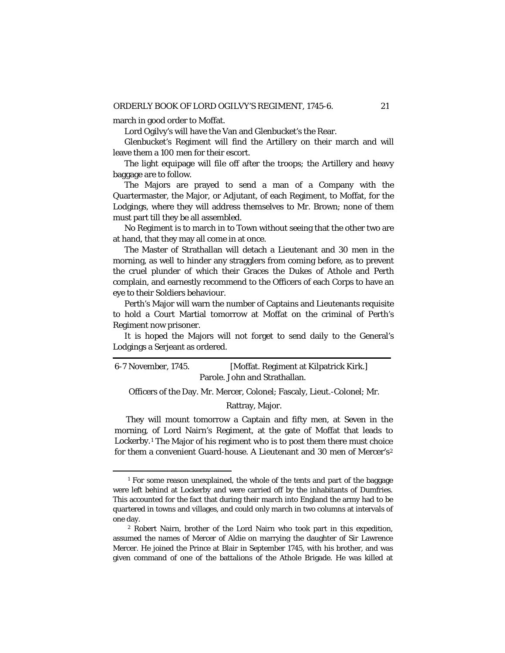march in good order to Moffat.

Lord Ogilvy's will have the Van and Glenbucket's the Rear.

Glenbucket's Regiment will find the Artillery on their march and will leave them a 100 men for their escort.

The light equipage will file off after the troops; the Artillery and heavy baggage are to follow.

The Majors are prayed to send a man of a Company with the Quartermaster, the Major, or Adjutant, of each Regiment, to Moffat, for the Lodgings, where they will address themselves to Mr. Brown; none of them must part till they be all assembled.

No Regiment is to march in to Town without seeing that the other two are at hand, that they may all come in at once.

The Master of Strathallan will detach a Lieutenant and 30 men in the morning, as well to hinder any stragglers from coming before, as to prevent the cruel plunder of which their Graces the Dukes of Athole and Perth complain, and earnestly recommend to the Officers of each Corps to have an eye to their Soldiers behaviour.

Perth's Major will warn the number of Captains and Lieutenants requisite to hold a Court Martial tomorrow at Moffat on the criminal of Perth's Regiment now prisoner.

It is hoped the Majors will not forget to send daily to the General's Lodgings a Serjeant as ordered.

6-7 November, 1745. [Moffat. Regiment at Kilpatrick Kirk.] Parole. John and Strathallan.

Officers of the Day. Mr. Mercer, Colonel; Fascaly, Lieut.-Colonel; Mr.

Rattray, Major.

They will mount tomorrow a Captain and fifty men, at Seven in the morning, of Lord Nairn's Regiment, at the gate of Moffat that leads to Lockerby.[1](#page-26-0) The Major of his regiment who is to post them there must choice for them a convenient Guard-house. A Lieutenant and 30 men of Mercer's<sup>[2](#page-26-1)</sup>

<span id="page-26-0"></span><sup>&</sup>lt;sup>1</sup> For some reason unexplained, the whole of the tents and part of the baggage were left behind at Lockerby and were carried off by the inhabitants of Dumfries. This accounted for the fact that during their march into England the army had to be quartered in towns and villages, and could only march in two columns at intervals of one day.

<span id="page-26-1"></span><sup>2</sup> Robert Nairn, brother of the Lord Nairn who took part in this expedition, assumed the names of Mercer of Aldie on marrying the daughter of Sir Lawrence Mercer. He joined the Prince at Blair in September 1745, with his brother, and was given command of one of the battalions of the Athole Brigade. He was killed at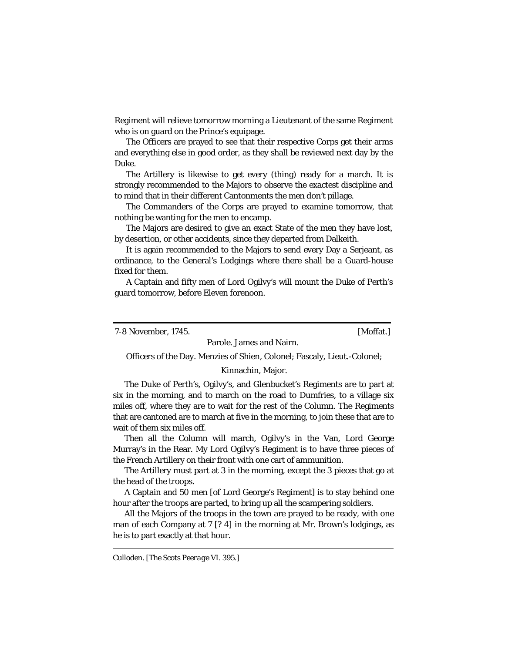Regiment will relieve tomorrow morning a Lieutenant of the same Regiment who is on guard on the Prince's equipage.

The Officers are prayed to see that their respective Corps get their arms and everything else in good order, as they shall be reviewed next day by the Duke.

The Artillery is likewise to get every (thing) ready for a march. It is strongly recommended to the Majors to observe the exactest discipline and to mind that in their different Cantonments the men don't pillage.

The Commanders of the Corps are prayed to examine tomorrow, that nothing be wanting for the men to encamp.

The Majors are desired to give an exact State of the men they have lost, by desertion, or other accidents, since they departed from Dalkeith.

It is again recommended to the Majors to send every Day a Serjeant, as ordinance, to the General's Lodgings where there shall be a Guard-house fixed for them.

A Captain and fifty men of Lord Ogilvy's will mount the Duke of Perth's guard tomorrow, before Eleven forenoon.

7-8 November, 1745. [Moffat.]

Parole. James and Nairn.

Officers of the Day. Menzies of Shien, Colonel; Fascaly, Lieut.-Colonel;

#### Kinnachin, Major.

The Duke of Perth's, Ogilvy's, and Glenbucket's Regiments are to part at six in the morning, and to march on the road to Dumfries, to a village six miles off, where they are to wait for the rest of the Column. The Regiments that are cantoned are to march at five in the morning, to join these that are to wait of them six miles off.

Then all the Column will march, Ogilvy's in the Van, Lord George Murray's in the Rear. My Lord Ogilvy's Regiment is to have three pieces of the French Artillery on their front with one cart of ammunition.

The Artillery must part at 3 in the morning, except the 3 pieces that go at the head of the troops.

A Captain and 50 men [of Lord George's Regiment] is to stay behind one hour after the troops are parted, to bring up all the scampering soldiers.

All the Majors of the troops in the town are prayed to be ready, with one man of each Company at 7 [? 4] in the morning at Mr. Brown's lodgings, as he is to part exactly at that hour.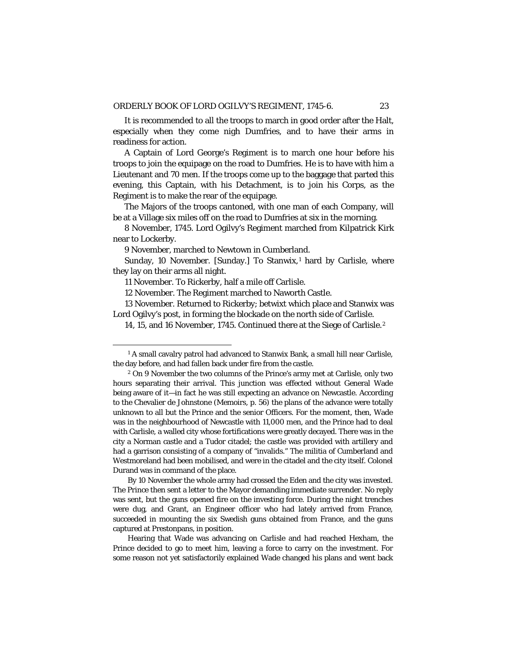It is recommended to all the troops to march in good order after the Halt, especially when they come nigh Dumfries, and to have their arms in readiness for action.

A Captain of Lord George's Regiment is to march one hour before his troops to join the equipage on the road to Dumfries. He is to have with him a Lieutenant and 70 men. If the troops come up to the baggage that parted this evening, this Captain, with his Detachment, is to join his Corps, as the Regiment is to make the rear of the equipage.

The Majors of the troops cantoned, with one man of each Company, will be at a Village six miles off on the road to Dumfries at six in the morning.

8 November, 1745. Lord Ogilvy's Regiment marched from Kilpatrick Kirk near to Lockerby.

9 November, marched to Newtown in Cumberland.

Sunday, [1](#page-28-0)0 November. [Sunday.] To Stanwix,<sup>1</sup> hard by Carlisle, where they lay on their arms all night.

11 November. To Rickerby, half a mile off Carlisle.

12 November. The Regiment marched to Naworth Castle.

13 November. Returned to Rickerby; betwixt which place and Stanwix was Lord Ogilvy's post, in forming the blockade on the north side of Carlisle.

14, 15, and 16 November, 1745. Continued there at the Siege of Carlisle.[2](#page-28-1)

By 10 November the whole army had crossed the Eden and the city was invested. The Prince then sent a letter to the Mayor demanding immediate surrender. No reply was sent, but the guns opened fire on the investing force. During the night trenches were dug, and Grant, an Engineer officer who had lately arrived from France, succeeded in mounting the six Swedish guns obtained from France, and the guns captured at Prestonpans, in position.

Hearing that Wade was advancing on Carlisle and had reached Hexham, the Prince decided to go to meet him, leaving a force to carry on the investment. For some reason not yet satisfactorily explained Wade changed his plans and went back

<span id="page-28-0"></span><sup>&</sup>lt;sup>1</sup> A small cavalry patrol had advanced to Stanwix Bank, a small hill near Carlisle, the day before, and had fallen back under fire from the castle.

<span id="page-28-1"></span><sup>2</sup> On 9 November the two columns of the Prince's army met at Carlisle, only two hours separating their arrival. This junction was effected without General Wade being aware of it—in fact he was still expecting an advance on Newcastle. According to the Chevalier de Johnstone (Memoirs, p. 56) the plans of the advance were totally unknown to all but the Prince and the senior Officers. For the moment, then, Wade was in the neighbourhood of Newcastle with 11,000 men, and the Prince had to deal with Carlisle, a walled city whose fortifications were greatly decayed. There was in the city a Norman castle and a Tudor citadel; the castle was provided with artillery and had a garrison consisting of a company of "invalids." The militia of Cumberland and Westmoreland had been mobilised, and were in the citadel and the city itself. Colonel Durand was in command of the place.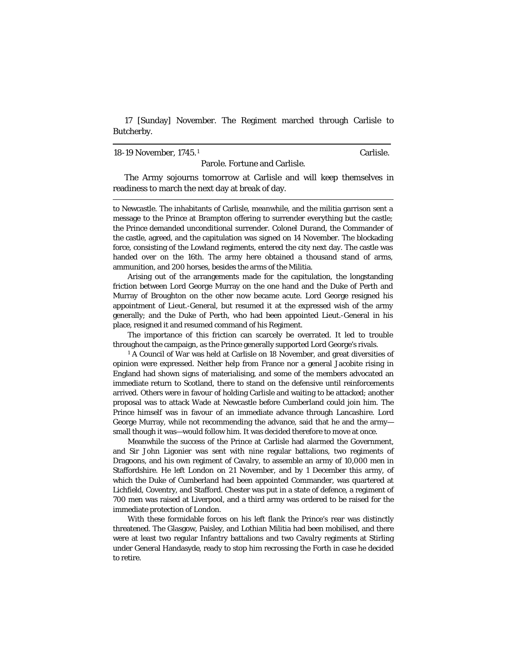17 [Sunday] November. The Regiment marched through Carlisle to Butcherby.

18-19 November, 1745.[1](#page-29-0) Carlisle.

Parole. Fortune and Carlisle.

The Army sojourns tomorrow at Carlisle and will keep themselves in readiness to march the next day at break of day.

 to Newcastle. The inhabitants of Carlisle, meanwhile, and the militia garrison sent a message to the Prince at Brampton offering to surrender everything but the castle; the Prince demanded unconditional surrender. Colonel Durand, the Commander of the castle, agreed, and the capitulation was signed on 14 November. The blockading force, consisting of the Lowland regiments, entered the city next day. The castle was handed over on the 16th. The army here obtained a thousand stand of arms, ammunition, and 200 horses, besides the arms of the Militia.

Arising out of the arrangements made for the capitulation, the longstanding friction between Lord George Murray on the one hand and the Duke of Perth and Murray of Broughton on the other now became acute. Lord George resigned his appointment of Lieut.-General, but resumed it at the expressed wish of the army generally; and the Duke of Perth, who had been appointed Lieut.-General in his place, resigned it and resumed command of his Regiment.

The importance of this friction can scarcely be overrated. It led to trouble throughout the campaign, as the Prince generally supported Lord George's rivals.

<span id="page-29-0"></span><sup>1</sup> A Council of War was held at Carlisle on 18 November, and great diversities of opinion were expressed. Neither help from France nor a general Jacobite rising in England had shown signs of materialising, and some of the members advocated an immediate return to Scotland, there to stand on the defensive until reinforcements arrived. Others were in favour of holding Carlisle and waiting to be attacked; another proposal was to attack Wade at Newcastle before Cumberland could join him. The Prince himself was in favour of an immediate advance through Lancashire. Lord George Murray, while not recommending the advance, said that he and the army small though it was—would follow him. It was decided therefore to move at once.

Meanwhile the success of the Prince at Carlisle had alarmed the Government, and Sir John Ligonier was sent with nine regular battalions, two regiments of Dragoons, and his own regiment of Cavalry, to assemble an army of 10,000 men in Staffordshire. He left London on 21 November, and by 1 December this army, of which the Duke of Cumberland had been appointed Commander, was quartered at Lichfield, Coventry, and Stafford. Chester was put in a state of defence, a regiment of 700 men was raised at Liverpool, and a third army was ordered to be raised for the immediate protection of London.

With these formidable forces on his left flank the Prince's rear was distinctly threatened. The Glasgow, Paisley, and Lothian Militia had been mobilised, and there were at least two regular Infantry battalions and two Cavalry regiments at Stirling under General Handasyde, ready to stop him recrossing the Forth in case he decided to retire.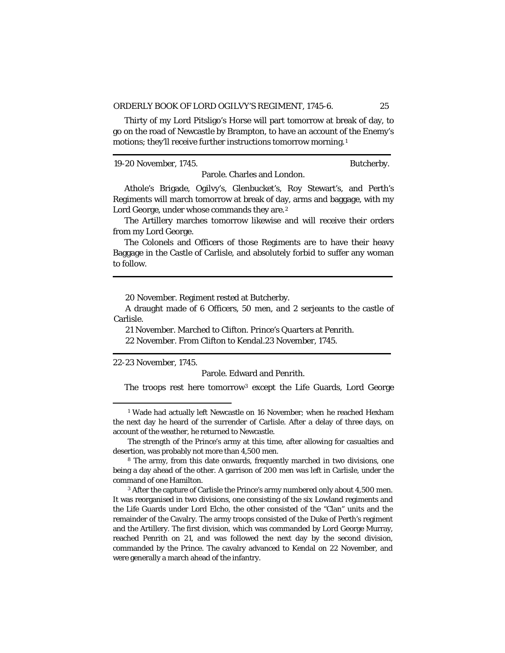Thirty of my Lord Pitsligo's Horse will part tomorrow at break of day, to go on the road of Newcastle by Brampton, to have an account of the Enemy's motions; they'll receive further instructions tomorrow morning.[1](#page-30-0)

19-20 November, 1745. Butcherby.

Parole. Charles and London.

Athole's Brigade, Ogilvy's, Glenbucket's, Roy Stewart's, and Perth's Regiments will march tomorrow at break of day, arms and baggage, with my Lord George, under whose commands they are.<sup>[2](#page-30-1)</sup>

The Artillery marches tomorrow likewise and will receive their orders from my Lord George.

The Colonels and Officers of those Regiments are to have their heavy Baggage in the Castle of Carlisle, and absolutely forbid to suffer any woman to follow.

20 November. Regiment rested at Butcherby.

A draught made of 6 Officers, 50 men, and 2 serjeants to the castle of Carlisle.

21 November. Marched to Clifton. Prince's Quarters at Penrith.

22 November. From Clifton to Kendal.23 November, 1745.

22-23 November, 1745.

Parole. Edward and Penrith.

The troops rest here tomorrow[3](#page-30-2) except the Life Guards, Lord George

<span id="page-30-0"></span><sup>&</sup>lt;sup>1</sup> Wade had actually left Newcastle on 16 November; when he reached Hexham the next day he heard of the surrender of Carlisle. After a delay of three days, on account of the weather, he returned to Newcastle.

The strength of the Prince's army at this time, after allowing for casualties and desertion, was probably not more than 4,500 men.

<span id="page-30-1"></span><sup>8</sup> The army, from this date onwards, frequently marched in two divisions, one being a day ahead of the other. A garrison of 200 men was left in Carlisle, under the command of one Hamilton.

<span id="page-30-2"></span><sup>&</sup>lt;sup>3</sup> After the capture of Carlisle the Prince's army numbered only about 4,500 men. It was reorganised in two divisions, one consisting of the six Lowland regiments and the Life Guards under Lord Elcho, the other consisted of the "Clan" units and the remainder of the Cavalry. The army troops consisted of the Duke of Perth's regiment and the Artillery. The first division, which was commanded by Lord George Murray, reached Penrith on 21, and was followed the next day by the second division, commanded by the Prince. The cavalry advanced to Kendal on 22 November, and were generally a march ahead of the infantry.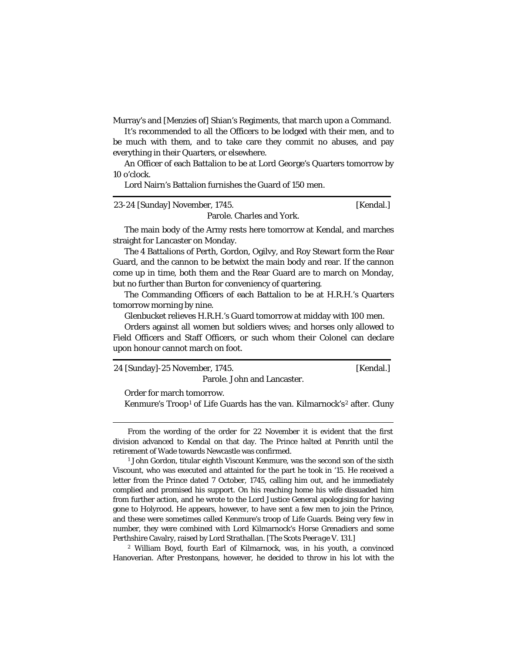Murray's and [Menzies of] Shian's Regiments, that march upon a Command.

It's recommended to all the Officers to be lodged with their men, and to be much with them, and to take care they commit no abuses, and pay everything in their Quarters, or elsewhere.

An Officer of each Battalion to be at Lord George's Quarters tomorrow by 10 o'clock.

Lord Nairn's Battalion furnishes the Guard of 150 men.

| 23-24 [Sunday] November, 1745. | [Kendal.] |
|--------------------------------|-----------|
| Parole. Charles and York.      |           |

The main body of the Army rests here tomorrow at Kendal, and marches straight for Lancaster on Monday.

The 4 Battalions of Perth, Gordon, Ogilvy, and Roy Stewart form the Rear Guard, and the cannon to be betwixt the main body and rear. If the cannon come up in time, both them and the Rear Guard are to march on Monday, but no further than Burton for conveniency of quartering.

The Commanding Officers of each Battalion to be at H.R.H.'s Quarters tomorrow morning by nine.

Glenbucket relieves H.R.H.'s Guard tomorrow at midday with 100 men.

Orders against all women but soldiers wives; and horses only allowed to Field Officers and Staff Officers, or such whom their Colonel can declare upon honour cannot march on foot.

| 24 [Sunday]-25 November, 1745. | [Kendal.] |
|--------------------------------|-----------|
| Parole. John and Lancaster.    |           |

Order for march tomorrow.

Kenmure's Troop<sup>[1](#page-31-0)</sup> of Life Guards has the van. Kilmarnock's<sup>[2](#page-31-1)</sup> after. Cluny

<span id="page-31-1"></span><sup>2</sup> William Boyd, fourth Earl of Kilmarnock, was, in his youth, a convinced Hanoverian. After Prestonpans, however, he decided to throw in his lot with the

From the wording of the order for 22 November it is evident that the first division advanced to Kendal on that day. The Prince halted at Penrith until the retirement of Wade towards Newcastle was confirmed.

<span id="page-31-0"></span> $1$  John Gordon, titular eighth Viscount Kenmure, was the second son of the sixth Viscount, who was executed and attainted for the part he took in '15. He received a letter from the Prince dated 7 October, 1745, calling him out, and he immediately complied and promised his support. On his reaching home his wife dissuaded him from further action, and he wrote to the Lord Justice General apologising for having gone to Holyrood. He appears, however, to have sent a few men to join the Prince, and these were sometimes called Kenmure's troop of Life Guards. Being very few in number, they were combined with Lord Kilmarnock's Horse Grenadiers and some Perthshire Cavalry, raised by Lord Strathallan. [*The Scots Peerage* V. 131.]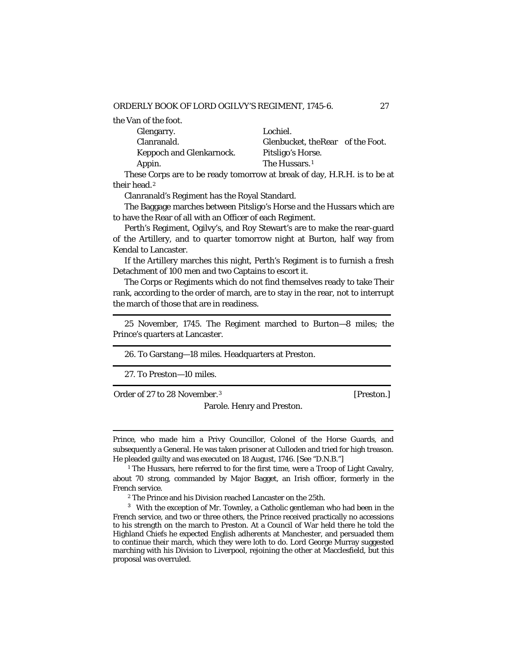the Van of the foot.

| Glengarry.                      | Lochiel.                          |  |
|---------------------------------|-----------------------------------|--|
| Clanranald.                     | Glenbucket, the Rear of the Foot. |  |
| <b>Keppoch and Glenkarnock.</b> | Pitsligo's Horse.                 |  |
| Appin.                          | The Hussars. <sup>1</sup>         |  |

These Corps are to be ready tomorrow at break of day, H.R.H. is to be at their head.<sup>[2](#page-32-1)</sup>

Clanranald's Regiment has the Royal Standard.

The Baggage marches between Pitsligo's Horse and the Hussars which are to have the Rear of all with an Officer of each Regiment.

Perth's Regiment, Ogilvy's, and Roy Stewart's are to make the rear-guard of the Artillery, and to quarter tomorrow night at Burton, half way from Kendal to Lancaster.

If the Artillery marches this night, Perth's Regiment is to furnish a fresh Detachment of 100 men and two Captains to escort it.

The Corps or Regiments which do not find themselves ready to take Their rank, according to the order of march, are to stay in the rear, not to interrupt the march of those that are in readiness.

25 November, 1745. The Regiment marched to Burton—8 miles; the Prince's quarters at Lancaster.

26. To Garstang—18 miles. Headquarters at Preston.

27. To Preston—10 miles.

Order of 27 to 28 November.<sup>[3](#page-32-2)</sup> [Preston.]

Parole. Henry and Preston.

 Prince, who made him a Privy Councillor, Colonel of the Horse Guards, and subsequently a General. He was taken prisoner at Culloden and tried for high treason. He pleaded guilty and was executed on 18 August, 1746. [See "D.N.B."]

<span id="page-32-0"></span><sup>1</sup> The Hussars, here referred to for the first time, were a Troop of Light Cavalry, about 70 strong, commanded by Major Bagget, an Irish officer, formerly in the French service.

<sup>2</sup> The Prince and his Division reached Lancaster on the 25th.

<span id="page-32-2"></span><span id="page-32-1"></span><sup>3</sup> With the exception of Mr. Townley, a Catholic gentleman who had been in the French service, and two or three others, the Prince received practically no accessions to his strength on the march to Preston. At a Council of War held there he told the Highland Chiefs he expected English adherents at Manchester, and persuaded them to continue their march, which they were loth to do. Lord George Murray suggested marching with his Division to Liverpool, rejoining the other at Macclesfield, but this proposal was overruled.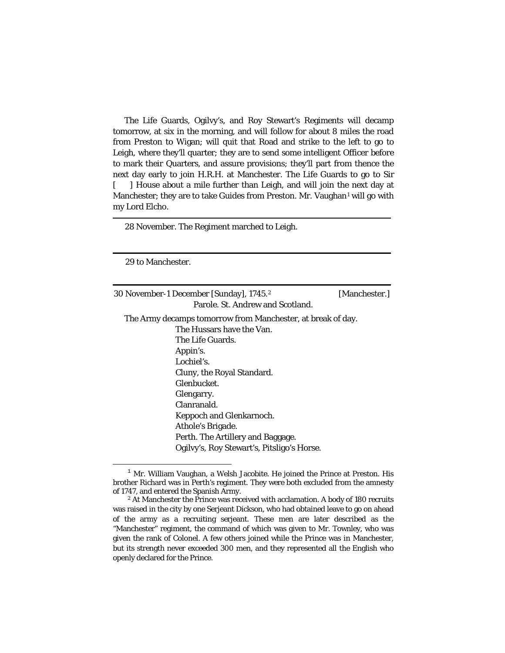The Life Guards, Ogilvy's, and Roy Stewart's Regiments will decamp tomorrow, at six in the morning, and will follow for about 8 miles the road from Preston to Wigan; will quit that Road and strike to the left to go to Leigh, where they'll quarter; they are to send some intelligent Officer before to mark their Quarters, and assure provisions; they'll part from thence the next day early to join H.R.H. at Manchester. The Life Guards to go to Sir [ ] House about a mile further than Leigh, and will join the next day at Manchester; they are to take Guides from Preston. Mr. Vaughan<sup>[1](#page-33-0)</sup> will go with my Lord Elcho.

28 November. The Regiment marched to Leigh.

29 to Manchester.

30 November-1 December [Sunday], 1745.[2](#page-33-1) [Manchester.] Parole. St. Andrew and Scotland.

The Army decamps tomorrow from Manchester, at break of day. The Hussars have the Van. The Life Guards. Appin's. Lochiel's. Cluny, the Royal Standard. Glenbucket. Glengarry. Clanranald. Keppoch and Glenkarnoch. Athole's Brigade. Perth. The Artillery and Baggage. Ogilvy's, Roy Stewart's, Pitsligo's Horse.

<span id="page-33-0"></span> $1$  Mr. William Vaughan, a Welsh Jacobite. He joined the Prince at Preston. His brother Richard was in Perth's regiment. They were both excluded from the amnesty of 1747, and entered the Spanish Army.

<span id="page-33-1"></span><sup>&</sup>lt;sup>2</sup> At Manchester the Prince was received with acclamation. A body of 180 recruits was raised in the city by one Serjeant Dickson, who had obtained leave to go on ahead of the army as a recruiting serjeant. These men are later described as the "Manchester" regiment, the command of which was given to Mr. Townley, who was given the rank of Colonel. A few others joined while the Prince was in Manchester, but its strength never exceeded 300 men, and they represented all the English who openly declared for the Prince.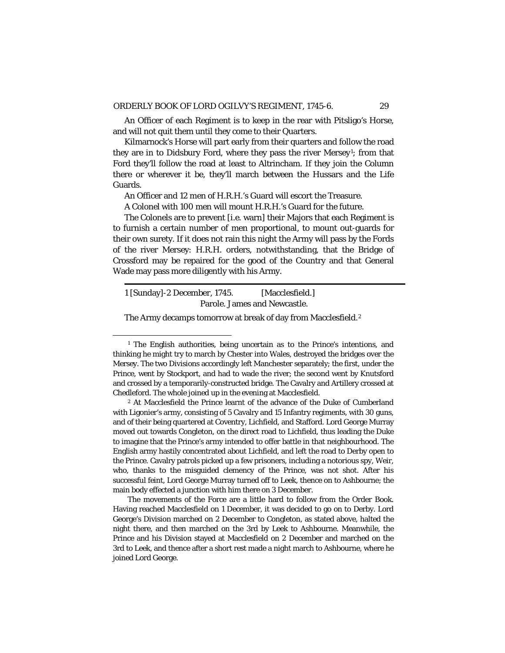An Officer of each Regiment is to keep in the rear with Pitsligo's Horse, and will not quit them until they come to their Quarters.

Kilmarnock's Horse will part early from their quarters and follow the road they are in to Didsbury Ford, where they pass the river Mersey<sup>1</sup>; from that Ford they'll follow the road at least to Altrincham. If they join the Column there or wherever it be, they'll march between the Hussars and the Life Guards.

An Officer and 12 men of H.R.H.'s Guard will escort the Treasure.

A Colonel with 100 men will mount H.R.H.'s Guard for the future.

The Colonels are to prevent [*i.e.* warn] their Majors that each Regiment is to furnish a certain number of men proportional, to mount out-guards for their own surety. If it does not rain this night the Army will pass by the Fords of the river Mersey: H.R.H. orders, notwithstanding, that the Bridge of Crossford may be repaired for the good of the Country and that General Wade may pass more diligently with his Army.

1 [Sunday]-2 December, 1745. [Macclesfield.] Parole. James and Newcastle.

The Army decamps tomorrow at break of day from Macclesfield.<sup>[2](#page-34-1)</sup>

<span id="page-34-0"></span><sup>&</sup>lt;sup>1</sup> The English authorities, being uncertain as to the Prince's intentions, and thinking he might try to march by Chester into Wales, destroyed the bridges over the Mersey. The two Divisions accordingly left Manchester separately; the first, under the Prince, went by Stockport, and had to wade the river; the second went by Knutsford and crossed by a temporarily-constructed bridge. The Cavalry and Artillery crossed at Chedleford. The whole joined up in the evening at Macclesfield.

<span id="page-34-1"></span><sup>2</sup> At Macclesfield the Prince learnt of the advance of the Duke of Cumberland with Ligonier's army, consisting of 5 Cavalry and 15 Infantry regiments, with 30 guns, and of their being quartered at Coventry, Lichfield, and Stafford. Lord George Murray moved out towards Congleton, on the direct road to Lichfield, thus leading the Duke to imagine that the Prince's army intended to offer battle in that neighbourhood. The English army hastily concentrated about Lichfield, and left the road to Derby open to the Prince. Cavalry patrols picked up a few prisoners, including a notorious spy, Weir, who, thanks to the misguided clemency of the Prince, was not shot. After his successful feint, Lord George Murray turned off to Leek, thence on to Ashbourne; the main body effected a junction with him there on 3 December.

The movements of the Force are a little hard to follow from the Order Book. Having reached Macclesfield on 1 December, it was decided to go on to Derby. Lord George's Division marched on 2 December to Congleton, as stated above, halted the night there, and then marched on the 3rd by Leek to Ashbourne. Meanwhile, the Prince and his Division stayed at Macclesfield on 2 December and marched on the 3rd to Leek, and thence after a short rest made a night march to Ashbourne, where he joined Lord George.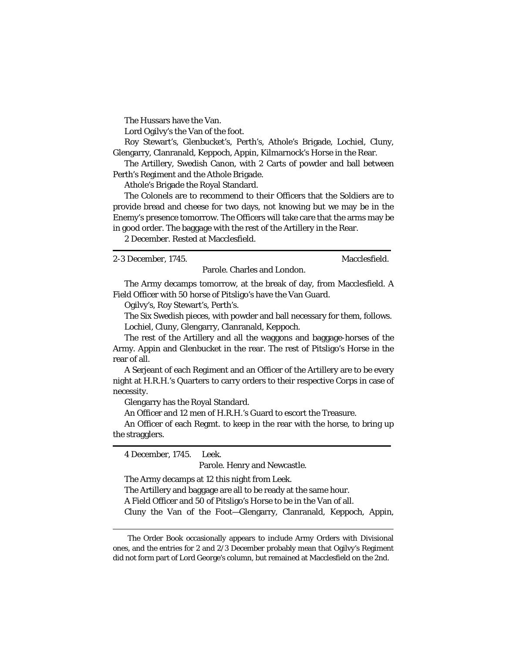The Hussars have the Van.

Lord Ogilvy's the Van of the foot.

Roy Stewart's, Glenbucket's, Perth's, Athole's Brigade, Lochiel, Cluny, Glengarry, Clanranald, Keppoch, Appin, Kilmarnock's Horse in the Rear.

The Artillery, Swedish Canon, with 2 Carts of powder and ball between Perth's Regiment and the Athole Brigade.

Athole's Brigade the Royal Standard.

The Colonels are to recommend to their Officers that the Soldiers are to provide bread and cheese for two days, not knowing but we may be in the Enemy's presence tomorrow. The Officers will take care that the arms may be in good order. The baggage with the rest of the Artillery in the Rear.

2 December. Rested at Macclesfield.

2-3 December, 1745. Macclesfield.

Parole. Charles and London.

The Army decamps tomorrow, at the break of day, from Macclesfield. A Field Officer with 50 horse of Pitsligo's have the Van Guard.

Ogilvy's, Roy Stewart's, Perth's.

The Six Swedish pieces, with powder and ball necessary for them, follows. Lochiel, Cluny, Glengarry, Clanranald, Keppoch.

The rest of the Artillery and all the waggons and baggage-horses of the Army. Appin and Glenbucket in the rear. The rest of Pitsligo's Horse in the rear of all.

A Serjeant of each Regiment and an Officer of the Artillery are to be every night at H.R.H.'s Quarters to carry orders to their respective Corps in case of necessity.

Glengarry has the Royal Standard.

An Officer and 12 men of H.R.H.'s Guard to escort the Treasure.

An Officer of each Regmt. to keep in the rear with the horse, to bring up the stragglers.

4 December, 1745. Leek.

Parole. Henry and Newcastle.

The Army decamps at 12 this night from Leek.

The Artillery and baggage are all to be ready at the same hour.

A Field Officer and 50 of Pitsligo's Horse to be in the Van of all.

Cluny the Van of the Foot—Glengarry, Clanranald, Keppoch, Appin,

The Order Book occasionally appears to include Army Orders with Divisional ones, and the entries for 2 and 2/3 December probably mean that Ogilvy's Regiment did not form part of Lord George's column, but remained at Macclesfield on the 2nd.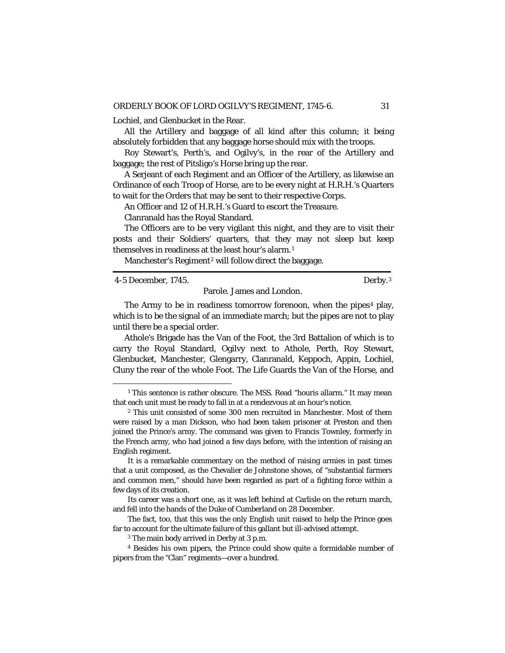Lochiel, and Glenbucket in the Rear.

All the Artillery and baggage of all kind after this column; it being absolutely forbidden that any baggage horse should mix with the troops.

Roy Stewart's, Perth's, and Ogilvy's, in the rear of the Artillery and baggage; the rest of Pitsligo's Horse bring up the rear.

A Serjeant of each Regiment and an Officer of the Artillery, as likewise an Ordinance of each Troop of Horse, are to be every night at H.R.H.'s Quarters to wait for the Orders that may be sent to their respective Corps.

An Officer and 12 of H.R.H.'s Guard to escort the Treasure.

Clanranald has the Royal Standard.

The Officers are to be very vigilant this night, and they are to visit their posts and their Soldiers' quarters, that they may not sleep but keep themselves in readiness at the least hour's alarm. [1](#page-36-0)

Manchester's Regiment<sup>[2](#page-36-1)</sup> will follow direct the baggage.

4-5 December, 1745. Derby.[3](#page-36-2)

Parole. James and London.

The Army to be in readiness tomorrow forenoon, when the pipes<sup>[4](#page-36-3)</sup> play, which is to be the signal of an immediate march; but the pipes are not to play until there be a special order.

Athole's Brigade has the Van of the Foot, the 3rd Battalion of which is to carry the Royal Standard, Ogilvy next to Athole, Perth, Roy Stewart, Glenbucket, Manchester, Glengarry, Clanranald, Keppoch, Appin, Lochiel, Cluny the rear of the whole Foot. The Life Guards the Van of the Horse, and

<span id="page-36-0"></span><sup>&</sup>lt;sup>1</sup> This sentence is rather obscure. The MSS. Read "houris allarm." It may mean that each unit must be ready to fall in at a rendezvous at an hour's notice.

<span id="page-36-1"></span><sup>2</sup> This unit consisted of some 300 men recruited in Manchester. Most of them were raised by a man Dickson, who had been taken prisoner at Preston and then joined the Prince's army. The command was given to Francis Townley, formerly in the French army, who had joined a few days before, with the intention of raising an English regiment.

It is a remarkable commentary on the method of raising armies in past times that a unit composed, as the Chevalier de Johnstone shows, of "substantial farmers and common men," should have been regarded as part of a fighting force within a few days of its creation.

Its career was a short one, as it was left behind at Carlisle on the return march, and fell into the hands of the Duke of Cumberland on 28 December.

The fact, too, that this was the only English unit raised to help the Prince goes far to account for the ultimate failure of this gallant but ill-advised attempt.

<sup>3</sup> The main body arrived in Derby at 3 p.m.

<span id="page-36-3"></span><span id="page-36-2"></span><sup>4</sup> Besides his own pipers, the Prince could show quite a formidable number of pipers from the "Clan" regiments—over a hundred.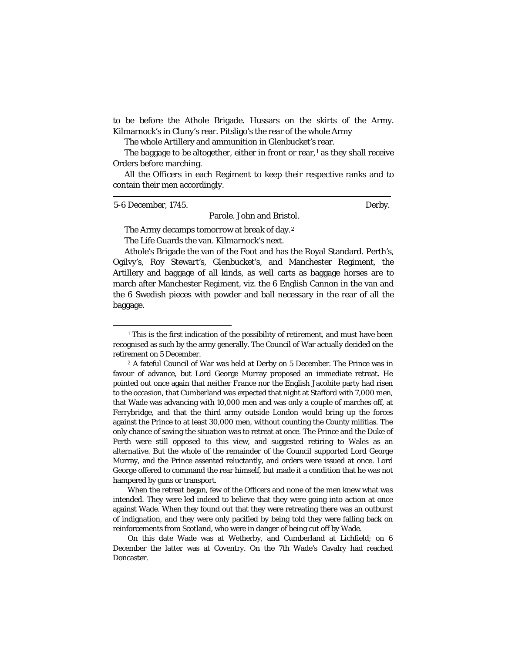to be before the Athole Brigade. Hussars on the skirts of the Army. Kilmarnock's in Cluny's rear. Pitsligo's the rear of the whole Army

The whole Artillery and ammunition in Glenbucket's rear.

The baggage to be altogether, either in front or rear, $<sup>1</sup>$  $<sup>1</sup>$  $<sup>1</sup>$  as they shall receive</sup> Orders before marching.

All the Officers in each Regiment to keep their respective ranks and to contain their men accordingly.

Parole. John and Bristol.

5-6 December, 1745. Derby.

The Army decamps tomorrow at break of day.[2](#page-37-1)

The Life Guards the van. Kilmarnock's next.

Athole's Brigade the van of the Foot and has the Royal Standard. Perth's, Ogilvy's, Roy Stewart's, Glenbucket's, and Manchester Regiment, the Artillery and baggage of all kinds, as well carts as baggage horses are to march after Manchester Regiment, viz. the 6 English Cannon in the van and the 6 Swedish pieces with powder and ball necessary in the rear of all the baggage.

When the retreat began, few of the Officers and none of the men knew what was intended. They were led indeed to believe that they were going into action at once against Wade. When they found out that they were retreating there was an outburst of indignation, and they were only pacified by being told they were falling back on reinforcements from Scotland, who were in danger of being cut off by Wade.

On this date Wade was at Wetherby, and Cumberland at Lichfield; on 6 December the latter was at Coventry. On the 7th Wade's Cavalry had reached Doncaster.

<span id="page-37-0"></span><sup>&</sup>lt;sup>1</sup> This is the first indication of the possibility of retirement, and must have been recognised as such by the army generally. The Council of War actually decided on the retirement on 5 December.

<span id="page-37-1"></span><sup>2</sup> A fateful Council of War was held at Derby on 5 December. The Prince was in favour of advance, but Lord George Murray proposed an immediate retreat. He pointed out once again that neither France nor the English Jacobite party had risen to the occasion, that Cumberland was expected that night at Stafford with 7,000 men, that Wade was advancing with 10,000 men and was only a couple of marches off, at Ferrybridge, and that the third army outside London would bring up the forces against the Prince to at least 30,000 men, without counting the County militias. The only chance of saving the situation was to retreat at once. The Prince and the Duke of Perth were still opposed to this view, and suggested retiring to Wales as an alternative. But the whole of the remainder of the Council supported Lord George Murray, and the Prince assented reluctantly, and orders were issued at once. Lord George offered to command the rear himself, but made it a condition that he was not hampered by guns or transport.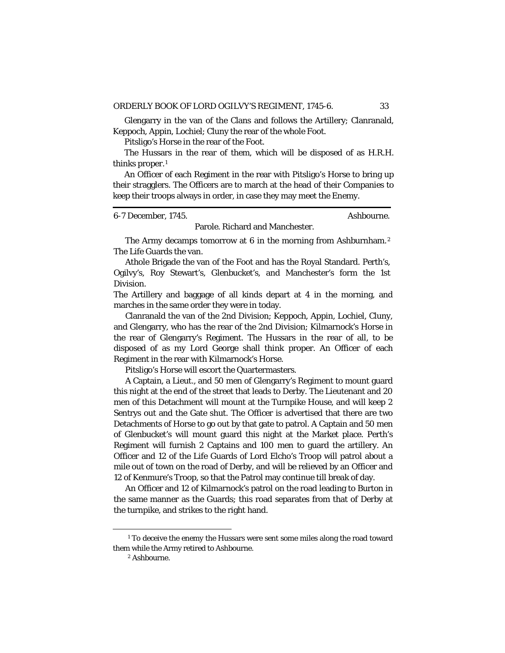Glengarry in the van of the Clans and follows the Artillery; Clanranald, Keppoch, Appin, Lochiel; Cluny the rear of the whole Foot.

Pitsligo's Horse in the rear of the Foot.

The Hussars in the rear of them, which will be disposed of as H.R.H. thinks proper.[1](#page-38-0)

An Officer of each Regiment in the rear with Pitsligo's Horse to bring up their stragglers. The Officers are to march at the head of their Companies to keep their troops always in order, in case they may meet the Enemy.

6-7 December, 1745. Ashbourne.

### Parole. Richard and Manchester.

The Army decamps tomorrow at 6 in the morning from Ashburnham.<sup>[2](#page-38-1)</sup> The Life Guards the van.

Athole Brigade the van of the Foot and has the Royal Standard. Perth's, Ogilvy's, Roy Stewart's, Glenbucket's, and Manchester's form the 1st Division.

The Artillery and baggage of all kinds depart at 4 in the morning, and marches in the same order they were in today.

Clanranald the van of the 2nd Division; Keppoch, Appin, Lochiel, Cluny, and Glengarry, who has the rear of the 2nd Division; Kilmarnock's Horse in the rear of Glengarry's Regiment. The Hussars in the rear of all, to be disposed of as my Lord George shall think proper. An Officer of each Regiment in the rear with Kilmarnock's Horse.

Pitsligo's Horse will escort the Quartermasters.

A Captain, a Lieut., and 50 men of Glengarry's Regiment to mount guard this night at the end of the street that leads to Derby. The Lieutenant and 20 men of this Detachment will mount at the Turnpike House, and will keep 2 Sentrys out and the Gate shut. The Officer is advertised that there are two Detachments of Horse to go out by that gate to patrol. A Captain and 50 men of Glenbucket's will mount guard this night at the Market place. Perth's Regiment will furnish 2 Captains and 100 men to guard the artillery. An Officer and 12 of the Life Guards of Lord Elcho's Troop will patrol about a mile out of town on the road of Derby, and will be relieved by an Officer and 12 of Kenmure's Troop, so that the Patrol may continue till break of day.

An Officer and 12 of Kilmarnock's patrol on the road leading to Burton in the same manner as the Guards; this road separates from that of Derby at the turnpike, and strikes to the right hand.

<span id="page-38-1"></span><span id="page-38-0"></span><sup>&</sup>lt;sup>1</sup> To deceive the enemy the Hussars were sent some miles along the road toward them while the Army retired to Ashbourne.

<sup>2</sup> Ashbourne.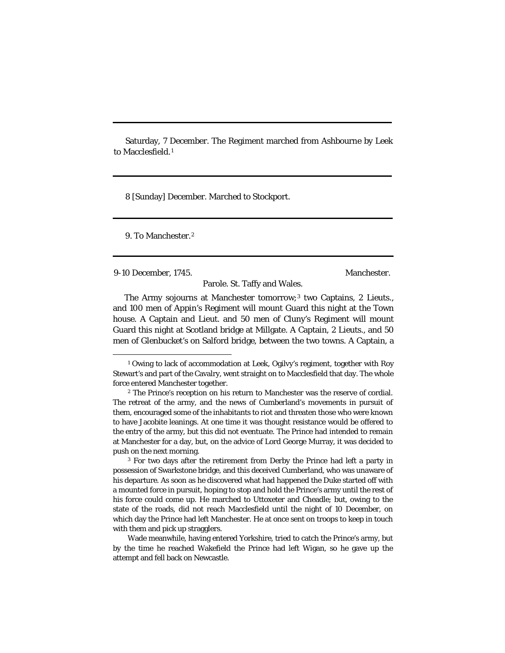Saturday, 7 December. The Regiment marched from Ashbourne by Leek to Macclesfield.[1](#page-39-0)

8 [Sunday] December. Marched to Stockport.

9. To Manchester.[2](#page-39-1)

9-10 December, 1745. Manchester.

Parole. St. Taffy and Wales.

The Army sojourns at Manchester tomorrow;[3](#page-39-2) two Captains, 2 Lieuts., and 100 men of Appin's Regiment will mount Guard this night at the Town house. A Captain and Lieut. and 50 men of Cluny's Regiment will mount Guard this night at Scotland bridge at Millgate. A Captain, 2 Lieuts., and 50 men of Glenbucket's on Salford bridge, between the two towns. A Captain, a

<span id="page-39-0"></span><sup>&</sup>lt;sup>1</sup> Owing to lack of accommodation at Leek, Ogilvy's regiment, together with Roy Stewart's and part of the Cavalry, went straight on to Macclesfield that day. The whole force entered Manchester together.

<span id="page-39-1"></span><sup>2</sup> The Prince's reception on his return to Manchester was the reserve of cordial. The retreat of the army, and the news of Cumberland's movements in pursuit of them, encouraged some of the inhabitants to riot and threaten those who were known to have Jacobite leanings. At one time it was thought resistance would be offered to the entry of the army, but this did not eventuate. The Prince had intended to remain at Manchester for a day, but, on the advice of Lord George Murray, it was decided to push on the next morning.

<span id="page-39-2"></span><sup>3</sup> For two days after the retirement from Derby the Prince had left a party in possession of Swarkstone bridge, and this deceived Cumberland, who was unaware of his departure. As soon as he discovered what had happened the Duke started off with a mounted force in pursuit, hoping to stop and hold the Prince's army until the rest of his force could come up. He marched to Uttoxeter and Cheadle; but, owing to the state of the roads, did not reach Macclesfield until the night of 10 December, on which day the Prince had left Manchester. He at once sent on troops to keep in touch with them and pick up stragglers.

Wade meanwhile, having entered Yorkshire, tried to catch the Prince's army, but by the time he reached Wakefield the Prince had left Wigan, so he gave up the attempt and fell back on Newcastle.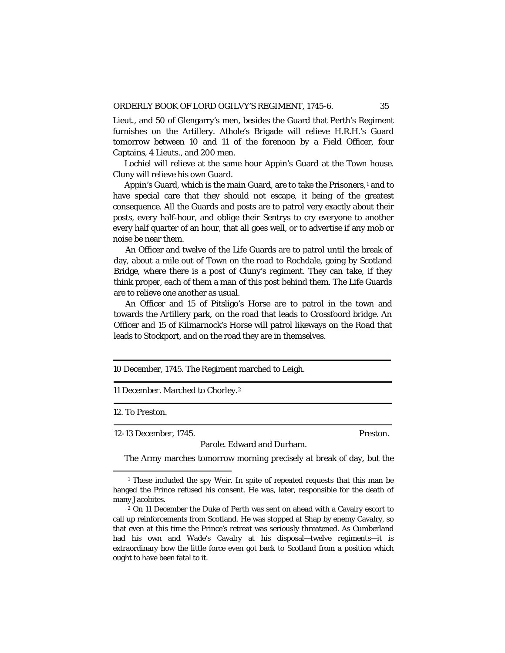Lieut., and 50 of Glengarry's men, besides the Guard that Perth's Regiment furnishes on the Artillery. Athole's Brigade will relieve H.R.H.'s Guard tomorrow between 10 and 11 of the forenoon by a Field Officer, four Captains, 4 Lieuts., and 200 men.

Lochiel will relieve at the same hour Appin's Guard at the Town house. Cluny will relieve his own Guard.

Appin's Guard, which is the main Guard, are to take the Prisoners,<sup>[1](#page-40-0)</sup> and to have special care that they should not escape, it being of the greatest consequence. All the Guards and posts are to patrol very exactly about their posts, every half-hour, and oblige their Sentrys to cry everyone to another every half quarter of an hour, that all goes well, or to advertise if any mob or noise be near them.

An Officer and twelve of the Life Guards are to patrol until the break of day, about a mile out of Town on the road to Rochdale, going by Scotland Bridge, where there is a post of Cluny's regiment. They can take, if they think proper, each of them a man of this post behind them. The Life Guards are to relieve one another as usual.

An Officer and 15 of Pitsligo's Horse are to patrol in the town and towards the Artillery park, on the road that leads to Crossfoord bridge. An Officer and 15 of Kilmarnock's Horse will patrol likeways on the Road that leads to Stockport, and on the road they are in themselves.

10 December, 1745. The Regiment marched to Leigh.

11 December. Marched to Chorley.[2](#page-40-1)

### 12. To Preston.

12-13 December, 1745. Preston.

Parole. Edward and Durham. The Army marches tomorrow morning precisely at break of day, but the

<span id="page-40-0"></span><sup>&</sup>lt;sup>1</sup> These included the spy Weir. In spite of repeated requests that this man be hanged the Prince refused his consent. He was, later, responsible for the death of many Jacobites.

<span id="page-40-1"></span><sup>2</sup> On 11 December the Duke of Perth was sent on ahead with a Cavalry escort to call up reinforcements from Scotland. He was stopped at Shap by enemy Cavalry, so that even at this time the Prince's retreat was seriously threatened. As Cumberland had his own and Wade's Cavalry at his disposal—twelve regiments—it is extraordinary how the little force even got back to Scotland from a position which ought to have been fatal to it.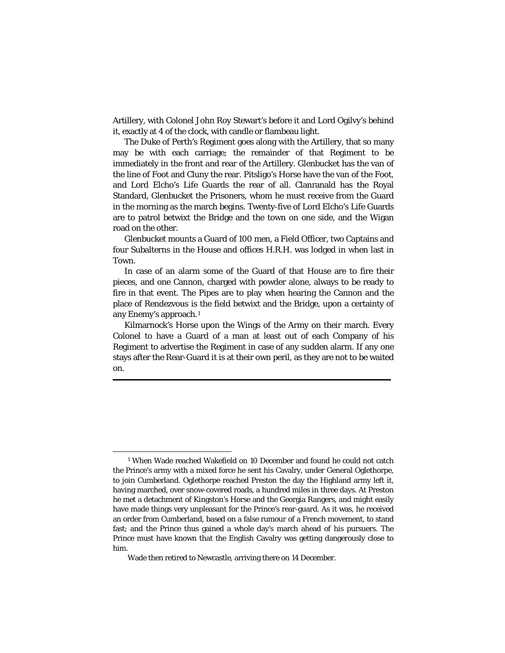Artillery, with Colonel John Roy Stewart's before it and Lord Ogilvy's behind it, exactly at 4 of the clock, with candle or flambeau light.

The Duke of Perth's Regiment goes along with the Artillery, that so many may be with each carriage; the remainder of that Regiment to be immediately in the front and rear of the Artillery. Glenbucket has the van of the line of Foot and Cluny the rear. Pitsligo's Horse have the van of the Foot, and Lord Elcho's Life Guards the rear of all. Clanranald has the Royal Standard, Glenbucket the Prisoners, whom he must receive from the Guard in the morning as the march begins. Twenty-five of Lord Elcho's Life Guards are to patrol betwixt the Bridge and the town on one side, and the Wigan road on the other.

Glenbucket mounts a Guard of 100 men, a Field Officer, two Captains and four Subalterns in the House and offices H.R.H. was lodged in when last in Town.

In case of an alarm some of the Guard of that House are to fire their pieces, and one Cannon, charged with powder alone, always to be ready to fire in that event. The Pipes are to play when hearing the Cannon and the place of Rendezvous is the field betwixt and the Bridge, upon a certainty of any Enemy's approach.[1](#page-41-0)

Kilmarnock's Horse upon the Wings of the Army on their march. Every Colonel to have a Guard of a man at least out of each Company of his Regiment to advertise the Regiment in case of any sudden alarm. If any one stays after the Rear-Guard it is at their own peril, as they are not to be waited on.

<span id="page-41-0"></span><sup>1</sup> When Wade reached Wakefield on 10 December and found he could not catch the Prince's army with a mixed force he sent his Cavalry, under General Oglethorpe, to join Cumberland. Oglethorpe reached Preston the day the Highland army left it, having marched, over snow-covered roads, a hundred miles in three days. At Preston he met a detachment of Kingston's Horse and the Georgia Rangers, and might easily have made things very unpleasant for the Prince's rear-guard. As it was, he received an order from Cumberland, based on a false rumour of a French movement, to stand fast; and the Prince thus gained a whole day's march ahead of his pursuers. The Prince must have known that the English Cavalry was getting dangerously close to him.

Wade then retired to Newcastle, arriving there on 14 December.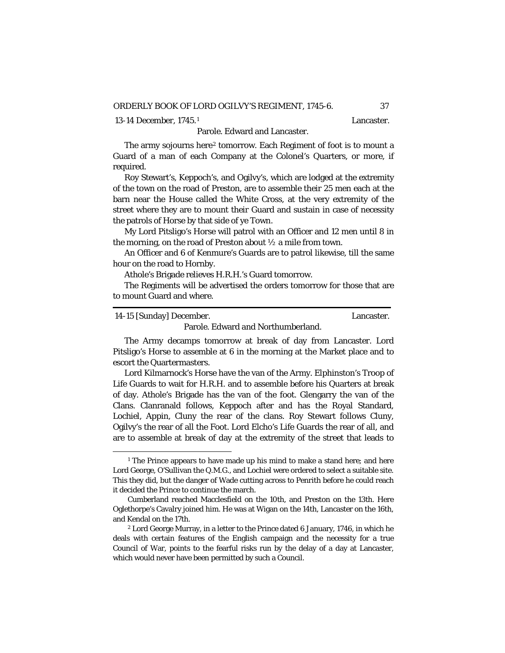[1](#page-42-0)3-14 December, 1745.<sup>1</sup> and the control of the Lancaster.

# Parole. Edward and Lancaster.

The army sojourns here<sup>[2](#page-42-1)</sup> tomorrow. Each Regiment of foot is to mount a Guard of a man of each Company at the Colonel's Quarters, or more, if required.

Roy Stewart's, Keppoch's, and Ogilvy's, which are lodged at the extremity of the town on the road of Preston, are to assemble their 25 men each at the barn near the House called the White Cross, at the very extremity of the street where they are to mount their Guard and sustain in case of necessity the patrols of Horse by that side of ye Town.

My Lord Pitsligo's Horse will patrol with an Officer and 12 men until 8 in the morning, on the road of Preston about  $\frac{1}{2}$  a mile from town.

An Officer and 6 of Kenmure's Guards are to patrol likewise, till the same hour on the road to Hornby.

Athole's Brigade relieves H.R.H.'s Guard tomorrow.

The Regiments will be advertised the orders tomorrow for those that are to mount Guard and where.

| 14-15 [Sunday] December.           | Lancaster. |
|------------------------------------|------------|
| Parole. Edward and Northumberland. |            |

The Army decamps tomorrow at break of day from Lancaster. Lord Pitsligo's Horse to assemble at 6 in the morning at the Market place and to escort the Quartermasters.

Lord Kilmarnock's Horse have the van of the Army. Elphinston's Troop of Life Guards to wait for H.R.H. and to assemble before his Quarters at break of day. Athole's Brigade has the van of the foot. Glengarry the van of the Clans. Clanranald follows, Keppoch after and has the Royal Standard, Lochiel, Appin, Cluny the rear of the clans. Roy Stewart follows Cluny, Ogilvy's the rear of all the Foot. Lord Elcho's Life Guards the rear of all, and are to assemble at break of day at the extremity of the street that leads to

<span id="page-42-0"></span><sup>&</sup>lt;sup>1</sup> The Prince appears to have made up his mind to make a stand here; and here Lord George, O'Sullivan the Q.M.G., and Lochiel were ordered to select a suitable site. This they did, but the danger of Wade cutting across to Penrith before he could reach it decided the Prince to continue the march.

Cumberland reached Macclesfield on the 10th, and Preston on the 13th. Here Oglethorpe's Cavalry joined him. He was at Wigan on the 14th, Lancaster on the 16th, and Kendal on the 17th.

<span id="page-42-1"></span><sup>2</sup> Lord George Murray, in a letter to the Prince dated 6 January, 1746, in which he deals with certain features of the English campaign and the necessity for a true Council of War, points to the fearful risks run by the delay of a day at Lancaster, which would never have been permitted by such a Council.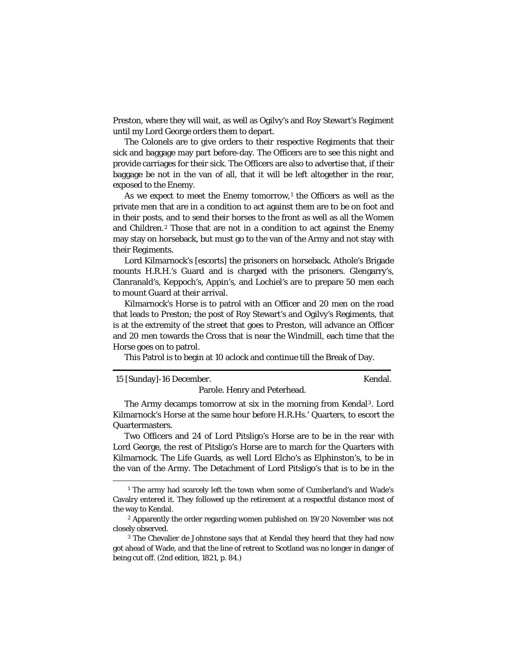Preston, where they will wait, as well as Ogilvy's and Roy Stewart's Regiment until my Lord George orders them to depart.

The Colonels are to give orders to their respective Regiments that their sick and baggage may part before-day. The Officers are to see this night and provide carriages for their sick. The Officers are also to advertise that, if their baggage be not in the van of all, that it will be left altogether in the rear, exposed to the Enemy.

As we expect to meet the Enemy tomorrow,<sup>[1](#page-43-0)</sup> the Officers as well as the private men that are in a condition to act against them are to be on foot and in their posts, and to send their horses to the front as well as all the Women and Children.[2](#page-43-1) Those that are not in a condition to act against the Enemy may stay on horseback, but must go to the van of the Army and not stay with their Regiments.

Lord Kilmarnock's [escorts] the prisoners on horseback. Athole's Brigade mounts H.R.H.'s Guard and is charged with the prisoners. Glengarry's, Clanranald's, Keppoch's, Appin's, and Lochiel's are to prepare 50 men each to mount Guard at their arrival.

Kilmarnock's Horse is to patrol with an Officer and 20 men on the road that leads to Preston; the post of Roy Stewart's and Ogilvy's Regiments, that is at the extremity of the street that goes to Preston, will advance an Officer and 20 men towards the Cross that is near the Windmill, each time that the Horse goes on to patrol.

This Patrol is to begin at 10 aclock and continue till the Break of Day.

| Kendal.<br>15 [Sunday]-16 December. |
|-------------------------------------|
|-------------------------------------|

Parole. Henry and Peterhead.

The Army decamps tomorrow at six in the morning from Kendal[3](#page-43-2). Lord Kilmarnock's Horse at the same hour before H.R.Hs.' Quarters, to escort the Quartermasters.

Two Officers and 24 of Lord Pitsligo's Horse are to be in the rear with Lord George, the rest of Pitsligo's Horse are to march for the Quarters with Kilmarnock. The Life Guards, as well Lord Elcho's as Elphinston's, to be in the van of the Army. The Detachment of Lord Pitsligo's that is to be in the

<span id="page-43-0"></span><sup>&</sup>lt;sup>1</sup> The army had scarcely left the town when some of Cumberland's and Wade's Cavalry entered it. They followed up the retirement at a respectful distance most of the way to Kendal.

<span id="page-43-1"></span><sup>&</sup>lt;sup>2</sup> Apparently the order regarding women published on 19/20 November was not closely observed.

<span id="page-43-2"></span><sup>&</sup>lt;sup>3</sup> The Chevalier de Johnstone says that at Kendal they heard that they had now got ahead of Wade, and that the line of retreat to Scotland was no longer in danger of being cut off. (2nd edition, 1821, p. 84.)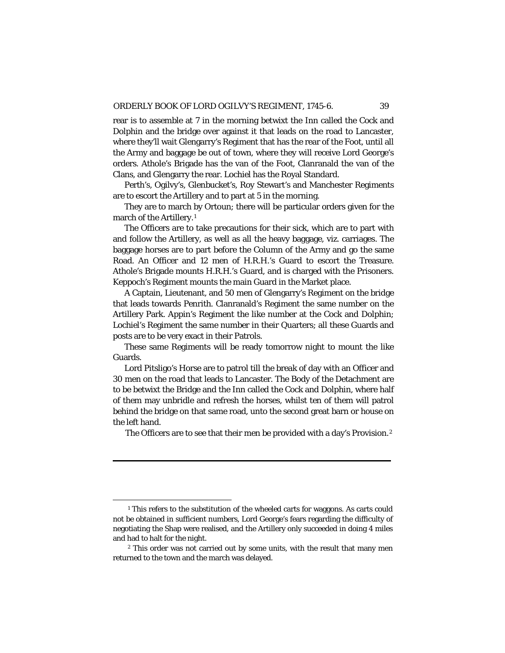rear is to assemble at 7 in the morning betwixt the Inn called the Cock and Dolphin and the bridge over against it that leads on the road to Lancaster, where they'll wait Glengarry's Regiment that has the rear of the Foot, until all the Army and baggage be out of town, where they will receive Lord George's orders. Athole's Brigade has the van of the Foot, Clanranald the van of the Clans, and Glengarry the rear. Lochiel has the Royal Standard.

Perth's, Ogilvy's, Glenbucket's, Roy Stewart's and Manchester Regiments are to escort the Artillery and to part at 5 in the morning.

They are to march by Ortoun; there will be particular orders given for the march of the Artillery.<sup>[1](#page-44-0)</sup>

The Officers are to take precautions for their sick, which are to part with and follow the Artillery, as well as all the heavy baggage, viz. carriages. The baggage horses are to part before the Column of the Army and go the same Road. An Officer and 12 men of H.R.H.'s Guard to escort the Treasure. Athole's Brigade mounts H.R.H.'s Guard, and is charged with the Prisoners. Keppoch's Regiment mounts the main Guard in the Market place.

A Captain, Lieutenant, and 50 men of Glengarry's Regiment on the bridge that leads towards Penrith. Clanranald's Regiment the same number on the Artillery Park. Appin's Regiment the like number at the Cock and Dolphin; Lochiel's Regiment the same number in their Quarters; all these Guards and posts are to be very exact in their Patrols.

These same Regiments will be ready tomorrow night to mount the like Guards.

Lord Pitsligo's Horse are to patrol till the break of day with an Officer and 30 men on the road that leads to Lancaster. The Body of the Detachment are to be betwixt the Bridge and the Inn called the Cock and Dolphin, where half of them may unbridle and refresh the horses, whilst ten of them will patrol behind the bridge on that same road, unto the second great barn or house on the left hand.

The Officers are to see that their men be provided with a day's Provision.<sup>[2](#page-44-1)</sup>

<span id="page-44-0"></span><sup>&</sup>lt;sup>1</sup> This refers to the substitution of the wheeled carts for waggons. As carts could not be obtained in sufficient numbers, Lord George's fears regarding the difficulty of negotiating the Shap were realised, and the Artillery only succeeded in doing 4 miles and had to halt for the night.

<span id="page-44-1"></span><sup>&</sup>lt;sup>2</sup> This order was not carried out by some units, with the result that many men returned to the town and the march was delayed.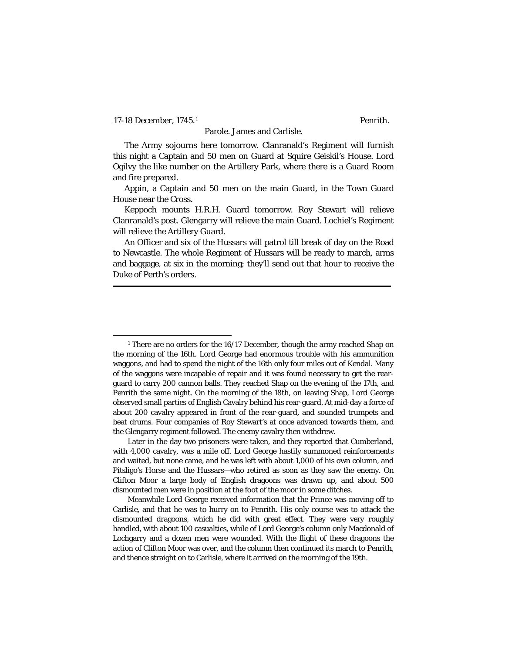17-18 December, 1745.[1](#page-45-0) Penrith.

## Parole. James and Carlisle.

The Army sojourns here tomorrow. Clanranald's Regiment will furnish this night a Captain and 50 men on Guard at Squire Geiskil's House. Lord Ogilvy the like number on the Artillery Park, where there is a Guard Room and fire prepared.

Appin, a Captain and 50 men on the main Guard, in the Town Guard House near the Cross.

Keppoch mounts H.R.H. Guard tomorrow. Roy Stewart will relieve Clanranald's post. Glengarry will relieve the main Guard. Lochiel's Regiment will relieve the Artillery Guard.

An Officer and six of the Hussars will patrol till break of day on the Road to Newcastle. The whole Regiment of Hussars will be ready to march, arms and baggage, at six in the morning; they'll send out that hour to receive the Duke of Perth's orders.

<span id="page-45-0"></span><sup>&</sup>lt;sup>1</sup> There are no orders for the 16/17 December, though the army reached Shap on the morning of the 16th. Lord George had enormous trouble with his ammunition waggons, and had to spend the night of the 16th only four miles out of Kendal. Many of the waggons were incapable of repair and it was found necessary to get the rearguard to carry 200 cannon balls. They reached Shap on the evening of the 17th, and Penrith the same night. On the morning of the 18th, on leaving Shap, Lord George observed small parties of English Cavalry behind his rear-guard. At mid-day a force of about 200 cavalry appeared in front of the rear-guard, and sounded trumpets and beat drums. Four companies of Roy Stewart's at once advanced towards them, and the Glengarry regiment followed. The enemy cavalry then withdrew.

Later in the day two prisoners were taken, and they reported that Cumberland, with 4,000 cavalry, was a mile off. Lord George hastily summoned reinforcements and waited, but none came, and he was left with about 1,000 of his own column, and Pitsligo's Horse and the Hussars—who retired as soon as they saw the enemy. On Clifton Moor a large body of English dragoons was drawn up, and about 500 dismounted men were in position at the foot of the moor in some ditches.

Meanwhile Lord George received information that the Prince was moving off to Carlisle, and that he was to hurry on to Penrith. His only course was to attack the dismounted dragoons, which he did with great effect. They were very roughly handled, with about 100 casualties, while of Lord George's column only Macdonald of Lochgarry and a dozen men were wounded. With the flight of these dragoons the action of Clifton Moor was over, and the column then continued its march to Penrith, and thence straight on to Carlisle, where it arrived on the morning of the 19th.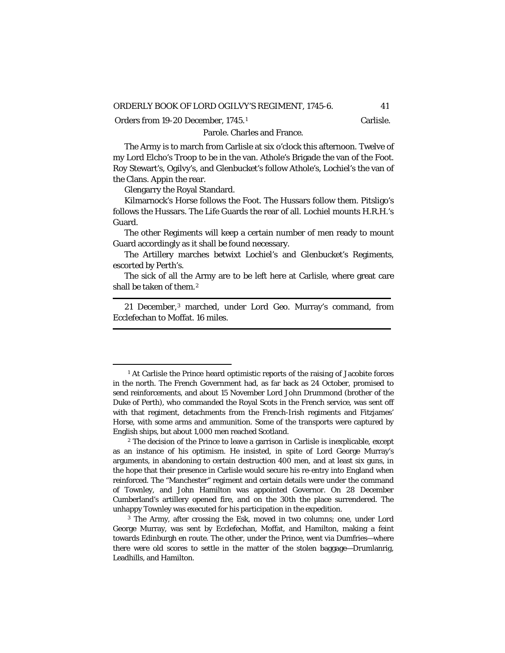Orders from [1](#page-46-0)9-20 December, 1745.<sup>1</sup> Carlisle.

### Parole. Charles and France.

The Army is to march from Carlisle at six o'clock this afternoon. Twelve of my Lord Elcho's Troop to be in the van. Athole's Brigade the van of the Foot. Roy Stewart's, Ogilvy's, and Glenbucket's follow Athole's, Lochiel's the van of the Clans. Appin the rear.

Glengarry the Royal Standard.

Kilmarnock's Horse follows the Foot. The Hussars follow them. Pitsligo's follows the Hussars. The Life Guards the rear of all. Lochiel mounts H.R.H.'s Guard.

The other Regiments will keep a certain number of men ready to mount Guard accordingly as it shall be found necessary.

The Artillery marches betwixt Lochiel's and Glenbucket's Regiments, escorted by Perth's.

The sick of all the Army are to be left here at Carlisle, where great care shall be taken of them.<sup>[2](#page-46-1)</sup>

21 December,[3](#page-46-2) marched, under Lord Geo. Murray's command, from Ecclefechan to Moffat. 16 miles.

<span id="page-46-0"></span><sup>&</sup>lt;sup>1</sup> At Carlisle the Prince heard optimistic reports of the raising of Jacobite forces in the north. The French Government had, as far back as 24 October, promised to send reinforcements, and about 15 November Lord John Drummond (brother of the Duke of Perth), who commanded the Royal Scots in the French service, was sent off with that regiment, detachments from the French-Irish regiments and Fitzjames' Horse, with some arms and ammunition. Some of the transports were captured by English ships, but about 1,000 men reached Scotland.

<span id="page-46-1"></span><sup>2</sup> The decision of the Prince to leave a garrison in Carlisle is inexplicable, except as an instance of his optimism. He insisted, in spite of Lord George Murray's arguments, in abandoning to certain destruction 400 men, and at least six guns, in the hope that their presence in Carlisle would secure his re-entry into England when reinforced. The "Manchester" regiment and certain details were under the command of Townley, and John Hamilton was appointed Governor. On 28 December Cumberland's artillery opened fire, and on the 30th the place surrendered. The unhappy Townley was executed for his participation in the expedition.

<span id="page-46-2"></span><sup>&</sup>lt;sup>3</sup> The Army, after crossing the Esk, moved in two columns; one, under Lord George Murray, was sent by Ecclefechan, Moffat, and Hamilton, making a feint towards Edinburgh *en route.* The other, under the Prince, went via Dumfries—where there were old scores to settle in the matter of the stolen baggage—Drumlanrig, Leadhills, and Hamilton.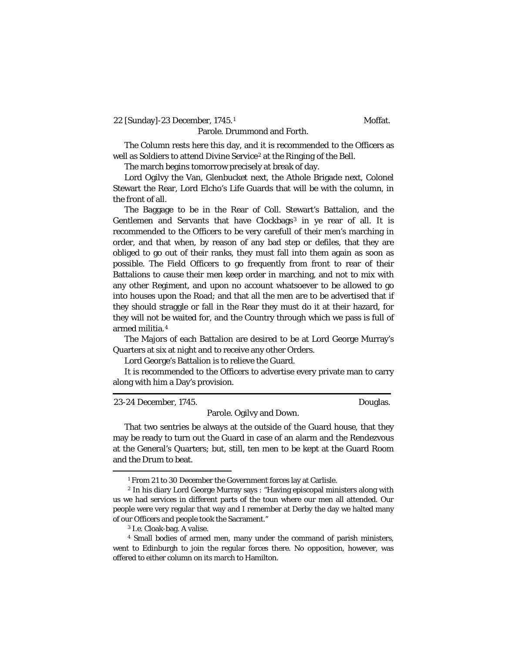22 [Sunday]-23 December, [1](#page-47-0)745.<sup>1</sup> Moffat.

Parole. Drummond and Forth.

The Column rests here this day, and it is recommended to the Officers as well as Soldiers to attend Divine Service<sup>[2](#page-47-1)</sup> at the Ringing of the Bell.

The march begins tomorrow precisely at break of day.

Lord Ogilvy the Van, Glenbucket next, the Athole Brigade next, Colonel Stewart the Rear, Lord Elcho's Life Guards that will be with the column, in the front of all.

The Baggage to be in the Rear of Coll. Stewart's Battalion, and the Gentlemen and Servants that have Clockbags<sup>[3](#page-47-2)</sup> in ye rear of all. It is recommended to the Officers to be very carefull of their men's marching in order, and that when, by reason of any bad step or defiles, that they are obliged to go out of their ranks, they must fall into them again as soon as possible. The Field Officers to go frequently from front to rear of their Battalions to cause their men keep order in marching, and not to mix with any other Regiment, and upon no account whatsoever to be allowed to go into houses upon the Road; and that all the men are to be advertised that if they should straggle or fall in the Rear they must do it at their hazard, for they will not be waited for, and the Country through which we pass is full of armed militia.[4](#page-47-3)

The Majors of each Battalion are desired to be at Lord George Murray's Quarters at six at night and to receive any other Orders.

Lord George's Battalion is to relieve the Guard.

It is recommended to the Officers to advertise every private man to carry along with him a Day's provision.

23-24 December, 1745. Douglas.

Parole. Ogilvy and Down.

That two sentries be always at the outside of the Guard house, that they may be ready to turn out the Guard in case of an alarm and the Rendezvous at the General's Quarters; but, still, ten men to be kept at the Guard Room and the Drum to beat.

<sup>1</sup> From 21 to 30 December the Government forces lay at Carlisle.

<span id="page-47-1"></span><span id="page-47-0"></span><sup>2</sup> In his diary Lord George Murray says : "Having episcopal ministers along with us we had services in different parts of the toun where our men all attended. Our people were very regular that way and I remember at Derby the day we halted many of our Officers and people took the Sacrament."

<sup>3</sup> *I.e.* Cloak-bag. A valise.

<span id="page-47-3"></span><span id="page-47-2"></span><sup>4</sup> Small bodies of armed men, many under the command of parish ministers, went to Edinburgh to join the regular forces there. No opposition, however, was offered to either column on its march to Hamilton.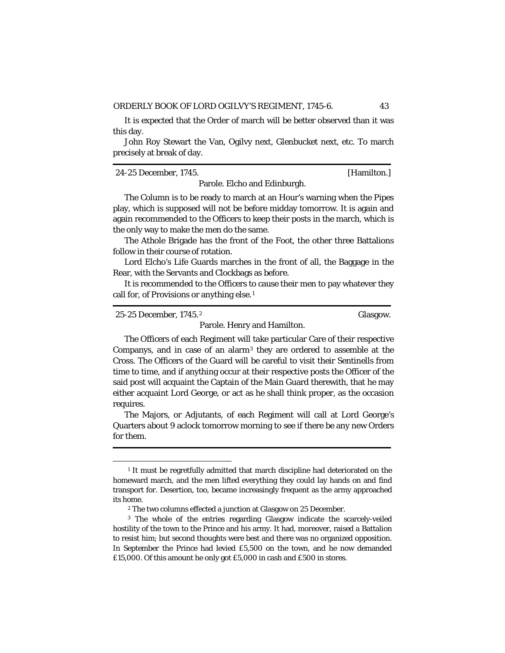It is expected that the Order of march will be better observed than it was this day.

John Roy Stewart the Van, Ogilvy next, Glenbucket next, etc. To march precisely at break of day.

24-25 December, 1745. [Hamilton.]

Parole. Elcho and Edinburgh.

The Column is to be ready to march at an Hour's warning when the Pipes play, which is supposed will not be before midday tomorrow. It is again and again recommended to the Officers to keep their posts in the march, which is the only way to make the men do the same.

The Athole Brigade has the front of the Foot, the other three Battalions follow in their course of rotation.

Lord Elcho's Life Guards marches in the front of all, the Baggage in the Rear, with the Servants and Clockbags as before.

It is recommended to the Officers to cause their men to pay whatever they call for, of Provisions or anything else.<sup>[1](#page-48-0)</sup>

25-25 December, 1745.[2](#page-48-1) Glasgow.

Parole. Henry and Hamilton.

The Officers of each Regiment will take particular Care of their respective Companys, and in case of an alarm[3](#page-48-2) they are ordered to assemble at the Cross. The Officers of the Guard will be careful to visit their Sentinells from time to time, and if anything occur at their respective posts the Officer of the said post will acquaint the Captain of the Main Guard therewith, that he may either acquaint Lord George, or act as he shall think proper, as the occasion requires.

The Majors, or Adjutants, of each Regiment will call at Lord George's Quarters about 9 aclock tomorrow morning to see if there be any new Orders for them.

<span id="page-48-0"></span><sup>&</sup>lt;sup>1</sup> It must be regretfully admitted that march discipline had deteriorated on the homeward march, and the men lifted everything they could lay hands on and find transport for. Desertion, too, became increasingly frequent as the army approached its home.

<sup>2</sup> The two columns effected a junction at Glasgow on 25 December.

<span id="page-48-2"></span><span id="page-48-1"></span><sup>&</sup>lt;sup>3</sup> The whole of the entries regarding Glasgow indicate the scarcely-veiled hostility of the town to the Prince and his army. It had, moreover, raised a Battalion to resist him; but second thoughts were best and there was no organized opposition. In September the Prince had levied £5,500 on the town, and he now demanded £15,000. Of this amount he only got £5,000 in cash and £500 in stores.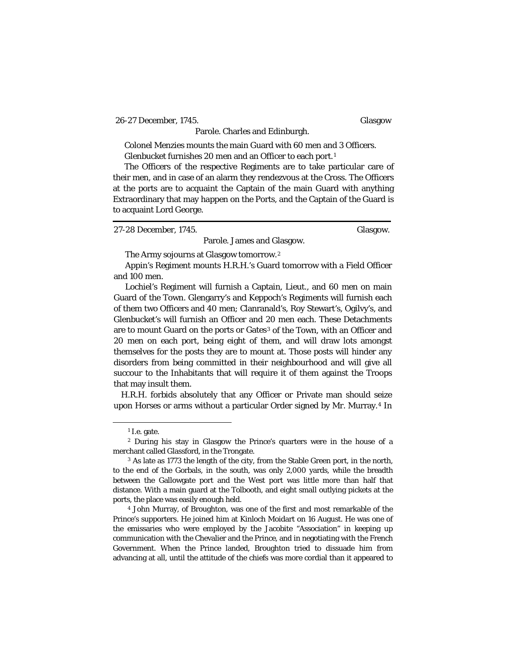26-27 December, 1745. Glasgow

Parole. Charles and Edinburgh.

Colonel Menzies mounts the main Guard with 60 men and 3 Officers. Glenbucket furnishes 20 men and an Officer to each port.[1](#page-49-0)

The Officers of the respective Regiments are to take particular care of their men, and in case of an alarm they rendezvous at the Cross. The Officers at the ports are to acquaint the Captain of the main Guard with anything Extraordinary that may happen on the Ports, and the Captain of the Guard is to acquaint Lord George.

27-28 December, 1745. Glasgow.

The Army sojourns at Glasgow tomorrow.[2](#page-49-1)

Appin's Regiment mounts H.R.H.'s Guard tomorrow with a Field Officer and 100 men.

Parole. James and Glasgow.

Lochiel's Regiment will furnish a Captain, Lieut., and 60 men on main Guard of the Town. Glengarry's and Keppoch's Regiments will furnish each of them two Officers and 40 men; Clanranald's, Roy Stewart's, Ogilvy's, and Glenbucket's will furnish an Officer and 20 men each. These Detachments are to mount Guard on the ports or Gates<sup>[3](#page-49-2)</sup> of the Town, with an Officer and 20 men on each port, being eight of them, and will draw lots amongst themselves for the posts they are to mount at. Those posts will hinder any disorders from being committed in their neighbourhood and will give all succour to the Inhabitants that will require it of them against the Troops that may insult them.

H.R.H. forbids absolutely that any Officer or Private man should seize upon Horses or arms without a particular Order signed by Mr. Murray.[4](#page-49-3) In

<sup>1</sup> *I.e.* gate.

<span id="page-49-1"></span><span id="page-49-0"></span><sup>2</sup> During his stay in Glasgow the Prince's quarters were in the house of a merchant called Glassford, in the Trongate.

<span id="page-49-2"></span><sup>&</sup>lt;sup>3</sup> As late as 1773 the length of the city, from the Stable Green port, in the north, to the end of the Gorbals, in the south, was only 2,000 yards, while the breadth between the Gallowgate port and the West port was little more than half that distance. With a main guard at the Tolbooth, and eight small outlying pickets at the ports, the place was easily enough held.

<span id="page-49-3"></span><sup>4</sup> John Murray, of Broughton, was one of the first and most remarkable of the Prince's supporters. He joined him at Kinloch Moidart on 16 August. He was one of the emissaries who were employed by the Jacobite "Association" in keeping up communication with the Chevalier and the Prince, and in negotiating with the French Government. When the Prince landed, Broughton tried to dissuade him from advancing at all, until the attitude of the chiefs was more cordial than it appeared to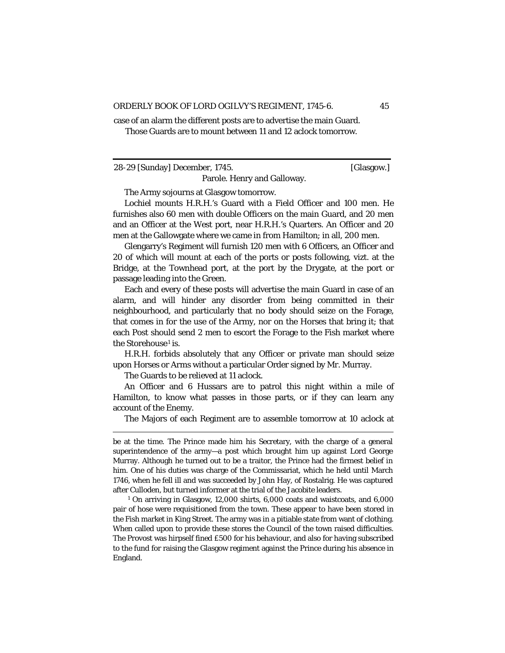case of an alarm the different posts are to advertise the main Guard. Those Guards are to mount between 11 and 12 aclock tomorrow.

28-29 [Sunday] December, 1745. [Glasgow.]

The Army sojourns at Glasgow tomorrow.

Lochiel mounts H.R.H.'s Guard with a Field Officer and 100 men. He furnishes also 60 men with double Officers on the main Guard, and 20 men and an Officer at the West port, near H.R.H.'s Quarters. An Officer and 20 men at the Gallowgate where we came in from Hamilton; in all, 200 men.

Parole. Henry and Galloway.

Glengarry's Regiment will furnish 120 men with 6 Officers, an Officer and 20 of which will mount at each of the ports or posts following, vizt. at the Bridge, at the Townhead port, at the port by the Drygate, at the port or passage leading into the Green.

Each and every of these posts will advertise the main Guard in case of an alarm, and will hinder any disorder from being committed in their neighbourhood, and particularly that no body should seize on the Forage, that comes in for the use of the Army, nor on the Horses that bring it; that each Post should send 2 men to escort the Forage to the Fish market where the Storehouse<sup>[1](#page-50-0)</sup> is.

H.R.H. forbids absolutely that any Officer or private man should seize upon Horses or Arms without a particular Order signed by Mr. Murray.

The Guards to be relieved at 11 aclock.

An Officer and 6 Hussars are to patrol this night within a mile of Hamilton, to know what passes in those parts, or if they can learn any account of the Enemy.

The Majors of each Regiment are to assemble tomorrow at 10 aclock at

<span id="page-50-0"></span><sup>1</sup> On arriving in Glasgow, 12,000 shirts, 6,000 coats and waistcoats, and 6,000 pair of hose were requisitioned from the town. These appear to have been stored in the Fish market in King Street. The army was in a pitiable state from want of clothing. When called upon to provide these stores the Council of the town raised difficulties. The Provost was hirpself fined £500 for his behaviour, and also for having subscribed to the fund for raising the Glasgow regiment against the Prince during his absence in England.

be at the time. The Prince made him his Secretary, with the charge of a general superintendence of the army—a post which brought him up against Lord George Murray. Although he turned out to be a traitor, the Prince had the firmest belief in him. One of his duties was charge of the Commissariat, which he held until March 1746, when he fell ill and was succeeded by John Hay, of Rostalrig. He was captured after Culloden, but turned informer at the trial of the Jacobite leaders.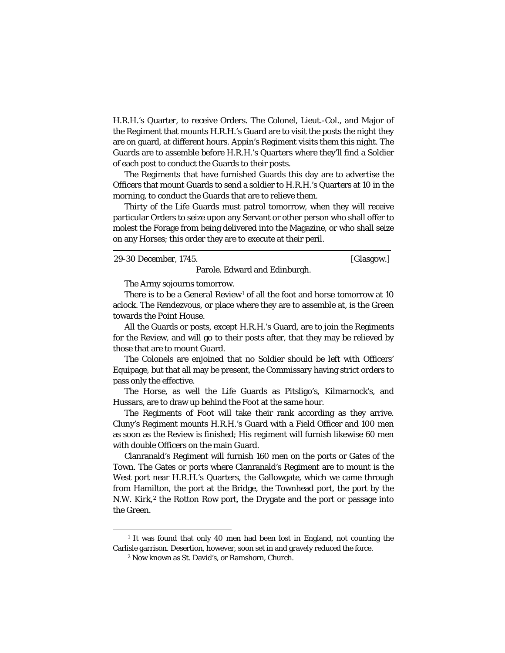H.R.H.'s Quarter, to receive Orders. The Colonel, Lieut.-Col., and Major of the Regiment that mounts H.R.H.'s Guard are to visit the posts the night they are on guard, at different hours. Appin's Regiment visits them this night. The Guards are to assemble before H.R.H.'s Quarters where they'll find a Soldier of each post to conduct the Guards to their posts.

The Regiments that have furnished Guards this day are to advertise the Officers that mount Guards to send a soldier to H.R.H.'s Quarters at 10 in the morning, to conduct the Guards that are to relieve them.

Thirty of the Life Guards must patrol tomorrow, when they will receive particular Orders to seize upon any Servant or other person who shall offer to molest the Forage from being delivered into the Magazine, or who shall seize on any Horses; this order they are to execute at their peril.

29-30 December, 1745. [Glasgow.]

The Army sojourns tomorrow.

There is to be a General Review<sup>[1](#page-51-0)</sup> of all the foot and horse tomorrow at 10 aclock. The Rendezvous, or place where they are to assemble at, is the Green towards the Point House.

Parole. Edward and Edinburgh.

All the Guards or posts, except H.R.H.'s Guard, are to join the Regiments for the Review, and will go to their posts after, that they may be relieved by those that are to mount Guard.

The Colonels are enjoined that no Soldier should be left with Officers' Equipage, but that all may be present, the Commissary having strict orders to pass only the effective.

The Horse, as well the Life Guards as Pitsligo's, Kilmarnock's, and Hussars, are to draw up behind the Foot at the same hour.

The Regiments of Foot will take their rank according as they arrive. Cluny's Regiment mounts H.R.H.'s Guard with a Field Officer and 100 men as soon as the Review is finished; His regiment will furnish likewise 60 men with double Officers on the main Guard.

Clanranald's Regiment will furnish 160 men on the ports or Gates of the Town. The Gates or ports where Clanranald's Regiment are to mount is the West port near H.R.H.'s Quarters, the Gallowgate, which we came through from Hamilton, the port at the Bridge, the Townhead port, the port by the N.W. Kirk,<sup>[2](#page-51-1)</sup> the Rotton Row port, the Drygate and the port or passage into the Green.

<span id="page-51-1"></span><span id="page-51-0"></span><sup>&</sup>lt;sup>1</sup> It was found that only 40 men had been lost in England, not counting the Carlisle garrison. Desertion, however, soon set in and gravely reduced the force.

<sup>2</sup> Now known as St. David's, or Ramshorn, Church.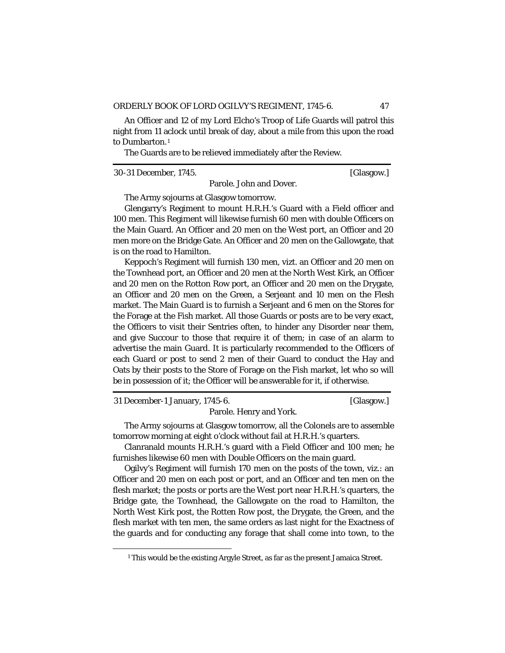An Officer and 12 of my Lord Elcho's Troop of Life Guards will patrol this night from 11 aclock until break of day, about a mile from this upon the road to Dumbarton.[1](#page-52-0)

The Guards are to be relieved immediately after the Review.

30-31 December, 1745. [Glasgow.]

Parole. John and Dover.

The Army sojourns at Glasgow tomorrow.

Glengarry's Regiment to mount H.R.H.'s Guard with a Field officer and 100 men. This Regiment will likewise furnish 60 men with double Officers on the Main Guard. An Officer and 20 men on the West port, an Officer and 20 men more on the Bridge Gate. An Officer and 20 men on the Gallowgate, that is on the road to Hamilton.

Keppoch's Regiment will furnish 130 men, vizt. an Officer and 20 men on the Townhead port, an Officer and 20 men at the North West Kirk, an Officer and 20 men on the Rotton Row port, an Officer and 20 men on the Drygate, an Officer and 20 men on the Green, a Serjeant and 10 men on the Flesh market. The Main Guard is to furnish a Serjeant and 6 men on the Stores for the Forage at the Fish market. All those Guards or posts are to be very exact, the Officers to visit their Sentries often, to hinder any Disorder near them, and give Succour to those that require it of them; in case of an alarm to advertise the main Guard. It is particularly recommended to the Officers of each Guard or post to send 2 men of their Guard to conduct the Hay and Oats by their posts to the Store of Forage on the Fish market, let who so will be in possession of it; the Officer will be answerable for it, if otherwise.

31 December-1 January, 1745-6. [Glasgow.]

Parole. Henry and York.

The Army sojourns at Glasgow tomorrow, all the Colonels are to assemble tomorrow morning at eight o'clock without fail at H.R.H.'s quarters.

Clanranald mounts H.R.H.'s guard with a Field Officer and 100 men; he furnishes likewise 60 men with Double Officers on the main guard.

Ogilvy's Regiment will furnish 170 men on the posts of the town, viz.: an Officer and 20 men on each post or port, and an Officer and ten men on the flesh market; the posts or ports are the West port near H.R.H.'s quarters, the Bridge gate, the Townhead, the Gallowgate on the road to Hamilton, the North West Kirk post, the Rotten Row post, the Drygate, the Green, and the flesh market with ten men, the same orders as last night for the Exactness of the guards and for conducting any forage that shall come into town, to the

<span id="page-52-0"></span><sup>&</sup>lt;sup>1</sup> This would be the existing Argyle Street, as far as the present Jamaica Street.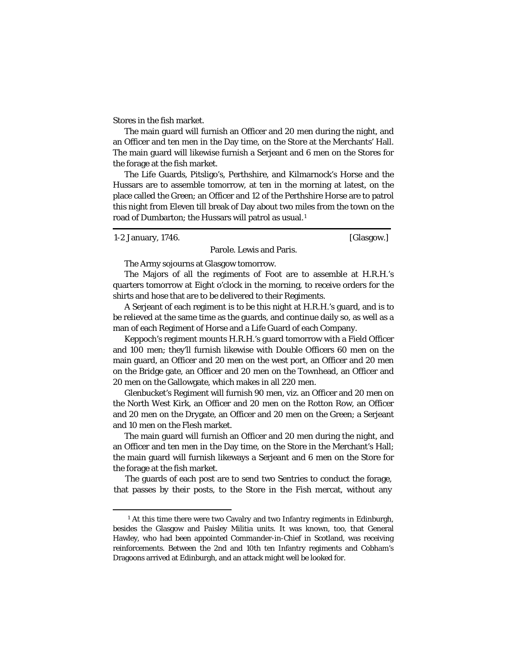Stores in the fish market.

The main guard will furnish an Officer and 20 men during the night, and an Officer and ten men in the Day time, on the Store at the Merchants' Hall. The main guard will likewise furnish a Serjeant and 6 men on the Stores for the forage at the fish market.

The Life Guards, Pitsligo's, Perthshire, and Kilmarnock's Horse and the Hussars are to assemble tomorrow, at ten in the morning at latest, on the place called the Green; an Officer and 12 of the Perthshire Horse are to patrol this night from Eleven till break of Day about two miles from the town on the road of Dumbarton; the Hussars will patrol as usual.<sup>[1](#page-53-0)</sup>

1-2 January, 1746. [Glasgow.]

Parole. Lewis and Paris.

The Army sojourns at Glasgow tomorrow.

The Majors of all the regiments of Foot are to assemble at H.R.H.'s quarters tomorrow at Eight o'clock in the morning, to receive orders for the shirts and hose that are to be delivered to their Regiments.

A Serjeant of each regiment is to be this night at H.R.H.'s guard, and is to be relieved at the same time as the guards, and continue daily so, as well as a man of each Regiment of Horse and a Life Guard of each Company.

Keppoch's regiment mounts H.R.H.'s guard tomorrow with a Field Officer and 100 men; they'll furnish likewise with Double Officers 60 men on the main guard, an Officer and 20 men on the west port, an Officer and 20 men on the Bridge gate, an Officer and 20 men on the Townhead, an Officer and 20 men on the Gallowgate, which makes in all 220 men.

Glenbucket's Regiment will furnish 90 men, viz. an Officer and 20 men on the North West Kirk, an Officer and 20 men on the Rotton Row, an Officer and 20 men on the Drygate, an Officer and 20 men on the Green; a Serjeant and 10 men on the Flesh market.

The main guard will furnish an Officer and 20 men during the night, and an Officer and ten men in the Day time, on the Store in the Merchant's Hall; the main guard will furnish likeways a Serjeant and 6 men on the Store for the forage at the fish market.

The guards of each post are to send two Sentries to conduct the forage, that passes by their posts, to the Store in the Fish mercat, without any

<span id="page-53-0"></span><sup>&</sup>lt;sup>1</sup> At this time there were two Cavalry and two Infantry regiments in Edinburgh, besides the Glasgow and Paisley Militia units. It was known, too, that General Hawley, who had been appointed Commander-in-Chief in Scotland, was receiving reinforcements. Between the 2nd and 10th ten Infantry regiments and Cobham's Dragoons arrived at Edinburgh, and an attack might well be looked for.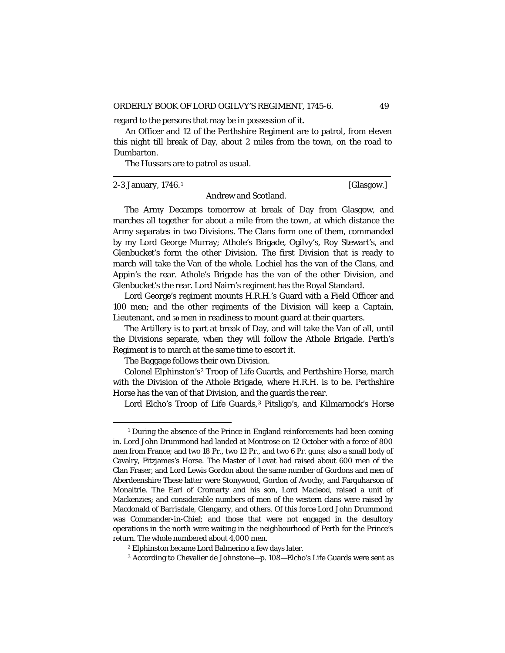regard to the persons that may be in possession of it.

An Officer and 12 of the Perthshire Regiment are to patrol, from eleven this night till break of Day, about 2 miles from the town, on the road to Dumbarton.

The Hussars are to patrol as usual.

2-3 January, 1746.[1](#page-54-0) [Glasgow.]

Andrew and Scotland.

The Army Decamps tomorrow at break of Day from Glasgow, and marches all together for about a mile from the town, at which distance the Army separates in two Divisions. The Clans form one of them, commanded by my Lord George Murray; Athole's Brigade, Ogilvy's, Roy Stewart's, and Glenbucket's form the other Division. The first Division that is ready to march will take the Van of the whole. Lochiel has the van of the Clans, and Appin's the rear. Athole's Brigade has the van of the other Division, and Glenbucket's the rear. Lord Nairn's regiment has the Royal Standard.

Lord George's regiment mounts H.R.H.'s Guard with a Field Officer and 100 men; and the other regiments of the Division will keep a Captain, Lieutenant, and **50** men in readiness to mount guard at their quarters.

The Artillery is to part at break of Day, and will take the Van of all, until the Divisions separate, when they will follow the Athole Brigade. Perth's Regiment is to march at the same time to escort it.

The Baggage follows their own Division.

Colonel Elphinston's[2](#page-54-1) Troop of Life Guards, and Perthshire Horse, march with the Division of the Athole Brigade, where H.R.H. is to be. Perthshire Horse has the van of that Division, and the guards the rear.

Lord Elcho's Troop of Life Guards,<sup>[3](#page-54-2)</sup> Pitsligo's, and Kilmarnock's Horse

<span id="page-54-0"></span><sup>&</sup>lt;sup>1</sup> During the absence of the Prince in England reinforcements had been coming in. Lord John Drummond had landed at Montrose on 12 October with a force of 800 men from France; and two 18 Pr., two 12 Pr., and two 6 Pr. guns; also a small body of Cavalry, Fitzjames's Horse. The Master of Lovat had raised about 600 men of the Clan Fraser, and Lord Lewis Gordon about the same number of Gordons and men of Aberdeenshire These latter were Stonywood, Gordon of Avochy, and Farquharson of Monaltrie. The Earl of Cromarty and his son, Lord Macleod, raised a unit of Mackenzies; and considerable numbers of men of the western clans were raised by Macdonald of Barrisdale, Glengarry, and others. Of this force Lord John Drummond was Commander-in-Chief; and those that were not engaged in the desultory operations in the north were waiting in the neighbourhood of Perth for the Prince's return. The whole numbered about 4,000 men.

<span id="page-54-1"></span>*<sup>2</sup>* Elphinston became Lord Balmerino a few days later.

<span id="page-54-2"></span><sup>3</sup> According to Chevalier de Johnstone—p. 108—Elcho's Life Guards were sent as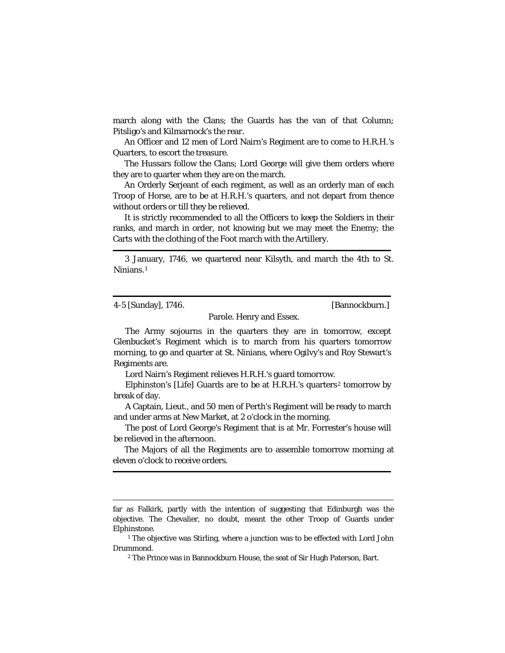march along with the Clans; the Guards has the van of that Column; Pitsligo's and Kilmarnock's the rear.

An Officer and 12 men of Lord Nairn's Regiment are to come to H.R.H.'s Quarters, to escort the treasure.

The Hussars follow the Clans; Lord George will give them orders where they are to quarter when they are on the march.

An Orderly Serjeant of each regiment, as well as an orderly man of each Troop of Horse, are to be at H.R.H.'s quarters, and not depart from thence without orders or till they be relieved.

It is strictly recommended to all the Officers to keep the Soldiers in their ranks, and march in order, not knowing but we may meet the Enemy; the Carts with the clothing of the Foot march with the Artillery.

3 January, 1746, we quartered near Kilsyth, and march the 4th to St. Ninians.[1](#page-55-0)

4-5 [Sunday], 1746. [Bannockburn.]

Parole. Henry and Essex.

The Army sojourns in the quarters they are in tomorrow, except Glenbucket's Regiment which is to march from his quarters tomorrow morning, to go and quarter at St. Ninians, where Ogilvy's and Roy Stewart's Regiments are.

Lord Nairn's Regiment relieves H.R.H.'s guard tomorrow.

Elphinston's [Life] Guards are to be at H.R.H.'s quarters<sup>[2](#page-55-1)</sup> tomorrow by break of day.

A Captain, Lieut., and 50 men of Perth's Regiment will be ready to march and under arms at New Market, at 2 o'clock in the morning.

The post of Lord George's Regiment that is at Mr. Forrester's house will be relieved in the afternoon.

The Majors of all the Regiments are to assemble tomorrow morning at eleven o'clock to receive orders.

<sup>2</sup> The Prince was in Bannockburn House, the seat of Sir Hugh Paterson, Bart.

far as Falkirk, partly with the intention of suggesting that Edinburgh was the objective. The Chevalier, no doubt, meant the other Troop of Guards under Elphinstone.

<span id="page-55-1"></span><span id="page-55-0"></span><sup>&</sup>lt;sup>1</sup> The objective was Stirling, where a junction was to be effected with Lord John Drummond.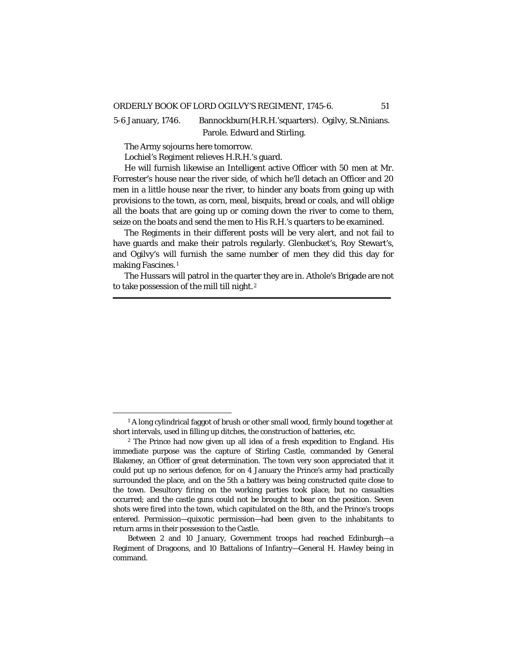5-6 January, 1746. Bannockburn(H.R.H.'squarters). Ogilvy, St.Ninians. Parole. Edward and Stirling.

The Army sojourns here tomorrow.

Lochiel's Regiment relieves H.R.H.'s guard.

He will furnish likewise an Intelligent active Officer with 50 men at Mr. Forrester's house near the river side, of which he'll detach an Officer and 20 men in a little house near the river, to hinder any boats from going up with provisions to the town, as corn, meal, bisquits, bread or coals, and will oblige all the boats that are going up or coming down the river to come to them, seize on the boats and send the men to His R.H.'s quarters to be examined.

The Regiments in their different posts will be very alert, and not fail to have guards and make their patrols regularly. Glenbucket's, Roy Stewart's, and Ogilvy's will furnish the same number of men they did this day for making Fascines.<sup>[1](#page-56-0)</sup>

The Hussars will patrol in the quarter they are in. Athole's Brigade are not to take possession of the mill till night.[2](#page-56-1)

<span id="page-56-0"></span><sup>&</sup>lt;sup>1</sup> A long cylindrical faggot of brush or other small wood, firmly bound together at short intervals, used in filling up ditches, the construction of batteries, etc.

<span id="page-56-1"></span><sup>2</sup> The Prince had now given up all idea of a fresh expedition to England. His immediate purpose was the capture of Stirling Castle, commanded by General Blakeney, an Officer of great determination. The town very soon appreciated that it could put up no serious defence, for on 4 January the Prince's army had practically surrounded the place, and on the 5th a battery was being constructed quite close to the town. Desultory firing on the working parties took place, but no casualties occurred; and the castle guns could not be brought to bear on the position. Seven shots were fired into the town, which capitulated on the 8th, and the Prince's troops entered. Permission—quixotic permission—had been given to the inhabitants to return arms in their possession to the Castle.

Between 2 and 10 January, Government troops had reached Edinburgh—a Regiment of Dragoons, and 10 Battalions of Infantry—General H. Hawley being in command.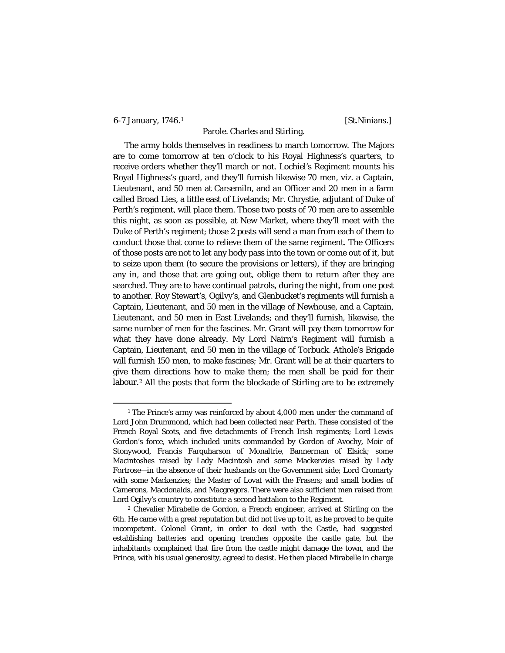### 6-7 January, [1](#page-57-0)746.<sup>1</sup> [St.Ninians.]

## Parole. Charles and Stirling.

The army holds themselves in readiness to march tomorrow. The Majors are to come tomorrow at ten o'clock to his Royal Highness's quarters, to receive orders whether they'll march or not. Lochiel's Regiment mounts his Royal Highness's guard, and they'll furnish likewise 70 men, viz. a Captain, Lieutenant, and 50 men at Carsemiln, and an Officer and 20 men in a farm called Broad Lies, a little east of Livelands; Mr. Chrystie, adjutant of Duke of Perth's regiment, will place them. Those two posts of 70 men are to assemble this night, as soon as possible, at New Market, where they'll meet with the Duke of Perth's regiment; those 2 posts will send a man from each of them to conduct those that come to relieve them of the same regiment. The Officers of those posts are not to let any body pass into the town or come out of it, but to seize upon them (to secure the provisions or letters), if they are bringing any in, and those that are going out, oblige them to return after they are searched. They are to have continual patrols, during the night, from one post to another. Roy Stewart's, Ogilvy's, and Glenbucket's regiments will furnish a Captain, Lieutenant, and 50 men in the village of Newhouse, and a Captain, Lieutenant, and 50 men in East Livelands; and they'll furnish, likewise, the same number of men for the fascines. Mr. Grant will pay them tomorrow for what they have done already. My Lord Nairn's Regiment will furnish a Captain, Lieutenant, and 50 men in the village of Torbuck. Athole's Brigade will furnish 150 men, to make fascines; Mr. Grant will be at their quarters to give them directions how to make them; the men shall be paid for their labour.[2](#page-57-1) All the posts that form the blockade of Stirling are to be extremely

<span id="page-57-0"></span><sup>&</sup>lt;sup>1</sup> The Prince's army was reinforced by about 4,000 men under the command of Lord John Drummond, which had been collected near Perth. These consisted of the French Royal Scots, and five detachments of French Irish regiments; Lord Lewis Gordon's force, which included units commanded by Gordon of Avochy, Moir of Stonywood, Francis Farquharson of Monaltrie, Bannerman of Elsick; some Macintoshes raised by Lady Macintosh and some Mackenzies raised by Lady Fortrose—in the absence of their husbands on the Government side; Lord Cromarty with some Mackenzies; the Master of Lovat with the Frasers; and small bodies of Camerons, Macdonalds, and Macgregors. There were also sufficient men raised from Lord Ogilvy's country to constitute a second battalion to the Regiment.

<span id="page-57-1"></span><sup>2</sup> Chevalier Mirabelle de Gordon, a French engineer, arrived at Stirling on the 6th. He came with a great reputation but did not live up to it, as he proved to be quite incompetent. Colonel Grant, in order to deal with the Castle, had suggested establishing batteries and opening trenches opposite the castle gate, but the inhabitants complained that fire from the castle might damage the town, and the Prince, with his usual generosity, agreed to desist. He then placed Mirabelle in charge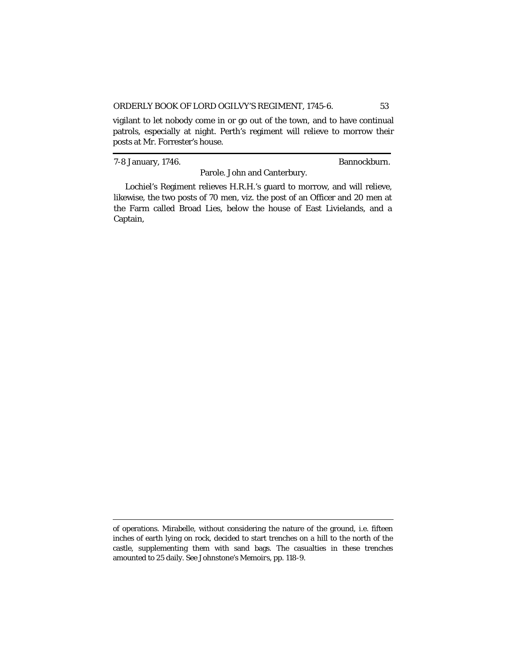vigilant to let nobody come in or go out of the town, and to have continual patrols, especially at night. Perth's regiment will relieve to morrow their posts at Mr. Forrester's house.

7-8 January, 1746. Bannockburn.

Parole. John and Canterbury.

Lochiel's Regiment relieves H.R.H.'s guard to morrow, and will relieve, likewise, the two posts of 70 men, viz. the post of an Officer and 20 men at the Farm called Broad Lies, below the house of East Livielands, and a Captain,

of operations. Mirabelle, without considering the nature of the ground, *i.e.* fifteen inches of earth lying on rock, decided to start trenches on a hill to the north of the castle, supplementing them with sand bags. The casualties in these trenches amounted to 25 daily. See Johnstone's *Memoirs,* pp. 118-9.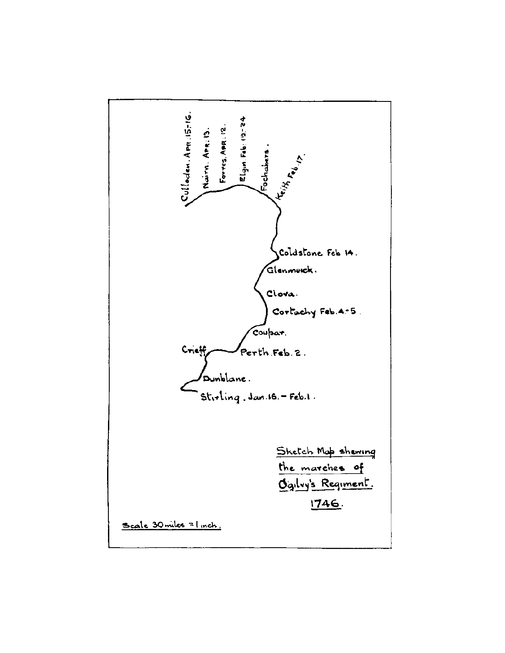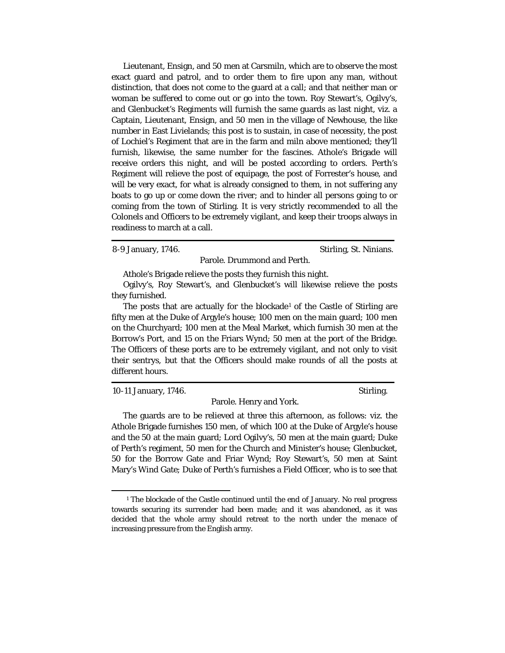Lieutenant, Ensign, and 50 men at Carsmiln, which are to observe the most exact guard and patrol, and to order them to fire upon any man, without distinction, that does not come to the guard at a call; and that neither man or woman be suffered to come out or go into the town. Roy Stewart's, Ogilvy's, and Glenbucket's Regiments will furnish the same guards as last night, viz. a Captain, Lieutenant, Ensign, and 50 men in the village of Newhouse, the like number in East Livielands; this post is to sustain, in case of necessity, the post of Lochiel's Regiment that are in the farm and miln above mentioned; they'll furnish, likewise, the same number for the fascines. Athole's Brigade will receive orders this night, and will be posted according to orders. Perth's Regiment will relieve the post of equipage, the post of Forrester's house, and will be very exact, for what is already consigned to them, in not suffering any boats to go up or come down the river; and to hinder all persons going to or coming from the town of Stirling. It is very strictly recommended to all the Colonels and Officers to be extremely vigilant, and keep their troops always in readiness to march at a call.

8-9 January, 1746. Stirling, St. Ninians.

Parole. Drummond and Perth.

Athole's Brigade relieve the posts they furnish this night.

Ogilvy's, Roy Stewart's, and Glenbucket's will likewise relieve the posts they furnished.

The posts that are actually for the blockade<sup>[1](#page-60-0)</sup> of the Castle of Stirling are fifty men at the Duke of Argyle's house; 100 men on the main guard; 100 men on the Churchyard; 100 men at the Meal Market, which furnish 30 men at the Borrow's Port, and 15 on the Friars Wynd; 50 men at the port of the Bridge. The Officers of these ports are to be extremely vigilant, and not only to visit their sentrys, but that the Officers should make rounds of all the posts at different hours.

10-11 January, 1746. Stirling.

Parole. Henry and York.

The guards are to be relieved at three this afternoon, as follows: viz. the Athole Brigade furnishes 150 men, of which 100 at the Duke of Argyle's house and the 50 at the main guard; Lord Ogilvy's, 50 men at the main guard; Duke of Perth's regiment, 50 men for the Church and Minister's house; Glenbucket, 50 for the Borrow Gate and Friar Wynd; Roy Stewart's, 50 men at Saint Mary's Wind Gate; Duke of Perth's furnishes a Field Officer, who is to see that

<span id="page-60-0"></span><sup>&</sup>lt;sup>1</sup> The blockade of the Castle continued until the end of January. No real progress towards securing its surrender had been made; and it was abandoned, as it was decided that the whole army should retreat to the north under the menace of increasing pressure from the English army.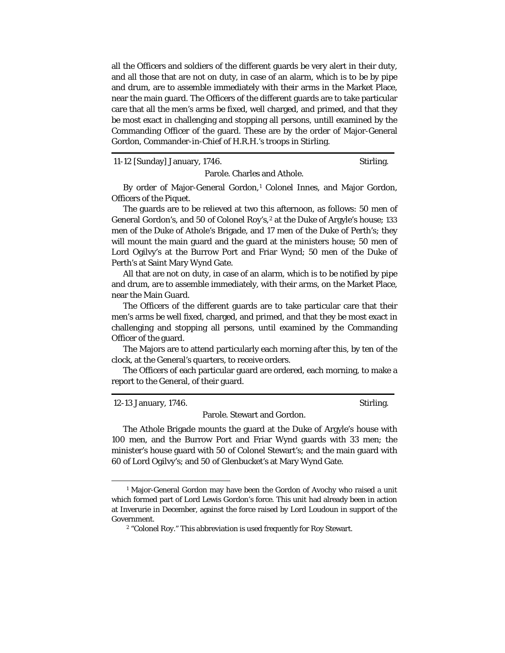all the Officers and soldiers of the different guards be very alert in their duty, and all those that are not on duty, in case of an alarm, which is to be by pipe and drum, are to assemble immediately with their arms in the Market Place, near the main guard. The Officers of the different guards are to take particular care that all the men's arms be fixed, well charged, and primed, and that they be most exact in challenging and stopping all persons, untill examined by the Commanding Officer of the guard. These are by the order of Major-General Gordon, Commander-in-Chief of H.R.H.'s troops in Stirling.

11-12 [Sunday] January, 1746. Stirling.

Parole. Charles and Athole.

By order of Major-General Gordon,<sup>[1](#page-61-0)</sup> Colonel Innes, and Major Gordon, Officers of the Piquet.

The guards are to be relieved at two this afternoon, as follows: 50 men of General Gordon's, and 50 of Colonel Roy's,<sup>[2](#page-61-1)</sup> at the Duke of Argyle's house; 133 men of the Duke of Athole's Brigade, and 17 men of the Duke of Perth's; they will mount the main guard and the guard at the ministers house; 50 men of Lord Ogilvy's at the Burrow Port and Friar Wynd; 50 men of the Duke of Perth's at Saint Mary Wynd Gate.

All that are not on duty, in case of an alarm, which is to be notified by pipe and drum, are to assemble immediately, with their arms, on the Market Place, near the Main Guard.

The Officers of the different guards are to take particular care that their men's arms be well fixed, charged, and primed, and that they be most exact in challenging and stopping all persons, until examined by the Commanding Officer of the guard.

The Majors are to attend particularly each morning after this, by ten of the clock, at the General's quarters, to receive orders.

The Officers of each particular guard are ordered, each morning, to make a report to the General, of their guard.

12-13 January, 1746. Stirling.

Parole. Stewart and Gordon.

The Athole Brigade mounts the guard at the Duke of Argyle's house with 100 men, and the Burrow Port and Friar Wynd guards with 33 men; the minister's house guard with 50 of Colonel Stewart's; and the main guard with 60 of Lord Ogilvy's; and 50 of Glenbucket's at Mary Wynd Gate.

<span id="page-61-1"></span><span id="page-61-0"></span><sup>&</sup>lt;sup>1</sup> Major-General Gordon may have been the Gordon of Avochy who raised a unit which formed part of Lord Lewis Gordon's force. This unit had already been in action at Inverurie in December, against the force raised by Lord Loudoun in support of the Government.

<sup>2</sup> "Colonel Roy." This abbreviation is used frequently for Roy Stewart.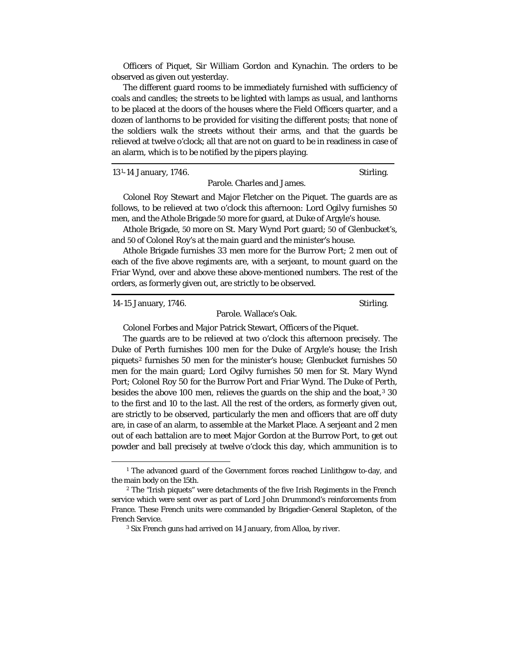Officers of Piquet, Sir William Gordon and Kynachin. The orders to be observed as given out yesterday.

The different guard rooms to be immediately furnished with sufficiency of coals and candles; the streets to be lighted with lamps as usual, and lanthorns to be placed at the doors of the houses where the Field Officers quarter, and a dozen of lanthorns to be provided for visiting the different posts; that none of the soldiers walk the streets without their arms, and that the guards be relieved at twelve o'clock; all that are not on guard to be in readiness in case of an alarm, which is to be notified by the pipers playing.

13[1](#page-62-0)-14 January, 1746. Stirling.

Parole. Charles and James.

Colonel Roy Stewart and Major Fletcher on the Piquet. The guards are as follows, to be relieved at two o'clock this afternoon: Lord Ogilvy furnishes 50 men, and the Athole Brigade 50 more for guard, at Duke of Argyle's house.

Athole Brigade, 50 more on St. Mary Wynd Port guard; 50 of Glenbucket's, and 50 of Colonel Roy's at the main guard and the minister's house.

Athole Brigade furnishes 33 men more for the Burrow Port; 2 men out of each of the five above regiments are, with a serjeant, to mount guard on the Friar Wynd, over and above these above-mentioned numbers. The rest of the orders, as formerly given out, are strictly to be observed.

14-15 January, 1746. Stirling.

Parole. Wallace's Oak.

Colonel Forbes and Major Patrick Stewart, Officers of the Piquet.

The guards are to be relieved at two o'clock this afternoon precisely. The Duke of Perth furnishes 100 men for the Duke of Argyle's house; the Irish piquets[2](#page-62-1) furnishes 50 men for the minister's house; Glenbucket furnishes 50 men for the main guard; Lord Ogilvy furnishes 50 men for St. Mary Wynd Port; Colonel Roy 50 for the Burrow Port and Friar Wynd. The Duke of Perth, besides the above 100 men, relieves the guards on the ship and the boat,<sup>[3](#page-62-2)</sup> 30 to the first and 10 to the last. All the rest of the orders, as formerly given out, are strictly to be observed, particularly the men and officers that are off duty are, in case of an alarm, to assemble at the Market Place. A serjeant and 2 men out of each battalion are to meet Major Gordon at the Burrow Port, to get out powder and ball precisely at twelve o'clock this day, which ammunition is to

<span id="page-62-0"></span><sup>&</sup>lt;sup>1</sup> The advanced guard of the Government forces reached Linlithgow to-day, and the main body on the 15th.

<span id="page-62-2"></span><span id="page-62-1"></span><sup>2</sup> The "Irish piquets" were detachments of the five Irish Regiments in the French service which were sent over as part of Lord John Drummond's reinforcements from France. These French units were commanded by Brigadier-General Stapleton, of the French Service.

<sup>3</sup> Six French guns had arrived on 14 January, from Alloa, by river.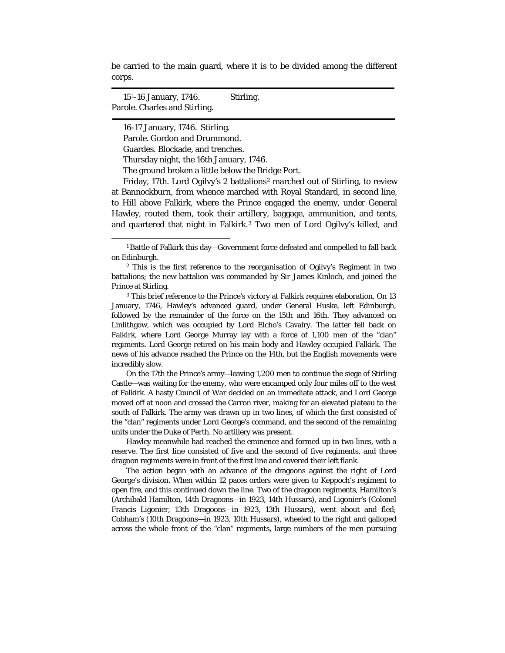be carried to the main guard, where it is to be divided among the different corps.

15[1](#page-63-0)-16 January, 1746. Stirling. Parole. Charles and Stirling.

16-17 January, 1746. Stirling.

Parole. Gordon and Drummond.

Guardes. Blockade, and trenches.

Thursday night, the 16th January, 1746.

The ground broken a little below the Bridge Port.

Friday, 17th. Lord Ogilvy's [2](#page-63-1) battalions<sup>2</sup> marched out of Stirling, to review at Bannockburn, from whence marched with Royal Standard, in second line, to Hill above Falkirk, where the Prince engaged the enemy, under General Hawley, routed them, took their artillery, baggage, ammunition, and tents, and quartered that night in Falkirk.[3](#page-63-2) Two men of Lord Ogilvy's killed, and

<span id="page-63-0"></span> <sup>1</sup> Battle of Falkirk this day—Government force defeated and compelled to fall back on Edinburgh.

<span id="page-63-1"></span><sup>2</sup> This is the first reference to the reorganisation of Ogilvy's Regiment in two battalions; the new battalion was commanded by Sir James Kinloch, and joined the Prince at Stirling.

<span id="page-63-2"></span><sup>3</sup> This brief reference to the Prince's victory at Falkirk requires elaboration. On 13 January, 1746, Hawley's advanced guard, under General Huske, left Edinburgh, followed by the remainder of the force on the 15th and 16th. They advanced on Linlithgow, which was occupied by Lord Elcho's Cavalry. The latter fell back on Falkirk, where Lord George Murray lay with a force of 1,100 men of the "clan" regiments. Lord George retired on his main body and Hawley occupied Falkirk. The news of his advance reached the Prince on the 14th, but the English movements were incredibly slow.

On the 17th the Prince's army—leaving 1,200 men to continue the siege of Stirling Castle—was waiting for the enemy, who were encamped only four miles off to the west of Falkirk. A hasty Council of War decided on an immediate attack, and Lord George moved off at noon and crossed the Carron river, making for an elevated plateau to the south of Falkirk. The army was drawn up in two lines, of which the first consisted of the "clan" regiments under Lord George's command, and the second of the remaining units under the Duke of Perth. No artillery was present.

Hawley meanwhile had reached the eminence and formed up in two lines, with a reserve. The first line consisted of five and the second of five regiments, and three dragoon regiments were in front of the first line and covered their left flank.

The action began with an advance of the dragoons against the right of Lord George's division. When within 12 paces orders were given to Keppoch's regiment to open fire, and this continued down the line. Two of the dragoon regiments, Hamilton's (Archibald Hamilton, 14th Dragoons—in 1923, 14th Hussars), and Ligonier's (Colonel Francis Ligonier, 13th Dragoons—in 1923, 13th Hussars), went about and fled; Cobham's (10th Dragoons—in 1923, 10th Hussars), wheeled to the right and galloped across the whole front of the "clan" regiments, large numbers of the men pursuing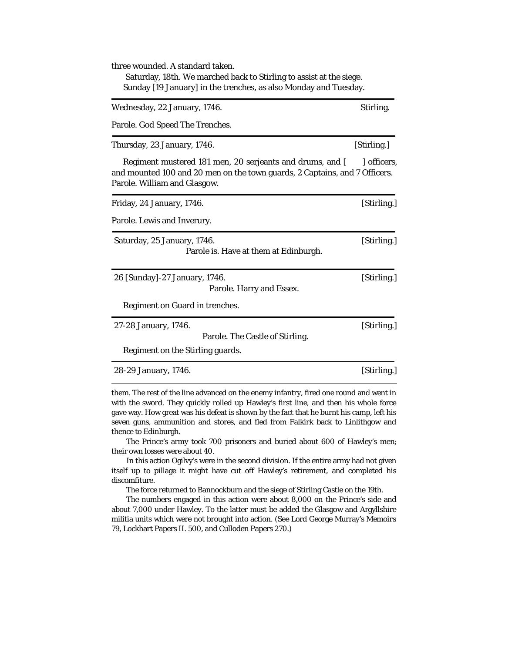| three wounded. A standard taken.<br>Saturday, 18th. We marched back to Stirling to assist at the siege.<br>Sunday [19 January] in the trenches, as also Monday and Tuesday. |             |  |
|-----------------------------------------------------------------------------------------------------------------------------------------------------------------------------|-------------|--|
| Wednesday, 22 January, 1746.                                                                                                                                                | Stirling.   |  |
| Parole. God Speed The Trenches.                                                                                                                                             |             |  |
| Thursday, 23 January, 1746.                                                                                                                                                 | [Stirling.] |  |
| Regiment mustered 181 men, 20 serjeants and drums, and [<br>and mounted 100 and 20 men on the town guards, 2 Captains, and 7 Officers.<br>Parole. William and Glasgow.      | officers,   |  |
| Friday, 24 January, 1746.                                                                                                                                                   | [Stirling.] |  |
| Parole. Lewis and Inverury.                                                                                                                                                 |             |  |
| Saturday, 25 January, 1746.<br>Parole is. Have at them at Edinburgh.                                                                                                        | [Stirling.] |  |
| 26 [Sunday]-27 January, 1746.<br>Parole. Harry and Essex.                                                                                                                   | [Stirling.] |  |
| Regiment on Guard in trenches.                                                                                                                                              |             |  |
| 27-28 January, 1746.<br>Parole. The Castle of Stirling.<br>Regiment on the Stirling guards.                                                                                 | [Stirling.] |  |
| 28-29 January, 1746.                                                                                                                                                        | [Stirling.] |  |

 them. The rest of the line advanced on the enemy infantry, fired one round and went in with the sword. They quickly rolled up Hawley's first line, and then his whole force gave way. How great was his defeat is shown by the fact that he burnt his camp, left his seven guns, ammunition and stores, and fled from Falkirk back to Linlithgow and thence to Edinburgh.

The Prince's army took 700 prisoners and buried about 600 of Hawley's men; their own losses were about 40.

In this action Ogilvy's were in the second division. If the entire army had not given itself up to pillage it might have cut off Hawley's retirement, and completed his discomfiture.

The force returned to Bannockburn and the siege of Stirling Castle on the 19th.

The numbers engaged in this action were about 8,000 on the Prince's side and about 7,000 under Hawley. To the latter must be added the Glasgow and Argyllshire militia units which were not brought into action. (See Lord George Murray's *Memoirs* 79, Lockhart Papers II. 500, and Culloden Papers 270.)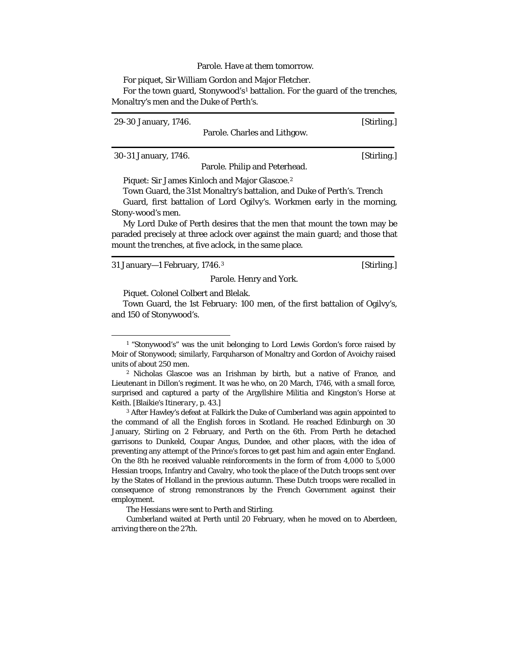### Parole. Have at them tomorrow.

For piquet, Sir William Gordon and Major Fletcher.

For the town guard, Stonywood's[1](#page-65-0) battalion. For the guard of the trenches, Monaltry's men and the Duke of Perth's.

| 29-30 January, 1746. |                                                                        | [Stirling.] |
|----------------------|------------------------------------------------------------------------|-------------|
|                      | Parole. Charles and Lithgow.                                           |             |
| 30-31 January, 1746. |                                                                        | [Stirling.] |
|                      | Parole. Philip and Peterhead.                                          |             |
|                      | Piquet: Sir James Kinloch and Major Glascoe. <sup>2</sup>              |             |
|                      | Town Guard, the 31st Monaltry's battalion, and Duke of Perth's. Trench |             |

Guard, first battalion of Lord Ogilvy's. Workmen early in the morning,

Stony-wood's men.

My Lord Duke of Perth desires that the men that mount the town may be paraded precisely at three aclock over against the main guard; and those that mount the trenches, at five aclock, in the same place.

[3](#page-65-2)1 January—1 February, 1746.<sup>3</sup> [Stirling.]

Parole. Henry and York.

Piquet. Colonel Colbert and Blelak.

Town Guard, the 1st February: 100 men, of the first battalion of Ogilvy's, and 150 of Stonywood's.

<span id="page-65-0"></span><sup>&</sup>lt;sup>1</sup> "Stonywood's" was the unit belonging to Lord Lewis Gordon's force raised by Moir of Stonywood; similarly, Farquharson of Monaltry and Gordon of Avoichy raised units of about 250 men.

<span id="page-65-1"></span><sup>2</sup> Nicholas Glascoe was an Irishman by birth, but a native of France, and Lieutenant in Dillon's regiment. It was he who, on 20 March, 1746, with a small force, surprised and captured a party of the Argyllshire Militia and Kingston's Horse at Keith. [Blaikie's *Itinerary*, p. 43.]

<span id="page-65-2"></span><sup>3</sup> After Hawley's defeat at Falkirk the Duke of Cumberland was again appointed to the command of all the English forces in Scotland. He reached Edinburgh on 30 January, Stirling on 2 February, and Perth on the 6th. From Perth he detached garrisons to Dunkeld, Coupar Angus, Dundee, and other places, with the idea of preventing any attempt of the Prince's forces to get past him and again enter England. On the 8th he received valuable reinforcements in the form of from 4,000 to 5,000 Hessian troops, Infantry and Cavalry, who took the place of the Dutch troops sent over by the States of Holland in the previous autumn. These Dutch troops were recalled in consequence of strong remonstrances by the French Government against their employment.

The Hessians were sent to Perth and Stirling.

Cumberland waited at Perth until 20 February, when he moved on to Aberdeen, arriving there on the 27th.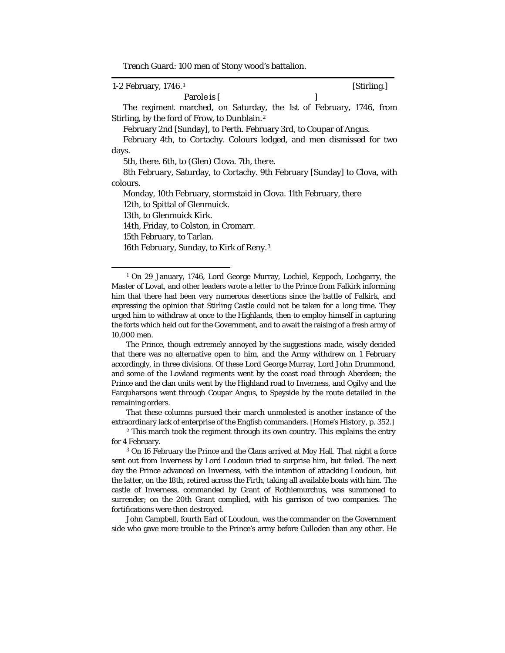Trench Guard: 100 men of Stony wood's battalion.

| 1-2 February, 1746. <sup>1</sup>                                          | [Stirling.] |
|---------------------------------------------------------------------------|-------------|
| Parole is [                                                               |             |
| The regiment marched, on Saturday, the 1st of February, 1746, from        |             |
| Stirling, by the ford of Frow, to Dunblain. <sup>2</sup>                  |             |
| February 2nd [Sunday], to Perth. February 3rd, to Coupar of Angus.        |             |
| February 4th, to Cortachy. Colours lodged, and men dismissed for two      |             |
| days.                                                                     |             |
| 5th, there. 6th, to (Glen) Clova. 7th, there.                             |             |
| 8th February, Saturday, to Cortachy. 9th February [Sunday] to Clova, with |             |
| colours.                                                                  |             |
| Monday, 10th February, stormstaid in Clova. 11th February, there          |             |
| 12th, to Spittal of Glenmuick.                                            |             |
| 13th, to Glenmuick Kirk.                                                  |             |
| 14th, Friday, to Colston, in Cromarr.                                     |             |
| 15th February, to Tarlan.                                                 |             |
| 16th February, Sunday, to Kirk of Reny. <sup>3</sup>                      |             |
|                                                                           |             |
|                                                                           |             |

<span id="page-66-0"></span><sup>1</sup> On 29 January, 1746, Lord George Murray, Lochiel, Keppoch, Lochgarry, the Master of Lovat, and other leaders wrote a letter to the Prince from Falkirk informing him that there had been very numerous desertions since the battle of Falkirk, and expressing the opinion that Stirling Castle could not be taken for a long time. They urged him to withdraw at once to the Highlands, then to employ himself in capturing the forts which held out for the Government, and to await the raising of a fresh army of 10,000 men.

The Prince, though extremely annoyed by the suggestions made, wisely decided that there was no alternative open to him, and the Army withdrew on 1 February accordingly, in three divisions. Of these Lord George Murray, Lord John Drummond, and some of the Lowland regiments went by the coast road through Aberdeen; the Prince and the clan units went by the Highland road to Inverness, and Ogilvy and the Farquharsons went through Coupar Angus, to Speyside by the route detailed in the remaining orders.

That these columns pursued their march unmolested is another instance of the extraordinary lack of enterprise of the English commanders. [Home's *History,* p. 352.]

John Campbell, fourth Earl of Loudoun, was the commander on the Government side who gave more trouble to the Prince's army before Culloden than any other. He

<span id="page-66-1"></span><sup>&</sup>lt;sup>2</sup> This march took the regiment through its own country. This explains the entry for 4 February.

<span id="page-66-2"></span><sup>3</sup> On 16 February the Prince and the Clans arrived at Moy Hall. That night a force sent out from Inverness by Lord Loudoun tried to surprise him, but failed. The next day the Prince advanced on Inverness, with the intention of attacking Loudoun, but the latter, on the 18th, retired across the Firth, taking all available boats with him. The castle of Inverness, commanded by Grant of Rothiemurchus, was summoned to surrender; on the 20th Grant complied, with his garrison of two companies. The fortifications were then destroyed.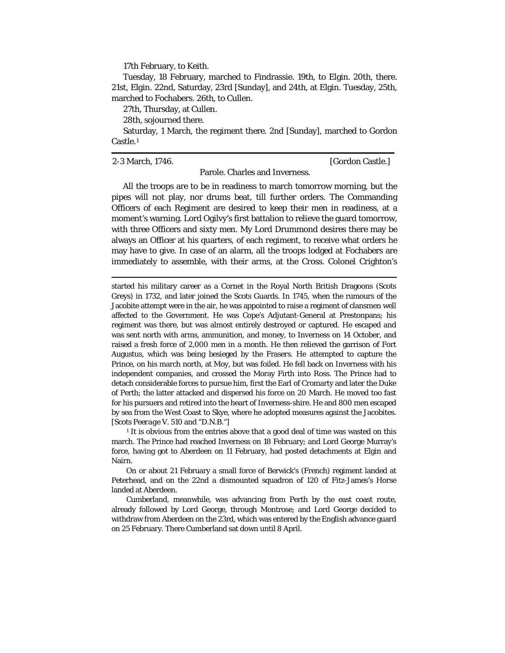17th February, to Keith.

Tuesday, 18 February, marched to Findrassie. 19th, to Elgin. 20th, there. 21st, Elgin. 22nd, Saturday, 23rd [Sunday], and 24th, at Elgin. Tuesday, 25th, marched to Fochabers. 26th, to Cullen.

27th, Thursday, at Cullen.

28th, sojourned there.

Saturday, 1 March, the regiment there. 2nd [Sunday], marched to Gordon Castle.[1](#page-67-0)

2-3 March, 1746. [Gordon Castle.]

Parole. Charles and Inverness.

All the troops are to be in readiness to march tomorrow morning, but the pipes will not play, nor drums beat, till further orders. The Commanding Officers of each Regiment are desired to keep their men in readiness, at a moment's warning. Lord Ogilvy's first battalion to relieve the guard tomorrow, with three Officers and sixty men. My Lord Drummond desires there may be always an Officer at his quarters, of each regiment, to receive what orders he may have to give. In case of an alarm, all the troops lodged at Fochabers are immediately to assemble, with their arms, at the Cross. Colonel Crighton's

 started his military career as a Cornet in the Royal North British Dragoons (Scots Greys) in 1732, and later joined the Scots Guards. In 1745, when the rumours of the Jacobite attempt were in the air, he was appointed to raise a regiment of clansmen well affected to the Government. He was Cope's Adjutant-General at Prestonpans; his regiment was there, but was almost entirely destroyed or captured. He escaped and was sent north with arms, ammunition, and money, to Inverness on 14 October, and raised a fresh force of 2,000 men in a month. He then relieved the garrison of Fort Augustus, which was being besieged by the Frasers. He attempted to capture the Prince, on his march north, at Moy, but was foiled. He fell back on Inverness with his independent companies, and crossed the Moray Firth into Ross. The Prince had to detach considerable forces to pursue him, first the Earl of Cromarty and later the Duke of Perth; the latter attacked and dispersed his force on 20 March. He moved too fast for his pursuers and retired into the heart of Inverness-shire. He and 800 men escaped by sea from the West Coast to Skye, where he adopted measures against the Jacobites. [Scots *Peerage* V. 510 and "D.N.B."]

<span id="page-67-0"></span> $<sup>1</sup>$  It is obvious from the entries above that a good deal of time was wasted on this</sup> march. The Prince had reached Inverness on 18 February; and Lord George Murray's force, having got to Aberdeen on 11 February, had posted detachments at Elgin and Nairn.

On or about 21 February a small force of Berwick's (French) regiment landed at Peterhead, and on the 22nd a dismounted squadron of 120 of Fitz-James's Horse landed at Aberdeen.

Cumberland, meanwhile, was advancing from Perth by the east coast route, already followed by Lord George, through Montrose; and Lord George decided to withdraw from Aberdeen on the 23rd, which was entered by the English advance guard on 25 February. There Cumberland sat down until 8 April.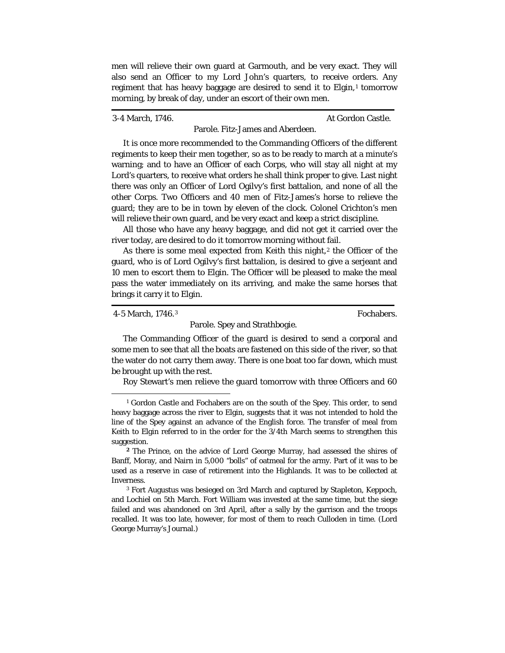men will relieve their own guard at Garmouth, and be very exact. They will also send an Officer to my Lord John's quarters, to receive orders. Any regiment that has heavy baggage are desired to send it to Elgin,<sup>[1](#page-68-0)</sup> tomorrow morning, by break of day, under an escort of their own men.

3-4 March, 1746. At Gordon Castle.

Parole. Fitz-James and Aberdeen.

It is once more recommended to the Commanding Officers of the different regiments to keep their men together, so as to be ready to march at a minute's warning; and to have an Officer of each Corps, who will stay all night at my Lord's quarters, to receive what orders he shall think proper to give. Last night there was only an Officer of Lord Ogilvy's first battalion, and none of all the other Corps. Two Officers and 40 men of Fitz-James's horse to relieve the guard; they are to be in town by eleven of the clock. Colonel Crichton's men will relieve their own guard, and be very exact and keep a strict discipline.

All those who have any heavy baggage, and did not get it carried over the river today, are desired to do it tomorrow morning without fail.

As there is some meal expected from Keith this night, $2$  the Officer of the guard, who is of Lord Ogilvy's first battalion, is desired to give a serjeant and 10 men to escort them to Elgin. The Officer will be pleased to make the meal pass the water immediately on its arriving, and make the same horses that brings it carry it to Elgin.

```
4-5 March, 1746.3 Fochabers.
```
## Parole. Spey and Strathbogie.

The Commanding Officer of the guard is desired to send a corporal and some men to see that all the boats are fastened on this side of the river, so that the water do not carry them away. There is one boat too far down, which must be brought up with the rest.

Roy Stewart's men relieve the guard tomorrow with three Officers and 60

<span id="page-68-0"></span><sup>&</sup>lt;sup>1</sup> Gordon Castle and Fochabers are on the south of the Spey. This order, to send heavy baggage across the river to Elgin, suggests that it was not intended to hold the line of the Spey against an advance of the English force. The transfer of meal from Keith to Elgin referred to in the order for the 3/4th March seems to strengthen this suggestion.

<span id="page-68-1"></span>**<sup>2</sup>** The Prince, on the advice of Lord George Murray, had assessed the shires of Banff, Moray, and Nairn in 5,000 "bolls" of oatmeal for the army. Part of it was to be used as a reserve in case of retirement into the Highlands. It was to be collected at Inverness.

<span id="page-68-2"></span><sup>3</sup> Fort Augustus was besieged on 3rd March and captured by Stapleton, Keppoch, and Lochiel on 5th March. Fort William was invested at the same time, but the siege failed and was abandoned on 3rd April, after a sally by the garrison and the troops recalled. It was too late, however, for most of them to reach Culloden in time. (Lord George Murray's Journal.)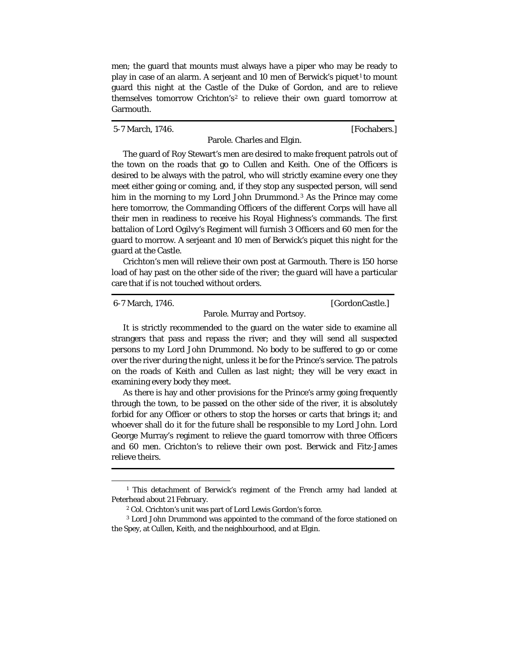men; the guard that mounts must always have a piper who may be ready to play in case of an alarm. A serjeant and [1](#page-69-0)0 men of Berwick's piquet<sup>1</sup> to mount guard this night at the Castle of the Duke of Gordon, and are to relieve themselves tomorrow Crichton's<sup>[2](#page-69-1)</sup> to relieve their own guard tomorrow at Garmouth.

5-7 March, 1746. **[Fochabers.]** 

Parole. Charles and Elgin.

The guard of Roy Stewart's men are desired to make frequent patrols out of the town on the roads that go to Cullen and Keith. One of the Officers is desired to be always with the patrol, who will strictly examine every one they meet either going or coming, and, if they stop any suspected person, will send him in the morning to my Lord John Drummond.<sup>[3](#page-69-2)</sup> As the Prince may come here tomorrow, the Commanding Officers of the different Corps will have all their men in readiness to receive his Royal Highness's commands. The first battalion of Lord Ogilvy's Regiment will furnish 3 Officers and 60 men for the guard to morrow. A serjeant and 10 men of Berwick's piquet this night for the guard at the Castle.

Crichton's men will relieve their own post at Garmouth. There is 150 horse load of hay past on the other side of the river; the guard will have a particular care that if is not touched without orders.

6-7 March, 1746. [GordonCastle.]

Parole. Murray and Portsoy.

It is strictly recommended to the guard on the water side to examine all strangers that pass and repass the river; and they will send all suspected persons to my Lord John Drummond. No body to be suffered to go or come over the river during the night, unless it be for the Prince's service. The patrols on the roads of Keith and Cullen as last night; they will be very exact in examining every body they meet.

As there is hay and other provisions for the Prince's army going frequently through the town, to be passed on the other side of the river, it is absolutely forbid for any Officer or others to stop the horses or carts that brings it; and whoever shall do it for the future shall be responsible to my Lord John. Lord George Murray's regiment to relieve the guard tomorrow with three Officers and 60 men. Crichton's to relieve their own post. Berwick and Fitz-James relieve theirs.

<span id="page-69-0"></span><sup>&</sup>lt;sup>1</sup> This detachment of Berwick's regiment of the French army had landed at Peterhead about 21 February.

<sup>2</sup> Col. Crichton's unit was part of Lord Lewis Gordon's force.

<span id="page-69-2"></span><span id="page-69-1"></span><sup>3</sup> Lord John Drummond was appointed to the command of the force stationed on the Spey, at Cullen, Keith, and the neighbourhood, and at Elgin.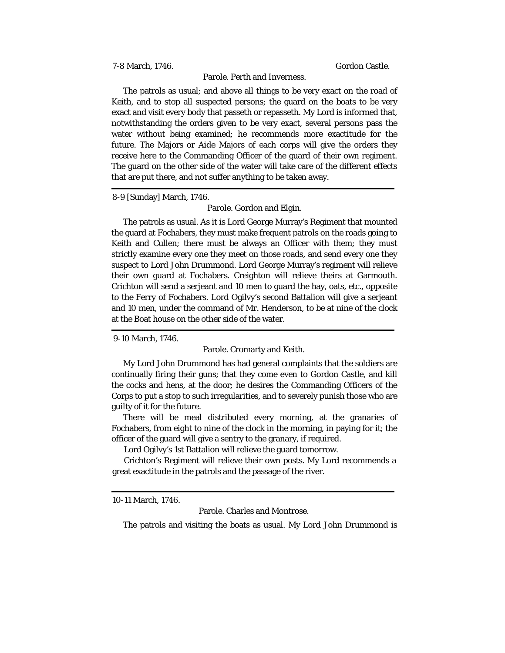7-8 March, 1746. Gordon Castle.

# Parole. Perth and Inverness.

The patrols as usual; and above all things to be very exact on the road of Keith, and to stop all suspected persons; the guard on the boats to be very exact and visit every body that passeth or repasseth. My Lord is informed that, notwithstanding the orders given to be very exact, several persons pass the water without being examined; he recommends more exactitude for the future. The Majors or Aide Majors of each corps will give the orders they receive here to the Commanding Officer of the guard of their own regiment. The guard on the other side of the water will take care of the different effects that are put there, and not suffer anything to be taken away.

8-9 [Sunday] March, 1746.

Parole. Gordon and Elgin.

The patrols as usual. As it is Lord George Murray's Regiment that mounted the guard at Fochabers, they must make frequent patrols on the roads going to Keith and Cullen; there must be always an Officer with them; they must strictly examine every one they meet on those roads, and send every one they suspect to Lord John Drummond. Lord George Murray's regiment will relieve their own guard at Fochabers. Creighton will relieve theirs at Garmouth. Crichton will send a serjeant and 10 men to guard the hay, oats, etc., opposite to the Ferry of Fochabers. Lord Ogilvy's second Battalion will give a serjeant and 10 men, under the command of Mr. Henderson, to be at nine of the clock at the Boat house on the other side of the water.

9-10 March, 1746.

### Parole. Cromarty and Keith.

My Lord John Drummond has had general complaints that the soldiers are continually firing their guns; that they come even to Gordon Castle, and kill the cocks and hens, at the door; he desires the Commanding Officers of the Corps to put a stop to such irregularities, and to severely punish those who are guilty of it for the future.

There will be meal distributed every morning, at the granaries of Fochabers, from eight to nine of the clock in the morning, in paying for it; the officer of the guard will give a sentry to the granary, if required.

Lord Ogilvy's 1st Battalion will relieve the guard tomorrow.

Crichton's Regiment will relieve their own posts. My Lord recommends a great exactitude in the patrols and the passage of the river.

10-11 March, 1746.

Parole. Charles and Montrose.

The patrols and visiting the boats as usual. My Lord John Drummond is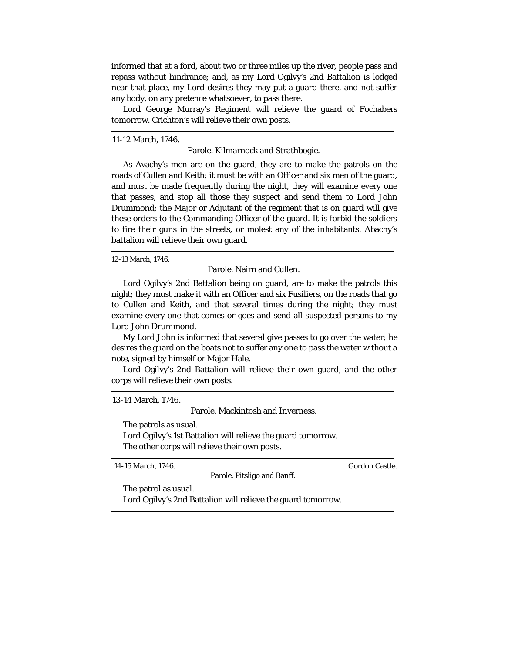informed that at a ford, about two or three miles up the river, people pass and repass without hindrance; and, as my Lord Ogilvy's 2nd Battalion is lodged near that place, my Lord desires they may put a guard there, and not suffer any body, on any pretence whatsoever, to pass there.

Lord George Murray's Regiment will relieve the guard of Fochabers tomorrow. Crichton's will relieve their own posts.

11-12 March, 1746.

Parole. Kilmarnock and Strathbogie.

As Avachy's men are on the guard, they are to make the patrols on the roads of Cullen and Keith; it must be with an Officer and six men of the guard, and must be made frequently during the night, they will examine every one that passes, and stop all those they suspect and send them to Lord John Drummond; the Major or Adjutant of the regiment that is on guard will give these orders to the Commanding Officer of the guard. It is forbid the soldiers to fire their guns in the streets, or molest any of the inhabitants. Abachy's battalion will relieve their own guard.

12-13 March, 1746.

Parole. Nairn and Cullen.

Lord Ogilvy's 2nd Battalion being on guard, are to make the patrols this night; they must make it with an Officer and six Fusiliers, on the roads that go to Cullen and Keith, and that several times during the night; they must examine every one that comes or goes and send all suspected persons to my Lord John Drummond.

My Lord John is informed that several give passes to go over the water; he desires the guard on the boats not to suffer any one to pass the water without a note, signed by himself or Major Hale.

Lord Ogilvy's 2nd Battalion will relieve their own guard, and the other corps will relieve their own posts.

13-14 March, 1746.

Parole. Mackintosh and Inverness.

Parole. Pitsligo and Banff.

The patrols as usual.

Lord Ogilvy's 1st Battalion will relieve the guard tomorrow. The other corps will relieve their own posts.

14-15 March, 1746. Gordon Castle.

The patrol as usual.

Lord Ogilvy's 2nd Battalion will relieve the guard tomorrow.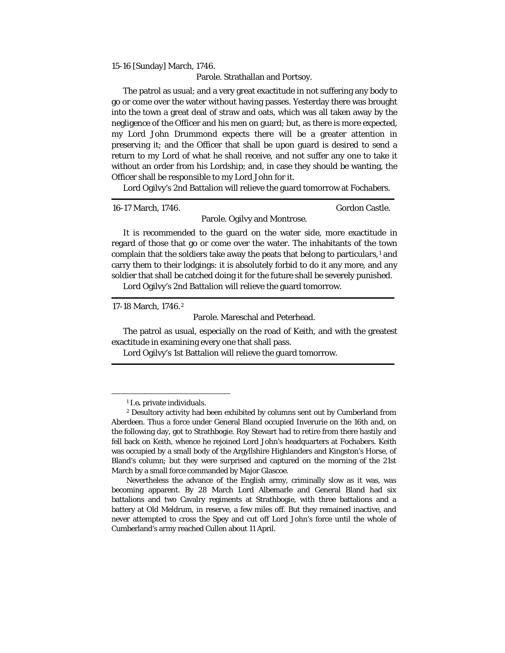15-16 [Sunday] March, 1746.

Parole. Strathallan and Portsoy.

The patrol as usual; and a very great exactitude in not suffering any body to go or come over the water without having passes. Yesterday there was brought into the town a great deal of straw and oats, which was all taken away by the negligence of the Officer and his men on guard; but, as there is more expected, my Lord John Drummond expects there will be a greater attention in preserving it; and the Officer that shall be upon guard is desired to send a return to my Lord of what he shall receive, and not suffer any one to take it without an order from his Lordship; and, in case they should be wanting, the Officer shall be responsible to my Lord John for it.

Lord Ogilvy's 2nd Battalion will relieve the guard tomorrow at Fochabers.

16-17 March, 1746. Gordon Castle.

Parole. Ogilvy and Montrose.

It is recommended to the guard on the water side, more exactitude in regard of those that go or come over the water. The inhabitants of the town complain that the soldiers take away the peats that belong to particulars,<sup>[1](#page-72-0)</sup> and carry them to their lodgings: it is absolutely forbid to do it any more, and any soldier that shall be catched doing it for the future shall be severely punished.

Lord Ogilvy's 2nd Battalion will relieve the guard tomorrow.

17-18 March, 1746.[2](#page-72-1)

Parole. Mareschal and Peterhead.

The patrol as usual, especially on the road of Keith, and with the greatest exactitude in examining every one that shall pass.

Lord Ogilvy's 1st Battalion will relieve the guard tomorrow.

<sup>1</sup> *I.e.* private individuals.

<span id="page-72-1"></span><span id="page-72-0"></span><sup>2</sup> Desultory activity had been exhibited by columns sent out by Cumberland from Aberdeen. Thus a force under General Bland occupied Inverurie on the 16th and, on the following day, got to Strathbogie. Roy Stewart had to retire from there hastily and fell back on Keith, whence he rejoined Lord John's headquarters at Fochabers. Keith was occupied by a small body of the Argyllshire Highlanders and Kingston's Horse, of Bland's column; but they were surprised and captured on the morning of the 21st March by a small force commanded by Major Glascoe.

Nevertheless the advance of the English army, criminally slow as it was, was becoming apparent. By 28 March Lord Albemarle and General Bland had six battalions and two Cavalry regiments at Strathbogie, with three battalions and a battery at Old Meldrum, in reserve, a few miles off. But they remained inactive, and never attempted to cross the Spey and cut off Lord John's force until the whole of Cumberland's army reached Cullen about 11 April.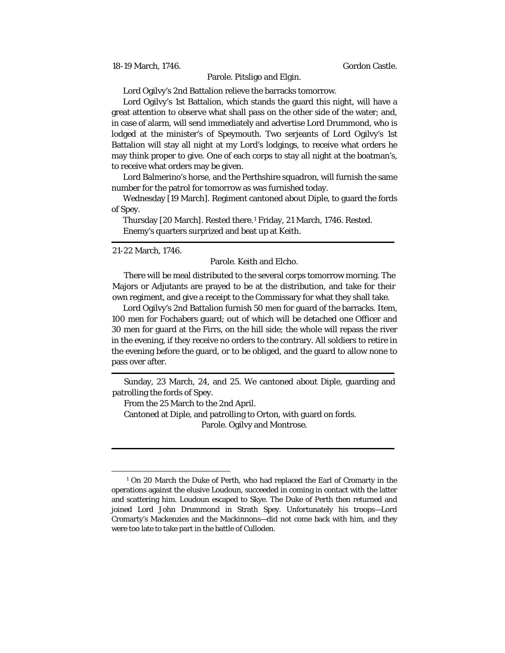18-19 March, 1746. Gordon Castle.

## Parole. Pitsligo and Elgin.

Lord Ogilvy's 2nd Battalion relieve the barracks tomorrow.

Lord Ogilvy's 1st Battalion, which stands the guard this night, will have a great attention to observe what shall pass on the other side of the water; and, in case of alarm, will send immediately and advertise Lord Drummond, who is lodged at the minister's of Speymouth. Two serjeants of Lord Ogilvy's 1st Battalion will stay all night at my Lord's lodgings, to receive what orders he may think proper to give. One of each corps to stay all night at the boatman's, to receive what orders may be given.

Lord Balmerino's horse, and the Perthshire squadron, will furnish the same number for the patrol for tomorrow as was furnished today.

Wednesday [19 March]. Regiment cantoned about Diple, to guard the fords of Spey.

Thursday [20 March]. Rested there.[1](#page-73-0) Friday, 21 March, 1746. Rested. Enemy's quarters surprized and beat up at Keith.

## 21-22 March, 1746.

Parole. Keith and Elcho.

There will be meal distributed to the several corps tomorrow morning. The Majors or Adjutants are prayed to be at the distribution, and take for their own regiment, and give a receipt to the Commissary for what they shall take.

Lord Ogilvy's 2nd Battalion furnish 50 men for guard of the barracks. Item, 100 men for Fochabers guard; out of which will be detached one Officer and 30 men for guard at the Firrs, on the hill side; the whole will repass the river in the evening, if they receive no orders to the contrary. All soldiers to retire in the evening before the guard, or to be obliged, and the guard to allow none to pass over after.

Sunday, 23 March, 24, and 25. We cantoned about Diple, guarding and patrolling the fords of Spey.

From the 25 March to the 2nd April.

Cantoned at Diple, and patrolling to Orton, with guard on fords. Parole. Ogilvy and Montrose.

<span id="page-73-0"></span><sup>&</sup>lt;sup>1</sup> On 20 March the Duke of Perth, who had replaced the Earl of Cromarty in the operations against the elusive Loudoun, succeeded in coming in contact with the latter and scattering him. Loudoun escaped to Skye. The Duke of Perth then returned and joined Lord John Drummond in Strath Spey. Unfortunately his troops—Lord Cromarty's Mackenzies and the Mackinnons—did not come back with him, and they were too late to take part in the battle of Culloden.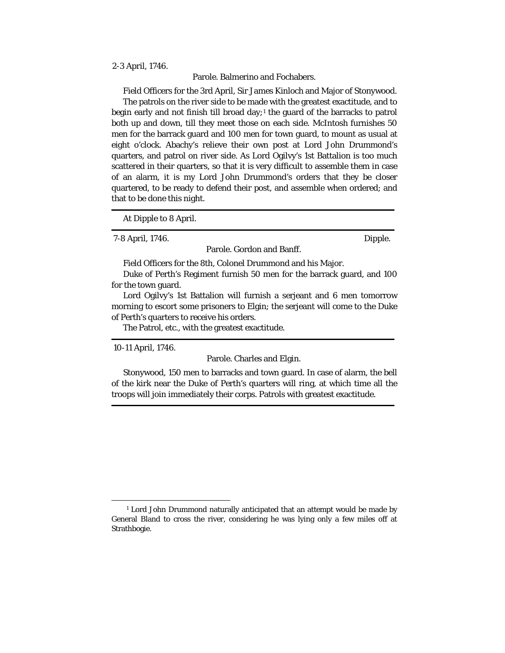## 2-3 April, 1746.

Parole. Balmerino and Fochabers.

Field Officers for the 3rd April, Sir James Kinloch and Major of Stonywood. The patrols on the river side to be made with the greatest exactitude, and to begin early and not finish till broad day;<sup>[1](#page-74-0)</sup> the guard of the barracks to patrol both up and down, till they meet those on each side. McIntosh furnishes 50 men for the barrack guard and 100 men for town guard, to mount as usual at eight o'clock. Abachy's relieve their own post at Lord John Drummond's quarters, and patrol on river side. As Lord Ogilvy's 1st Battalion is too much scattered in their quarters, so that it is very difficult to assemble them in case of an alarm, it is my Lord John Drummond's orders that they be closer quartered, to be ready to defend their post, and assemble when ordered; and that to be done this night.

At Dipple to 8 April.

7-8 April, 1746. Dipple.

Parole. Gordon and Banff.

Field Officers for the 8th, Colonel Drummond and his Major.

Duke of Perth's Regiment furnish 50 men for the barrack guard, and 100 for the town guard.

Lord Ogilvy's 1st Battalion will furnish a serjeant and 6 men tomorrow morning to escort some prisoners to Elgin; the serjeant will come to the Duke of Perth's quarters to receive his orders.

The Patrol, etc., with the greatest exactitude.

10-11 April, 1746.

Parole. Charles and Elgin.

Stonywood, 150 men to barracks and town guard. In case of alarm, the bell of the kirk near the Duke of Perth's quarters will ring, at which time all the troops will join immediately their corps. Patrols with greatest exactitude.

<span id="page-74-0"></span> $<sup>1</sup>$  Lord John Drummond naturally anticipated that an attempt would be made by</sup> General Bland to cross the river, considering he was lying only a few miles off at Strathbogie.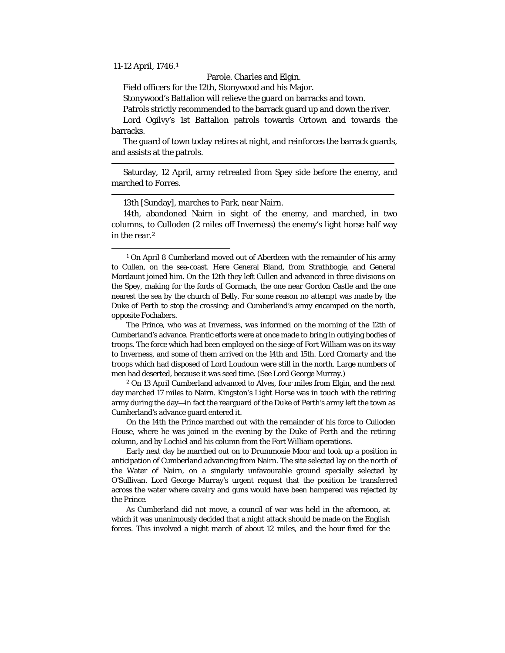11-12 April, 1746.[1](#page-75-0)

Parole. Charles and Elgin.

Field officers for the 12th, Stonywood and his Major.

Stonywood's Battalion will relieve the guard on barracks and town.

Patrols strictly recommended to the barrack guard up and down the river.

Lord Ogilvy's 1st Battalion patrols towards Ortown and towards the barracks.

The guard of town today retires at night, and reinforces the barrack guards, and assists at the patrols.

Saturday, 12 April, army retreated from Spey side before the enemy, and marched to Forres.

13th [Sunday], marches to Park, near Nairn.

14th, abandoned Nairn in sight of the enemy, and marched, in two columns, to Culloden (2 miles off Inverness) the enemy's light horse half way in the rear.[2](#page-75-1)

<span id="page-75-1"></span><sup>2</sup> On 13 April Cumberland advanced to Alves, four miles from Elgin, and the next day marched 17 miles to Nairn. Kingston's Light Horse was in touch with the retiring army during the day—in fact the rearguard of the Duke of Perth's army left the town as Cumberland's advance guard entered it.

On the 14th the Prince marched out with the remainder of his force to Culloden House, where he was joined in the evening by the Duke of Perth and the retiring column, and by Lochiel and his column from the Fort William operations.

Early next day he marched out on to Drummosie Moor and took up a position in anticipation of Cumberland advancing from Nairn. The site selected lay on the north of the Water of Nairn, on a singularly unfavourable ground specially selected by O'Sullivan. Lord George Murray's urgent request that the position be transferred across the water where cavalry and guns would have been hampered was rejected by the Prince.

As Cumberland did not move, a council of war was held in the afternoon, at which it was unanimously decided that a night attack should be made on the English forces. This involved a night march of about 12 miles, and the hour fixed for the

<span id="page-75-0"></span><sup>&</sup>lt;sup>1</sup> On April 8 Cumberland moved out of Aberdeen with the remainder of his army to Cullen, on the sea-coast. Here General Bland, from Strathbogie, and General Mordaunt joined him. On the 12th they left Cullen and advanced in three divisions on the Spey, making for the fords of Gormach, the one near Gordon Castle and the one nearest the sea by the church of Belly. For some reason no attempt was made by the Duke of Perth to stop the crossing; and Cumberland's army encamped on the north, opposite Fochabers.

The Prince, who was at Inverness, was informed on the morning of the 12th of Cumberland's advance. Frantic efforts were at once made to bring in outlying bodies of troops. The force which had been employed on the siege of Fort William was on its way to Inverness, and some of them arrived on the 14th and 15th. Lord Cromarty and the troops which had disposed of Lord Loudoun were still in the north. Large numbers of men had deserted, because it was seed time. (See Lord George Murray.)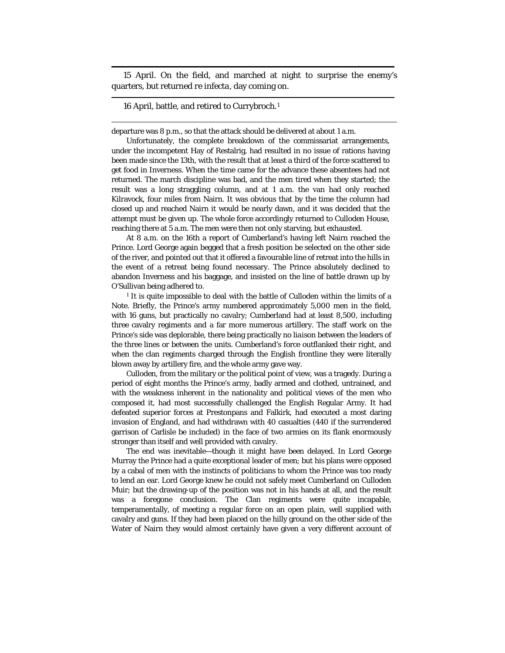15 April. On the field, and marched at night to surprise the enemy's quarters, but returned *re infecta*, day coming on.

16 April, battle, and retired to Currybroch.[1](#page-76-0)

departure was 8 p.m., so that the attack should be delivered at about 1 a.m.

Unfortunately, the complete breakdown of the commissariat arrangements, under the incompetent Hay of Restalrig, had resulted in no issue of rations having been made since the 13th, with the result that at least a third of the force scattered to get food in Inverness. When the time came for the advance these absentees had not returned. The march discipline was bad, and the men tired when they started; the result was a long straggling column, and at 1 a.m. the van had only reached Kilravock, four miles from Nairn. It was obvious that by the time the column had closed up and reached Nairn it would be nearly dawn, and it was decided that the attempt must be given up. The whole force accordingly returned to Culloden House, reaching there at 5 a.m. The men were then not only starving, but exhausted.

At 8 a.m. on the 16th a report of Cumberland's having left Nairn reached the Prince. Lord George again begged that a fresh position be selected on the other side of the river, and pointed out that it offered a favourable line of retreat into the hills in the event of a retreat being found necessary. The Prince absolutely declined to abandon Inverness and his baggage, and insisted on the line of battle drawn up by O'Sullivan being adhered to.

<span id="page-76-0"></span><sup>1</sup> It is quite impossible to deal with the battle of Culloden within the limits of a Note. Briefly, the Prince's army numbered approximately 5,000 men in the field, with 16 guns, but practically no cavalry; Cumberland had at least 8,500, including three cavalry regiments and a far more numerous artillery. The staff work on the Prince's side was deplorable, there being practically no *liaison* between the leaders of the three lines or between the units. Cumberland's force outflanked their right, and when the clan regiments charged through the English frontline they were literally blown away by artillery fire, and the whole army gave way.

Culloden, from the military or the political point of view, was a tragedy. During a period of eight months the Prince's army, badly armed and clothed, untrained, and with the weakness inherent in the nationality and political views of the men who composed it, had most successfully challenged the English Regular Army. It had defeated superior forces at Prestonpans and Falkirk, had executed a most daring invasion of England, and had withdrawn with 40 casualties (440 if the surrendered garrison of Carlisle be included) in the face of two armies on its flank enormously stronger than itself and well provided with cavalry.

The end was inevitable—though it might have been delayed. In Lord George Murray the Prince had a quite exceptional leader of men; but his plans were opposed by a cabal of men with the instincts of politicians to whom the Prince was too ready to lend an ear. Lord George knew he could not safely meet Cumberland on Culloden Muir; but the drawing-up of the position was not in his hands at all, and the result was a foregone conclusion. The Clan regiments were quite incapable, temperamentally, of meeting a regular force on an open plain, well supplied with cavalry and guns. If they had been placed on the hilly ground on the other side of the Water of Nairn they would almost certainly have given a very different account of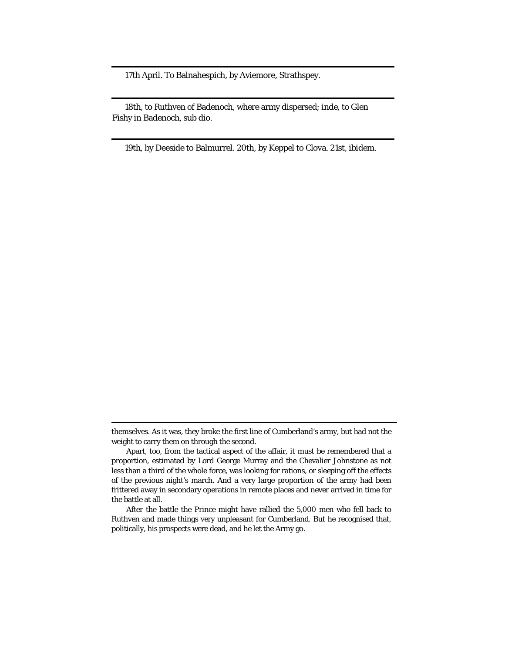17th April. To Balnahespich, by Aviemore, Strathspey.

18th, to Ruthven of Badenoch, where army dispersed; *inde,* to Glen Fishy in Badenoch, *sub dio.*

19th, by Deeside to Balmurrel. 20th, by Keppel to Clova. 21st, *ibidem.*

themselves. As it was, they broke the first line of Cumberland's army, but had not the weight to carry them on through the second.

Apart, too, from the tactical aspect of the affair, it must be remembered that a proportion, estimated by Lord George Murray and the Chevalier Johnstone as not less than a third of the whole force, was looking for rations, or sleeping off the effects of the previous night's march. And a very large proportion of the army had been frittered away in secondary operations in remote places and never arrived in time for the battle at all.

After the battle the Prince might have rallied the 5,000 men who fell back to Ruthven and made things very unpleasant for Cumberland. But he recognised that, politically, his prospects were dead, and he let the Army go.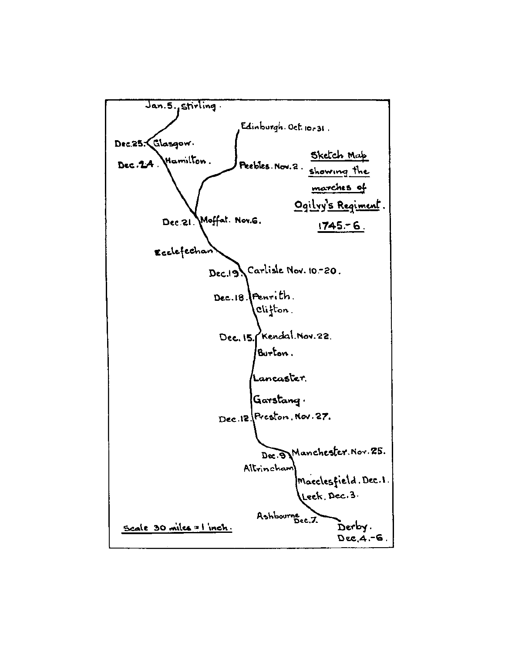